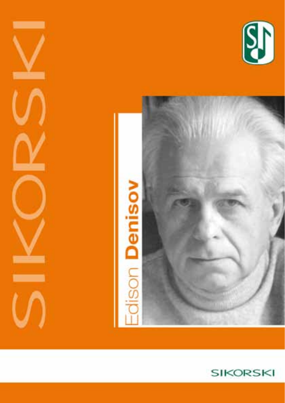





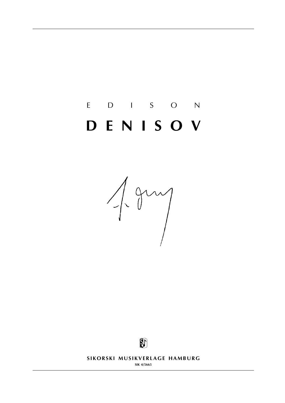# e d i s o n **d e n i s o v**





**SIKORSKI MUSIKVERLAGE HAMBURG** 

**sik 4/5665**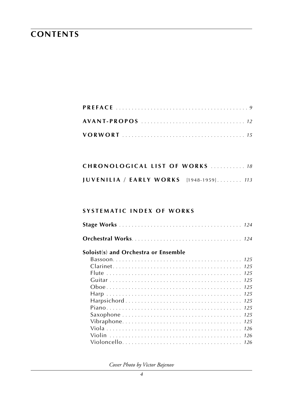## **contents**

## **C h r o n o l o g i c a l L i s t o f W o r k s** . . . . . . . . . . . *18* **J u v e n i l i a** / **e a r l y w o r k s** [1948-1959] . . . . . . . . *113*

### **SYSTEMATIC INDEX OF WORKS**

| <b>Orchestral Works</b> 124          |     |
|--------------------------------------|-----|
| Soloist(s) and Orchestra or Ensemble |     |
|                                      |     |
|                                      |     |
|                                      |     |
|                                      |     |
|                                      |     |
|                                      |     |
|                                      |     |
|                                      |     |
|                                      |     |
|                                      | 125 |
|                                      | 126 |
|                                      |     |
|                                      |     |

*Cover Photo by Victor Bajenov*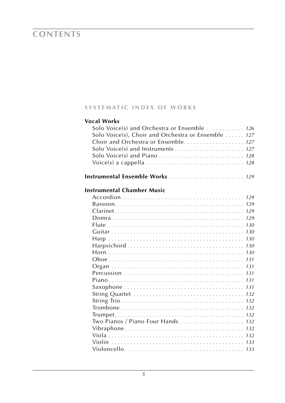# **contents**

### **SYSTEMATIC INDEX OF WORKS**

| <b>Vocal Works</b>                                                                   |     |
|--------------------------------------------------------------------------------------|-----|
| Solo Voice(s) and Orchestra or Ensemble $\ldots \ldots \ldots \ldots$                |     |
| Solo Voice(s), Choir and Orchestra or Ensemble                                       | 127 |
| Choir and Orchestra or Ensemble                                                      | 127 |
|                                                                                      | 127 |
|                                                                                      | 128 |
| Voice(s) a cappella $\ldots \ldots \ldots \ldots \ldots \ldots \ldots \ldots \ldots$ | 128 |
| Instrumental Ensemble Works 129                                                      |     |
| <b>Instrumental Chamber Music</b>                                                    |     |
|                                                                                      | 129 |
|                                                                                      | 129 |
|                                                                                      | 129 |
|                                                                                      | 129 |
|                                                                                      | 130 |
|                                                                                      | 130 |
|                                                                                      | 130 |
|                                                                                      | 130 |
|                                                                                      | 130 |
|                                                                                      | 131 |
|                                                                                      | 131 |
|                                                                                      | 131 |
|                                                                                      | 131 |
|                                                                                      | 131 |
|                                                                                      | 132 |
|                                                                                      | 132 |
|                                                                                      | 132 |
|                                                                                      | 132 |
| Two Pianos / Piano Four Hands                                                        | 132 |
|                                                                                      | 132 |
|                                                                                      | 132 |
|                                                                                      | 133 |
|                                                                                      |     |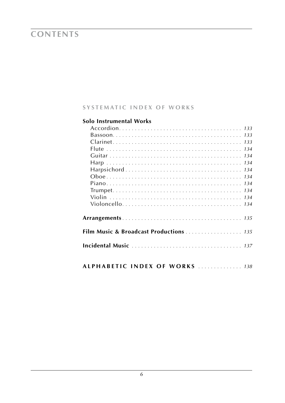# **contents**

### **SYSTEMATIC INDEX OF WORKS**

| Solo Instrumental Works        |  |
|--------------------------------|--|
|                                |  |
|                                |  |
|                                |  |
|                                |  |
|                                |  |
|                                |  |
|                                |  |
|                                |  |
|                                |  |
|                                |  |
|                                |  |
|                                |  |
|                                |  |
|                                |  |
|                                |  |
| ALPHABETIC INDEX OF WORKS  138 |  |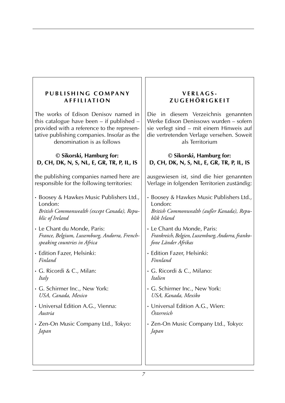### **PU B LISHING COMPANY AFFILIATION**

The works of Edison Denisov named in this catalogue have been – if published – provided with a reference to the representative publishing companies. Insofar as the denomination is as follows

#### **© Sikorski, Hamburg for: D, CH, DK, N, S, NL, E, GR, TR, P, IL, IS**

the publishing companies named here are responsible for the following territories:

- **·** Boosey & Hawkes Music Publishers Ltd., London: *British Commonwealth (except Canada), Republic of Ireland*
- **·** Le Chant du Monde, Paris: *France, Belgium, Luxemburg, Andorra, Frenchspeaking countries in Africa*
- **·** Edition Fazer, Helsinki: *Finland*
- **·** G. Ricordi & C., Milan: *Italy*
- **·** G. Schirmer Inc., New York: *USA, Canada, Mexico*
- **·** Universal Edition A.G., Vienna: *Austria*
- **·** Zen-On Music Company Ltd., Tokyo: *Japan*

#### **VERLAGS - Z UGEH Ö RIGKEIT**

Die in diesem Verzeichnis genannten Werke Edison Denissows wurden – sofern sie verlegt sind – mit einem Hinweis auf die vertretenden Verlage versehen. Soweit als Territorium

#### **© Sikorski, Hamburg for: D, CH, DK, N, S, NL, E, GR, TR, P, IL, IS**

ausgewiesen ist, sind die hier genannten Verlage in folgenden Territorien zuständig:

- **·** Boosey & Hawkes Music Publishers Ltd., London: *British Commonwealth (außer Kanada), Republik Irland*
- **·** Le Chant du Monde, Paris: *Frankreich, Belgien, Luxemburg, Andorra, frankofone Länder Afrikas*
- **·** Edition Fazer, Helsinki: *Finnland*
- **·** G. Ricordi & C., Milano: *Italien*
- **·** G. Schirmer Inc., New York: *USA, Kanada, Mexiko*
- **·** Universal Edition A.G., Wien: *Österreich*
- **·** Zen-On Music Company Ltd., Tokyo: *Japan*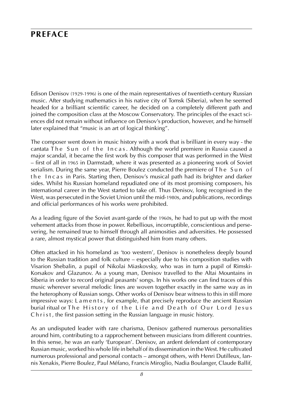## **preface**

Edison Denisov (1929-1996) is one of the main representatives of twentieth-century Russian music. After studying mathematics in his native city of Tomsk (Siberia), when he seemed headed for a brilliant scientific career, he decided on a completely different path and joined the composition class at the Moscow Conservatory. The principles of the exact sciences did not remain without influence on Denisov's production, however, and he himself later explained that "music is an art of logical thinking".

The composer went down in music history with a work that is brilliant in every way - the cantata The Sun of the Incas. Although the world premiere in Russia caused a major scandal, it became the first work by this composer that was performed in the West – first of all in 1965 in Darmstadt, where it was presented as a pioneering work of Soviet serialism. During the same year, Pierre Boulez conducted the premiere of The Sun of the Incas in Paris. Starting then, Denisov's musical path had its brighter and darker sides. Whilst his Russian homeland repudiated one of its most promising composers, his international career in the West started to take off. Thus Denisov, long recognised in the West, was persecuted in the Soviet Union until the mid-1980s, and publications, recordings and official performances of his works were prohibited.

As a leading figure of the Soviet avant-garde of the 1960s, he had to put up with the most vehement attacks from those in power. Rebellious, incorruptible, conscientious and persevering, he remained true to himself through all animosities and adversities. He possessed a rare, almost mystical power that distinguished him from many others.

Often attacked in his homeland as 'too western', Denisov is nonetheless deeply bound to the Russian tradition and folk culture – especially due to his composition studies with Visarion Shebalin, a pupil of Nikolai Miaskovsky, who was in turn a pupil of Rimski-Korsakov and Glazunov. As a young man, Denisov travelled to the Altai Mountains in Siberia in order to record original peasants' songs. In his works one can find traces of this music wherever several melodic lines are woven together exactly in the same way as in the heterophony of Russian songs. Other works of Denisov bear witness to this in still more impressive ways: L a m e n t s, for example, that precisely reproduce the ancient Russian burial ritual or The History of the Life and Death of Our Lord Jesus Ch r i s t, the first passion setting in the Russian language in music history.

As an undisputed leader with rare charisma, Denisov gathered numerous personalities around him, contributing to a rapprochement between musicians from different countries. In this sense, he was an early 'European'. Denisov, an ardent defendant of contemporary Russian music, worked his whole life in behalf of its dissemination in the West. He cultivated numerous professional and personal contacts – amongst others, with Henri Dutilleux, Iannis Xenakis, Pierre Boulez, Paul Méfano, Francis Miroglio, Nadia Boulanger, Claude Ballif,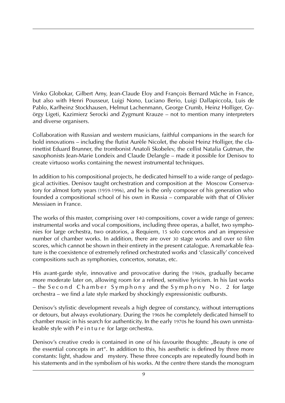Vinko Globokar, Gilbert Amy, Jean-Claude Eloy and François Bernard Mâche in France, but also with Henri Pousseur, Luigi Nono, Luciano Berio, Luigi Dallapiccola, Luis de Pablo, Karlheinz Stockhausen, Helmut Lachenmann, George Crumb, Heinz Holliger, György Ligeti, Kazimierz Serocki and Zygmunt Krauze – not to mention many interpreters and diverse organisers.

Collaboration with Russian and western musicians, faithful companions in the search for bold innovations – including the flutist Aurèle Nicolet, the oboist Heinz Holliger, the clarinettist Eduard Brunner, the trombonist Anatoli Skobelev, the cellist Natalia Gutman, the saxophonists Jean-Marie Londeix and Claude Delangle – made it possible for Denisov to create virtuoso works containing the newest instrumental techniques.

In addition to his compositional projects, he dedicated himself to a wide range of pedagogical activities. Denisov taught orchestration and composition at the Moscow Conservatory for almost forty years (1959-1996), and he is the only composer of his generation who founded a compositional school of his own in Russia – comparable with that of Olivier Messiaen in France.

The works of this master, comprising over 140 compositions, cover a wide range of genres: instrumental works and vocal compositions, including three operas, a ballet, two symphonies for large orchestra, two oratorios, a Requiem, 15 solo concertos and an impressive number of chamber works. In addition, there are over 30 stage works and over 60 film scores, which cannot be shown in their entirety in the present catalogue. A remarkable feature is the coexistence of extremely refined orchestrated works and 'classically' conceived compositions such as symphonies, concertos, sonatas, etc.

His avant-garde style, innovative and provocative during the 1960s, gradually became more moderate later on, allowing room for a refined, sensitive lyricism. In his last works  $-$  the Second Chamber Symphony and the Symphony No. 2 for large orchestra – we find a late style marked by shockingly expressionistic outbursts.

Denisov's stylistic development reveals a high degree of constancy, without interruptions or detours, but always evolutionary. During the 1960s he completely dedicated himself to chamber music in his search for authenticity. In the early 1970s he found his own unmistakeable style with P e i n t u r e for large orchestra.

Denisov's creative credo is contained in one of his favourite thoughts: "Beauty is one of the essential concepts in art". In addition to this, his aesthetic is defined by three more constants: light, shadow and mystery. These three concepts are repeatedly found both in his statements and in the symbolism of his works. At the centre there stands the monogram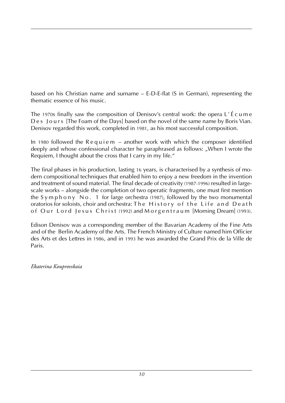based on his Christian name and surname – E-D-E-flat (S in German), representing the thematic essence of his music.

The 1970s finally saw the composition of Denisov's central work: the opera L'  $\acute{\text{E}}$  cume Des Jours [The Foam of the Days] based on the novel of the same name by Boris Vian. Denisov regarded this work, completed in 1981, as his most successful composition.

In 1980 followed the  $\text{Re} \text{quitem}$  – another work with which the composer identified deeply and whose confessional character he paraphrased as follows: "When I wrote the Requiem, I thought about the cross that I carry in my life."

The final phases in his production, lasting 16 years, is characterised by a synthesis of modern compositional techniques that enabled him to enjoy a new freedom in the invention and treatment of sound material. The final decade of creativity (1987-1996) resulted in largescale works – alongside the completion of two operatic fragments, one must first mention the  $Symphony No. 1$  for large orchestra (1987), followed by the two monumental oratorios for soloists, choir and orchestra: The History of the Life and Death of Our Lord Jesus Christ (1992) and Morgentraum [Morning Dream] (1993).

Edison Denisov was a corresponding member of the Bavarian Academy of the Fine Arts and of the Berlin Academy of the Arts. The French Ministry of Culture named him Officier des Arts et des Lettres in 1986, and in 1993 he was awarded the Grand Prix de la Ville de Paris.

*Ekaterina Kouprovskaia*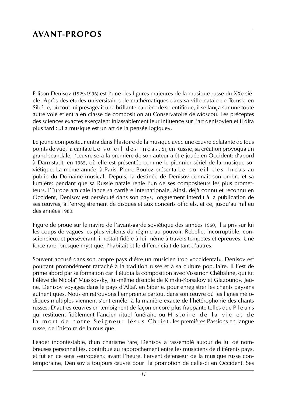## **avant-propos**

Edison Denisov (1929-1996) est l'une des figures majeures de la musique russe du XXe siècle. Après des études universitaires de mathématiques dans sa ville natale de Tomsk, en Sibérie, où tout lui présageait une brillante carrière de scientifique, il se lança sur une toute autre voie et entra en classe de composition au Conservatoire de Moscou. Les préceptes des sciences exactes exerçaient inlassablement leur influence sur l'art denisovien et il dira plus tard : »La musique est un art de la pensée logique«.

Le jeune compositeur entra dans l'histoire de la musique avec une œuvre éclatante de tous points de vue, la cantate L e s o l e i l d e s I n c a s . Si, en Russie, sa création provoqua un grand scandale, l'œuvre sera la première de son auteur à être jouée en Occident: d'abord à Darmstadt, en 1965, où elle est présentée comme le pionnier sériel de la musique soviétique. La même année, à Paris, Pierre Boulez présenta Le soleil des Incas au public du Domaine musical. Depuis, la destinée de Denisov connait son ombre et sa lumière: pendant que sa Russie natale renie l'un de ses compositeurs les plus prometteurs, l'Europe amicale lance sa carrière internationale. Ainsi, déjà connu et reconnu en Occident, Denisov est persécuté dans son pays, longuement interdit à la publication de ses œuvres, à l'enregistrement de disques et aux concerts officiels, et ce, jusqu'au milieu des années 1980.

Figure de proue sur le navire de l'avant-garde soviétique des années 1960, il a pris sur lui les coups de vagues les plus violents du régime au pouvoir. Rebelle, incorruptible, consciencieux et persévérant, il restait fidèle à lui-même à travers tempêtes et épreuves. Une force rare, presque mystique, l'habitait et le différenciait de tant d'autres.

Souvent accusé dans son propre pays d'être un musicien trop »occidental«, Denisov est pourtant profondément rattaché à la tradition russe et à sa culture populaire. Il l'est de prime abord par sa formation car il étudia la composition avec Vissarion Chébaline, qui fut l'élève de Nicolaï Miaskovsky, lui-même disciple de Rimski-Korsakov et Glazounov. Jeune, Denisov voyagea dans le pays d'Altaï, en Sibérie, pour enregistrer les chants paysans authentiques. Nous en retrouvons l'empreinte partout dans son œuvre où les lignes mélodiques multiples viennent s'entremêler à la manière exacte de l'hétérophonie des chants russes. D'autres œuvres en témoignent de façon encore plus frappante telles que P l e u r s qui restituent fidèlement l'ancien rituel funéraire ou Histoire de la vie et de la mort de notre Seigneur Jésus Christ, les premières Passions en langue russe, de l'histoire de la musique.

Leader incontestable, d'un charisme rare, Denisov a rassemblé autour de lui de nombreuses personnalités, contribué au rapprochement entre les musiciens de différents pays, et fut en ce sens »européen« avant l'heure. Fervent défenseur de la musique russe contemporaine, Denisov a toujours œuvré pour la promotion de celle-ci en Occident. Ses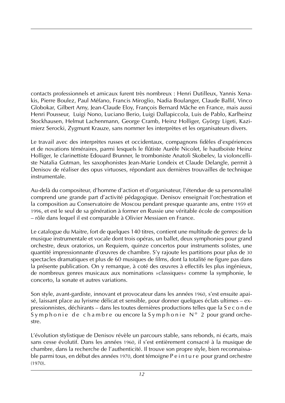contacts professionnels et amicaux furent très nombreux : Henri Dutilleux, Yannis Xenakis, Pierre Boulez, Paul Méfano, Francis Miroglio, Nadia Boulanger, Claude Ballif, Vinco Globokar, Gilbert Amy, Jean-Claude Eloy, François Bernard Mâche en France, mais aussi Henri Pousseur, Luigi Nono, Luciano Berio, Luigi Dallapiccola, Luis de Pablo, Karlheinz Stockhausen, Helmut Lachenmann, George Cramb, Heinz Holliger, György Ligeti, Kazimierz Serocki, Zygmunt Krauze, sans nommer les interprètes et les organisateurs divers.

Le travail avec des interprètes russes et occidentaux, compagnons fidèles d'expériences et de novations téméraires, parmi lesquels le flûtiste Aurèle Nicolet, le hautboïste Heinz Holliger, le clarinettiste Edouard Brunner, le tromboniste Anatoli Skobelev, la violoncelliste Natalia Gutman, les saxophonistes Jean-Marie Londeix et Claude Delangle, permit à Denisov de réaliser des opus virtuoses, répondant aux dernières trouvailles de technique instrumentale.

Au-delà du compositeur, d'homme d'action et d'organisateur, l'étendue de sa personnalité comprend une grande part d'activité pédagogique. Denisov enseignait l'orchestration et la composition au Conservatoire de Moscou pendant presque quarante ans, entre 1959 et 1996, et est le seul de sa génération à former en Russie une véritable école de composition – rôle dans lequel il est comparable à Olivier Messiaen en France.

Le catalogue du Maitre, fort de quelques 140 titres, contient une multitude de genres: de la musique instrumentale et vocale dont trois opéras, un ballet, deux symphonies pour grand orchestre, deux oratorios, un Requiem, quinze concertos pour instruments solistes, une quantité impressionnante d'œuvres de chambre. S'y rajoute les partitions pour plus de 30 spectacles dramatiques et plus de 60 musiques de films, dont la totalité ne figure pas dans la présente publication. On y remarque, à coté des œuvres à effectifs les plus ingénieux, de nombreux genres musicaux aux nominations »classiques« comme la symphonie, le concerto, la sonate et autres variations.

Son style, avant-gardiste, innovant et provocateur dans les années 1960, s'est ensuite apaisé, laissant place au lyrisme délicat et sensible, pour donner quelques éclats ultimes – expressionnistes, déchirants – dans les toutes dernières productions telles que la S e c o n d e Symphonie de chambre ou encore la Symphonie  $N^{\circ}$  2 pour grand orchestre.

L'évolution stylistique de Denisov révèle un parcours stable, sans rebonds, ni écarts, mais sans cesse évolutif. Dans les années 1960, il s'est entièrement consacré à la musique de chambre, dans la recherche de l'authenticité. Il trouve son propre style, bien reconnaissable parmi tous, en début des années 1970, dont témoigne P e i n t u r e pour grand orchestre  $(1970)$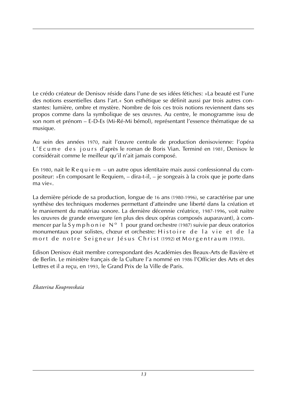Le crédo créateur de Denisov réside dans l'une de ses idées fétiches: »La beauté est l'une des notions essentielles dans l'art.« Son esthétique se définit aussi par trois autres constantes: lumière, ombre et mystère. Nombre de fois ces trois notions reviennent dans ses propos comme dans la symbolique de ses œuvres. Au centre, le monogramme issu de son nom et prénom – E-D-Es (Mi-Ré-Mi bémol), représentant l'essence thématique de sa musique.

Au sein des années 1970, nait l'œuvre centrale de production denisovienne: l'opéra L'Ecume des jours d'après le roman de Boris Vian. Terminé en 1981, Denisov le considérait comme le meilleur qu'il n'ait jamais composé.

En 1980, nait le R e q u i e m – un autre opus identitaire mais aussi confessionnal du compositeur: »En composant le Requiem, – dira-t-il, – je songeais à la croix que je porte dans ma vie«.

La dernière période de sa production, longue de 16 ans (1980-1996), se caractérise par une synthèse des techniques modernes permettant d'atteindre une liberté dans la création et le maniement du matériau sonore. La dernière décennie créatrice, 1987-1996, voit naitre les œuvres de grande envergure (en plus des deux opéras composés auparavant), à commencer par la S y m p h o n i e  $N^{\circ}$  1 pour grand orchestre (1987) suivie par deux oratorios monumentaux pour solistes, chœur et orchestre: Histoire de la vie et de la m ort de notre Seigneur Jésus Christ (1992) et Morgentraum (1993).

Edison Denisov était membre correspondant des Académies des Beaux-Arts de Bavière et de Berlin. Le ministère français de la Culture l'a nommé en 1986 l'Officier des Arts et des Lettres et il a reçu, en 1993, le Grand Prix de la Ville de Paris.

*Ekaterina Kouprovskaia*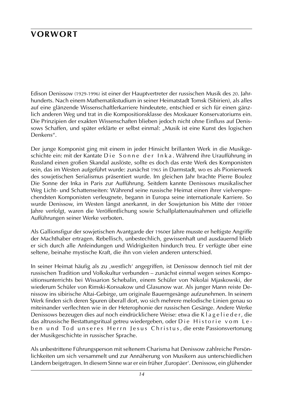## **vorwort**

Edison Denissow (1929-1996) ist einer der Hauptvertreter der russischen Musik des 20. Jahrhunderts. Nach einem Mathematikstudium in seiner Heimatstadt Tomsk (Sibirien), als alles auf eine glänzende Wissenschaftlerkarriere hindeutete, entschied er sich für einen gänzlich anderen Weg und trat in die Kompositionsklasse des Moskauer Konservatoriums ein. Die Prinzipien der exakten Wissenschaften blieben jedoch nicht ohne Einfluss auf Denissows Schaffen, und später erklärte er selbst einmal: "Musik ist eine Kunst des logischen Denkens".

Der junge Komponist ging mit einem in jeder Hinsicht brillanten Werk in die Musikgeschichte ein: mit der Kantate Die Sonne der Inka. Während ihre Uraufführung in Russland einen großen Skandal auslöste, sollte es doch das erste Werk des Komponisten sein, das im Westen aufgeführt wurde: zunächst 1965 in Darmstadt, wo es als Pionierwerk des sowjetischen Serialismus präsentiert wurde. Im gleichen Jahr brachte Pierre Boulez Die Sonne der Inka in Paris zur Aufführung. Seitdem kannte Denissows musikalischer Weg Licht- und Schattenseiten: Während seine russische Heimat einen ihrer vielversprechendsten Komponisten verleugnete, begann in Europa seine internationale Karriere. So wurde Denissow, im Westen längst anerkannt, in der Sowjetunion bis Mitte der 1980er Jahre verfolgt, waren die Veröffentlichung sowie Schallplattenaufnahmen und offizielle Aufführungen seiner Werke verboten.

Als Gallionsfigur der sowjetischen Avantgarde der 1960er Jahre musste er heftigste Angriffe der Machthaber ertragen. Rebellisch, unbestechlich, gewissenhaft und ausdauernd blieb er sich durch alle Anfeindungen und Widrigkeiten hindurch treu. Er verfügte über eine seltene, beinahe mystische Kraft, die ihn von vielen anderen unterschied.

In seiner Heimat häufig als zu ,westlich' angegriffen, ist Denissow dennoch tief mit der russischen Tradition und Volkskultur verbunden – zunächst einmal wegen seines Kompositionsunterrichts bei Wissarion Schebalin, einem Schüler von Nikolai Mjaskowski, der wiederum Schüler von Rimski-Korssakow und Glasunow war. Als junger Mann reiste Denissow ins sibirische Altai-Gebirge, um originale Bauerngesänge aufzunehmen. In seinem Werk finden sich deren Spuren überall dort, wo sich mehrere melodische Linien genau so miteinander verflechten wie in der Heterophonie der russischen Gesänge. Andere Werke Denissows bezeugen dies auf noch eindrücklichere Weise: etwa die K l a g e l i e d e r, die das altrussische Bestattungsritual getreu wiedergeben, oder Die Historie vom Leben und Tod unseres Herrn Jesus Christus, die erste Passionsvertonung der Musikgeschichte in russischer Sprache.

Als unbestrittene Führungsperson mit seltenem Charisma hat Denissow zahlreiche Persönlichkeiten um sich versammelt und zur Annäherung von Musikern aus unterschiedlichen Ländern beigetragen. In diesem Sinne war er ein früher ,Europäer'. Denissow, ein glühender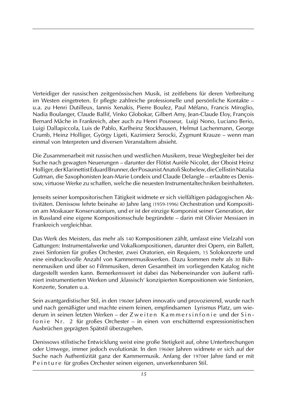Verteidiger der russischen zeitgenössischen Musik, ist zeitlebens für deren Verbreitung im Westen eingetreten. Er pflegte zahlreiche professionelle und persönliche Kontakte – u.a. zu Henri Dutilleux, Iannis Xenakis, Pierre Boulez, Paul Méfano, Francis Miroglio, Nadia Boulanger, Claude Ballif, Vinko Globokar, Gilbert Amy, Jean-Claude Eloy, François Bernard Mâche in Frankreich, aber auch zu Henri Pousseur, Luigi Nono, Luciano Berio, Luigi Dallapiccola, Luis de Pablo, Karlheinz Stockhausen, Helmut Lachenmann, George Crumb, Heinz Holliger, György Ligeti, Kazimierz Serocki, Zygmunt Krauze – wenn man einmal von Interpreten und diversen Veranstaltern absieht.

Die Zusammenarbeit mit russischen und westlichen Musikern, treue Wegbegleiter bei der Suche nach gewagten Neuerungen – darunter der Flötist Aurèle Nicolet, der Oboist Heinz Holliger, der Klarinettist Eduard Brunner, der Posaunist Anatoli Skobelew, die Cellistin Natalia Gutman, die Saxophonisten Jean-Marie Londeix und Claude Delangle – erlaubte es Denissow, virtuose Werke zu schaffen, welche die neuesten Instrumentaltechniken beinhalteten.

Jenseits seiner kompositorischen Tätigkeit widmete er sich vielfältigen pädagogischen Aktivitäten. Denissow lehrte beinahe 40 Jahre lang (1959-1996) Orchestration und Komposition am Moskauer Konservatorium, und er ist der einzige Komponist seiner Generation, der in Russland eine eigene Kompositionsschule begründete – darin mit Olivier Messiaen in Frankreich vergleichbar.

Das Werk des Meisters, das mehr als 140 Kompositionen zählt, umfasst eine Vielzahl von Gattungen: Instrumentalwerke und Vokalkompositionen, darunter drei Opern, ein Ballett, zwei Sinfonien für großes Orchester, zwei Oratorien, ein Requiem, 15 Solokonzerte und eine eindrucksvolle Anzahl von Kammermusikwerken. Dazu kommen mehr als 30 Bühnenmusiken und über 60 Filmmusiken, deren Gesamtheit im vorliegenden Katalog nicht dargestellt werden kann. Bemerkenswert ist dabei das Nebeneinander von äußerst raffiniert instrumentierten Werken und ,klassisch' konzipierten Kompositionen wie Sinfonien, Konzerte, Sonaten u.a.

Sein avantgardistischer Stil, in den 1960er Jahren innovativ und provozierend, wurde nach und nach gemäßigter und machte einem feinen, empfindsamen Lyrismus Platz, um wiederum in seinen letzten Werken – der Zweiten Kammersinfonie und der Sinfonie Nr. 2 für großes Orchester – in einen von erschütternd expressionistischen Ausbrüchen geprägten Spätstil überzugehen.

Denissows stilistische Entwicklung weist eine große Stetigkeit auf, ohne Unterbrechungen oder Umwege, immer jedoch evolutionär. In den 1960er Jahren widmete er sich auf der Suche nach Authentizität ganz der Kammermusik. Anfang der 1970er Jahre fand er mit Pe in ture für großes Orchester seinen eigenen, unverkennbaren Stil.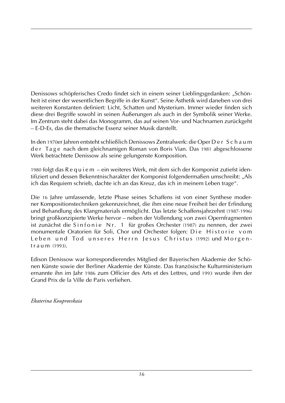Denissows schöpferisches Credo findet sich in einem seiner Lieblingsgedanken: "Schönheit ist einer der wesentlichen Begriffe in der Kunst". Seine Ästhetik wird daneben von drei weiteren Konstanten definiert: Licht, Schatten und Mysterium. Immer wieder finden sich diese drei Begriffe sowohl in seinen Äußerungen als auch in der Symbolik seiner Werke. Im Zentrum steht dabei das Monogramm, das auf seinen Vor- und Nachnamen zurückgeht – E-D-Es, das die thematische Essenz seiner Musik darstellt.

In den 1970er Jahren entsteht schließlich Denissows Zentralwerk: die Oper D e r S c h a u m d er Tage nach dem gleichnamigen Roman von Boris Vian. Das 1981 abgeschlossene Werk betrachtete Denissow als seine gelungenste Komposition.

1980 folgt das R e q u i e m – ein weiteres Werk, mit dem sich der Komponist zutiefst identifiziert und dessen Bekenntnischarakter der Komponist folgendermaßen umschreibt: "Als ich das Requiem schrieb, dachte ich an das Kreuz, das ich in meinem Leben trage".

Die 16 Jahre umfassende, letzte Phase seines Schaffens ist von einer Synthese moderner Kompositionstechniken gekennzeichnet, die ihm eine neue Freiheit bei der Erfindung und Behandlung des Klangmaterials ermöglicht. Das letzte Schaffensjahrzehnt (1987-1996) bringt großkonzipierte Werke hervor – neben der Vollendung von zwei Opernfragmenten ist zunächst die Sinfonie Nr. 1 für großes Orchester (1987) zu nennen, der zwei monumentale Oratorien für Soli, Chor und Orchester folgen: Die Historie vom Leben und Tod unseres Herrn Jesus Christus (1992) und Morgent r a u m (1993).

Edison Denissow war korrespondierendes Mitglied der Bayerischen Akademie der Schönen Künste sowie der Berliner Akademie der Künste. Das französische Kulturministerium ernannte ihn im Jahr 1986 zum Officier des Arts et des Lettres, und 1993 wurde ihm der Grand Prix de la Ville de Paris verliehen.

*Ekaterina Kouprovskaia*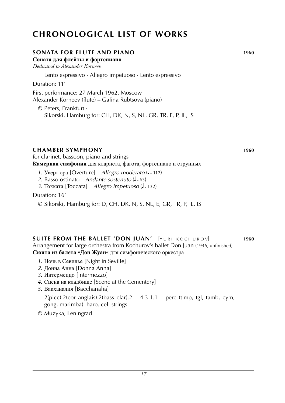#### **sonata for flute and piano 1960**

**Соната для флейты и фортепиано**

*Dedicated to Alexander Korneev*

Lento espressivo · Allegro impetuoso · Lento espressivo

Duration: 11'

First performance: 27 March 1962, Moscow Alexander Korneev (flute) – Galina Rubtsova (piano)

© Peters, Frankfurt · Sikorski, Hamburg for: CH, DK, N, S, NL, GR, TR, E, P, IL, IS

#### **chamber symphony 1960**

for clarinet, bassoon, piano and strings **Камерная симфония** для кларнета, фагота, фортепиано и струнных

1. Увертюра [Overture] *Allegro moderato* (1-112)

- 2. Basso ostinato *Andante sostenuto* (1 < 63)
- *3*. Токката [Toccata] Allegro impetuoso (↓ 132)

Duration: 16'

© Sikorski, Hamburg for: D, CH, DK, N, S, NL, E, GR, TR, P, IL, IS

### **SUITE FROM THE BALLET 'DON JUAN'** [YURI KOCHUROV] **1960**

Arrangement for large orchestra from Kochurov's ballet Don Juan (1946, unfinished) **Сюита из балета »Дон Жуан«** для симфонического оркестра

- *1*. Ночь в Севилье [Night in Seville]
- *2*. Донна Анна [Donna Anna]
- *3*. Интермеццо [Intermezzo]
- *4*. Сцена на кладбище [Scene at the Cementery]
- *5*. Вакханалия [Bacchanalia]

 $2(picc).2(cor anglais).2(bass clar).2 - 4.3.1.1 - perc (timp, tgl, tamb, cym,$ gong, marimba). harp. cel. strings

© Muzyka, Leningrad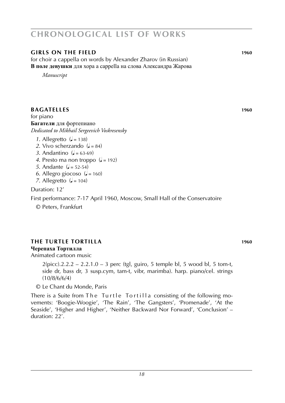#### **girls on the field 1960**

for choir a cappella on words by Alexander Zharov (in Russian) **В поле девушки** для хора а cappella на слова Александра Жарова

*Manuscript*

**bbagative bagatelles 1960** 

for piano **Багатели** для фортепиано *Dedicated to Mikhail Sergeevich Voskresensky*

- *1*. Allegretto  $(J = 138)$
- 2. Vivo scherzando  $(J = 84)$
- *3*. Andantino  $(l = 63-69)$
- 4. Presto ma non troppo  $(1 = 192)$
- *5*. Andante  $(J = 52-54)$
- 6. Allegro giocoso  $(1 = 160)$
- *7*. Allegretto  $(l = 104)$

#### Duration: 12'

First performance: 7-17 April 1960, Moscow, Small Hall of the Conservatoire

© Peters, Frankfurt

#### **the turtle tortilla 1960 Черепаха Тортилла**

Animated cartoon music

 $2(pice)$ .2.2.2 – 2.2.1.0 – 3 perc (tgl, guiro, 5 temple bl, 5 wood bl, 5 tom-t, side dr, bass dr, 3 susp.cym, tam-t, vibr, marimba). harp. piano/cel. strings (10/8/6/6/4)

© Le Chant du Monde, Paris

There is a Suite from The Turtle Tortilla consisting of the following movements: 'Boogie-Woogie', 'The Rain', 'The Gangsters', 'Promenade', 'At the Seaside', 'Higher and Higher', 'Neither Backward Nor Forward', 'Conclusion' – duration: 22'.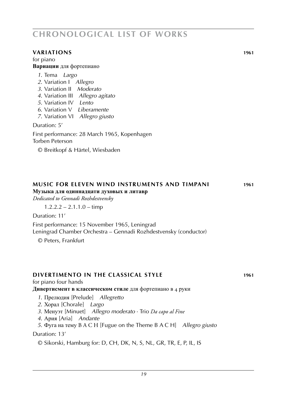#### **variations 1961**

for piano

**Вариации** для фортепиано

- *1*. Tema *Largo*
- *2*. Variation I *Allegro*
- *3*. Variation II *Moderato*
- *4*. Variation III *Allegro agitato*
- *5*. Variation IV *Lento*
- *6*. Variation V *Liberamente*
- *7*. Variation VI *Allegro giusto*

Duration: 5'

First performance: 28 March 1965, Kopenhagen Torben Peterson

© Breitkopf & Härtel, Wiesbaden

### **music for eleven wind instruments and timpani 1961**

**Музыка для одиннадцати духовых и литавр** *Dedicated to Gennadi Rozhdestvensky*

 $1.2.2.2 - 2.1.1.0 -$ timp

Duration: 11'

First performance: 15 November 1965, Leningrad Leningrad Chamber Orchestra – Gennadi Rozhdestvensky (conductor)

© Peters, Frankfurt

#### **divertimento in the classical style 1961**

for piano four hands

**Дивертисмент в классическом стиле** для фортепиано в 4 руки

- *1*. Прелюдия [Prelude] *Allegretto*
- *2*. Хорал [Chorale] *Largo*
- *3*. Менуэт [Minuet] *Allegro moderato* · Trio *Da capo al Fine*
- *4*. Ария [Aria] *Andante*
- *5*. Фуга на тему B A C H [Fugue on the Theme B A C H] *Allegro giusto*

Duration: 13'

© Sikorski, Hamburg for: D, CH, DK, N, S, NL, GR, TR, E, P, IL, IS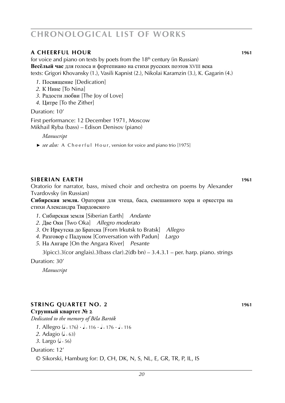#### **a cheerful hour 1961**

for voice and piano on texts by poets from the  $18<sup>th</sup>$  century (in Russian) **Весёлый час** для голоса и фортепиано на стихи русских поэтов XVIII века texts: Grigori Khovansky (1.), Vasili Kapnist (2.), Nikolai Karamzin (3.), K. Gagarin (4.)

- *1*. Посвящение [Dedication]
- *2*. К Нине [To Nina]
- *3*. Радости любви [The Joy of Love]
- *4*. Цитре [To the Zither]

#### Duration: 10'

First performance: 12 December 1971, Moscow Mikhail Ryba (bass) – Edison Denisov (piano)

 *Manuscript*

► *see also:* A C h e e r f u l H o u r, version for voice and piano trio [1975]

#### **SIBERIAN EARTH** 1961

Oratorio for narrator, bass, mixed choir and orchestra on poems by Alexander Tvardovsky (in Russian)

**Сибирская земля.** Оратория для чтеца, баса, смешанного хора и оркестра на стихи Александра Твардовского

- *1*. Сибирская земля [Siberian Earth] *Andante*
- *2*. Две Оки [Two Oka] *Allegro moderato*
- *3*. От Иркутска до Братска [From Irkutsk to Bratsk] *Allegro*
- *4*. Разговор с Падуном [Conversation with Padun] *Largo*
- *5*. На Ангаре [On the Angara River] *Pesante*

 $3(pice).3(cor \text{ anglais}).3(bass \text{ clar}).2(db \text{bn}) - 3.4.3.1 - \text{per. harp. piano. strings}$ 

Duration: 30'

 *Manuscript*

### **string quartet no. 2 1961**

**Струнный квартет № 2**

*Dedicated to the memory of Béla Bartók*

1. Allegro ( $\sqrt{2}$  – 176)  $\cdot \sqrt{2}$  – 116  $\cdot \sqrt{2}$  – 176  $\cdot \sqrt{2}$  – 116

2. Adagio (**J** ~ 63)

3. Largo (J<sub>r</sub> 56)

Duration: 12'

© Sikorski, Hamburg for: D, CH, DK, N, S, NL, E, GR, TR, P, IL, IS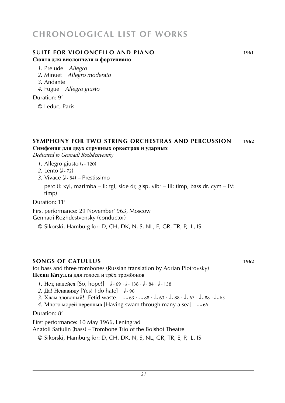#### **suite for violoncello and piano 1961**

#### **Сюита для виолончели и фортепиано**

- *1*. Prelude *Allegro*
- *2*. Minuet *Allegro moderato*
- *3*. Andante
- *4*. Fugue *Allegro giusto*

Duration: 9'

© Leduc, Paris

#### **symphony for two string orchestras and percussion 1962 Симфония для двух струнных оркестров и ударных**

*Dedicated to Gennadi Rozhdestvensky*

- *1*. Allegro giusto (**J** ~ 120)
- *2*. Lento (**J**<sub>~</sub> 72)
- 3. Vivace (J<sub>~</sub>84) Prestissimo

perc (I: xyl, marimba – II: tgl, side dr, glsp, vibr – III: timp, bass dr, cym – IV: timp)

Duration: 11'

First performance: 29 November1963, Moscow

Gennadi Rozhdestvensky (conductor)

© Sikorski, Hamburg for: D, CH, DK, N, S, NL, E, GR, TR, P, IL, IS

#### **songs of catullus 1962**

for bass and three trombones (Russian translation by Adrian Piotrovsky) **Песни Катулла** для голоса и трёх тромбонов

1. Нет, надейся [So, hope!]  $\rightarrow 69 \cdot \rightarrow 138 \cdot \rightarrow 84 \cdot \rightarrow 138$ 

- 2. Да! Ненавижу [Yes! I do hate]  $\rightarrow$  96
- 3. Хлам зловоный! [Fetid waste]  $\rightarrow -63 \cdot \rightarrow -88 \cdot \rightarrow -63 \cdot \rightarrow -63 \cdot \rightarrow -88 \cdot \rightarrow -63$

4. Много морей переплыв [Having swam through many a sea] — J<sub></sub>

Duration: 8'

First performance: 10 May 1966, Leningrad Anatoli Safiulin (bass) – Trombone Trio of the Bolshoi Theatre

© Sikorski, Hamburg for: D, CH, DK, N, S, NL, GR, TR, E, P, IL, IS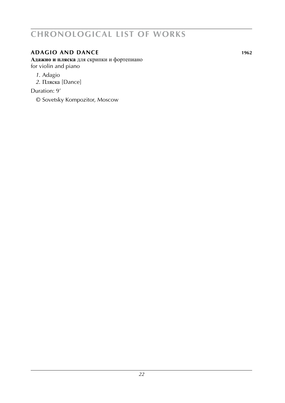### **Adagio and dance 1962**

**Адажио и пляска** для скрипки и фортепиано for violin and piano

- *1*. Adagio
- *2*. Пляска [Dance]

Duration: 9'

© Sovetsky Kompozitor, Moscow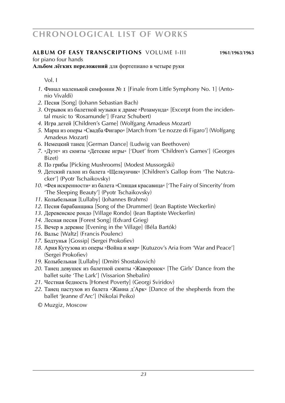#### **Album of easy transcriptions** volume i-III **1961**/**1963**/**1963**

#### for piano four hands

**Альбом лёгких переложений** для фортепиано в четыре руки

Vol. I

- . Финал маленькой симфонии № 1 [Finale from Little Symphony No. 1] (Anto nio Vivaldi)
- . Песня [Song] (Johann Sebastian Bach)
- . Отрывок из балетной музыки к драме »Розамунда« [Excerpt from the inciden tal music to 'Rosamunde'] (Franz Schubert)
- . Игра детей [Children's Game] (Wolfgang Amadeus Mozart)
- . Марш из оперы »Свадба Фигаро« [March from 'Le nozze di Figaro'] (Wolfgang Amadeus Mozart)
- . Немецкий танец [German Dance] (Ludwig van Beethoven)
- . »Дуэт« из сюиты »Детские игры« ['Duet' from 'Children's Games'] (Georges Bizet)
- . По грибы [Picking Mushrooms] (Modest Mussorgski)
- . Детский галоп из балета »Щелкунчик« [Children's Gallop from 'The Nutcra cker'] (Pyotr Tschaikovsky)
- . »Фея искренности« из балета »Спящая красавица« ['The Fairy of Sincerity' from 'The Sleeping Beauty'] (Pyotr Tschaikovsky)
- . Колыбельная [Lullaby] (Johannes Brahms)
- . Песня барабанщика [Song of the Drummer] (Jean Baptiste Weckerlin)
- . Деревенское рондо [Village Rondo] (Jean Baptiste Weckerlin)
- . Лесная песня [Forest Song] (Edvard Grieg)
- . Вечер в деревне [Evening in the Village] (Béla Bartók)
- . Вальс [Waltz] (Francis Poulenc)
- . Бодтунья [Gossip] (Sergei Prokofiev)
- . Ария Кутузова из оперы »Война и мир« [Kutuzov's Aria from 'War and Peace'] (Sergei Prokofiev)
- . Колыбельная [Lullaby] (Dmitri Shostakovich)
- . Танец девушек из балетной сюиты »Жаворонок« [The Girls' Dance from the ballet suite 'The Lark'] (Vissarion Shebalin)
- . Честная бедность [Honest Poverty] (Georgi Sviridov)
- . Танец пастухов из балета »Жанна д'Арк« [Dance of the shepherds from the ballet 'Jeanne d'Arc'] (Nikolai Peiko)
	- © Muzgiz, Moscow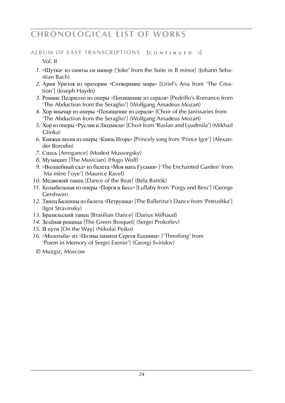### **Album of easy transcriptions** [c o n t i n u e d <sup>i</sup>]

### Vol. II

- *1*. »Шутка« из сюиты си минор ['Joke' from the Suite in B minor] (Johann Seba stian Bach)
- *2*. Ария Уриэля из оратории »Сотворение мира« [Uriel's Aria from 'The Crea tion'] (Joseph Haydn)
- *3*. Романс Педрилло из оперы »Похищение из сераля« [Pedrillo's Romance from 'The Abduction from the Seraglio'] (Wolfgang Amadeus Mozart)
- *4*. Хор янычар из оперы »Похищение из сераля« [Choir of the Janissaries from 'The Abduction from the Seraglio'] (Wolfgang Amadeus Mozart)
- *5*. Хор из оперы »Руслан и Людмила« [Choir from 'Ruslan and Lyudmila'] (Mikhail Glinka)
- *6*. Княжья песня из оперы »Князь Игорь« [Princely song from 'Prince Igor'] (Alexan der Borodin)
- *7*. Спесь [Arrogance] (Modest Mussorgsky)
- *8*. Музыкант [The Musician] (Hugo Wolf)
- *9*. »Волшебный сад« из балета »Моя мать Гусыня« ['The Enchanted Garden' from 'Ma mère l'oye'] (Maurice Ravel)
- *10*. Медвежий танец [Dance of the Bear] (Béla Bartók)
- *11*. Колыбельная из оперы »Порги и Бесс« [Lullaby from 'Porgy and Bess'] (George Gershwin)
- *12*. Танец Балеины из балета »Петрушка« [The Ballerina's Dance from 'Petrushka'] (Igor Stravinsky)
- *13*. Бразильский танец [Brasilian Dance] (Darius Milhaud)
- *14*. Зелёная рощица [The Green Bosquet] (Sergei Prokofiev)
- *15*. В пути [On the Way] (Nikolai Peiko)
- *16*. »Молотьба« из »Поэмы памяти Сергея Есенина« ['Threshing' from 'Poem in Memory of Sergei Esenin'] (Georgi Sviridov)
- © Muzgiz, Moscow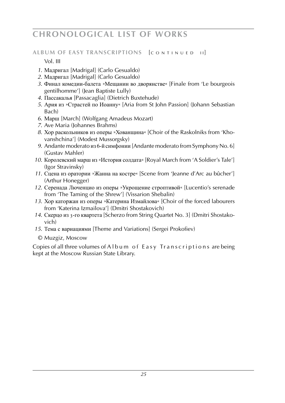#### **ALBUM OF EASY TRANSCRIPTIONS** [CONTINUED II]

### Vol. III

- *1*. Мадригал [Madrigal] (Carlo Gesualdo)
- *2*. Мадригал [Madrigal] (Carlo Gesualdo)
- *3*. Финал комедии-балета »Мещанин во дворянстве« [Finale from 'Le bourgeois gentilhomme'] (Jean Baptiste Lully)
- *4*. Пассакалья [Passacaglia] (Dietrich Buxtehude)
- *5*. Ария из »Страстей по Иоанну« [Aria from St John Passion] (Johann Sebastian Bach)
- *6*. Марш [March] (Wolfgang Amadeus Mozart)
- *7*. Ave Maria (Johannes Brahms)
- *8*. Хор раскольников из оперы »Хованщина« [Choir of the Raskolniks from 'Kho vanshchina'] (Modest Mussorgsky)
- *9*. Andante moderato из 6-й симфонии [Andante moderato from Symphony No. 6] (Gustav Mahler)
- *10*. Королевский марш из »История солдата« [Royal March from 'A Soldier's Tale'] (Igor Stravinsky)
- *11*. Сцена из оратории »Жанна на костре« [Scene from 'Jeanne d'Arc au bûcher'] (Arthur Honegger)
- *12*. Серенада Люченцио из оперы »Укрощение строптивой« [Lucentio's serenade from 'The Taming of the Shrew'] (Vissarion Shebalin)
- *13*. Хор каторжан из оперы »Катерина Измайлова« [Choir of the forced labourers from 'Katerina Izmailova'] (Dmitri Shostakovich)
- *14*. Скерцо из 3-го квартета [Scherzo from String Quartet No. 3] (Dmitri Shostako vich)
- *15*. Тема с вариациями [Theme and Variations] (Sergei Prokofiev)
- © Muzgiz, Moscow

Copies of all three volumes of Album of Easy Transcriptions are being kept at the Moscow Russian State Library.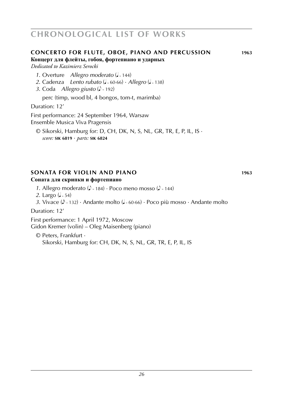### **concerto for flute, oboe, piano and percussion 1963**

**Концерт для флейты, гобоя, фортепиано и ударных**

*Dedicated to Kazimierz Serocki*

- *1*. Overture *Allegro moderato* (2-144)
- 2. Cadenza *Lento rubato* (1 ~ 60-66) · *Allegro* (1 ~ 138)
- *3*. Coda *Allegro giusto* (J ~ 192)

perc (timp, wood bl, 4 bongos, tom-t, marimba)

Duration: 12'

First performance: 24 September 1964, Warsaw Ensemble Musica Viva Pragensis

© Sikorski, Hamburg for: D, CH, DK, N, S, NL, GR, TR, E, P, IL, IS · *score:* **sik 6819** · *parts:* **sik 6824**

#### **sonata for violin and piano 1963 Соната для скрипки и фортепиано**

- 1. Allegro moderato ( $\sqrt{ }$  184)  $\cdot$  Poco meno mosso ( $\sqrt{ }$  144)
- 2. Largo (**J**<sub>~</sub> 54)
- 3. Vivace ( $\Lambda$ <sub>~</sub> 132) · Andante molto ( $\downarrow$ ~ 60-66) · Poco più mosso · Andante molto

Duration: 12'

First performance: 1 April 1972, Moscow Gidon Kremer (volin) – Oleg Maisenberg (piano)

© Peters, Frankfurt · Sikorski, Hamburg for: CH, DK, N, S, NL, GR, TR, E, P, IL, IS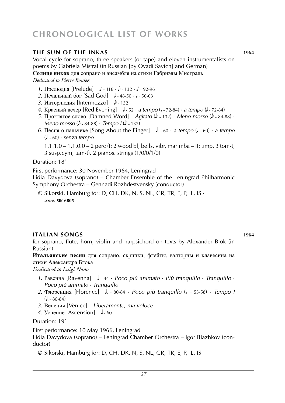### **the sun of the inkas 1964**

Vocal cycle for soprano, three speakers (or tape) and eleven instrumentalists on poems by Gabriela Mistral (in Russian [by Ovadi Savich] and German)

#### **Солнце инков** для сопрано и ансамбля на стихи Габриэлы Мистраль

*Dedicated to Pierre Boulez*

- *1*. Прелюдия [Prelude] ∴116 · ∴132 · ∴92-96
- 2. Печальный бог [Sad God] **q** ~ 48-50 · **J** ~ 56-63
- *3*. Интерлюдия [Intermezzo] → 132
- 4. Красный вечер [Red Evening]  $\int \frac{1}{2}$   *52 · a tempo* ( $\int \frac{1}{2}$  *a tempo* ( $\int \frac{1}{2}$   *72-84*)
- *5*. Проклятое слово [Damned Word] *Agitato* ( $\sqrt{ }$  132) *· Meno mosso* ( $\sqrt{ }$  84-88) *· Meno mosso* (2 ~ 84-88) · *Tempo I* (2 ~ 132)
- *6*. Песня о пальчике [Song About the Finger]  $\downarrow$   $\sim$  60  $\cdot$  *a tempo* ( $\downarrow$   $\sim$  60)  $\cdot$  *a tempo* (q . ˜ 60) · *senza tempo*

1.1.1.0 – 1.1.0.0 – 2 perc (I: 2 wood bl, bells, vibr, marimba – II: timp, 3 tom-t, 3 susp.cym, tam-t). 2 pianos. strings (1/0/0/1/0)

Duration: 18'

First performance: 30 November 1964, Leningrad

Lidia Davydova (soprano) – Chamber Ensemble of the Leningrad Philharmonic Symphony Orchestra – Gennadi Rozhdestvensky (conductor)

© Sikorski, Hamburg for: D, CH, DK, N, S, NL, GR, TR, E, P, IL, IS · *score:* **sik 6805**

#### **italian songs 1964**

for soprano, flute, horn, violin and harpsichord on texts by Alexander Blok (in Russian)

**Итальянские песни** для сопрано, скрипки, флейты, валторны и клавесина на стихи Александра Блока

*Dedicated to Luigi Nono*

- *1*. Равенна [Ravenna] <sup>h</sup> ˜ 44 · *Poco più animato* · *Più tranquillo* · *Tranquillo* · *Poco più animato* · *Tranquillo*
- 2. Флоренция [Florence] J. 80-84 · *Poco più tranquillo* (J. 53-58) · *Tempo I*  $($ .  $~80-84)$ 
	- *3*. Венеция [Venice] *Liberamente, ma veloce*
	- 4. Успение [Ascension]  $\sqrt{60}$

Duration: 19'

First performance: 10 May 1966, Leningrad

Lidia Davydova (soprano) – Leningrad Chamber Orchestra – Igor Blazhkov (conductor)

© Sikorski, Hamburg for: D, CH, DK, N, S, NL, GR, TR, E, P, IL, IS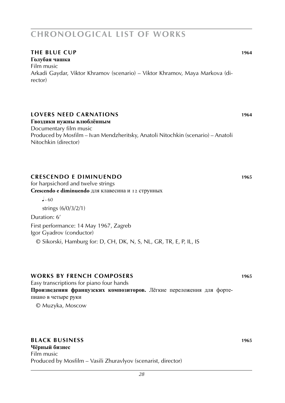### **the blue cup 1964**

**Голубая чашка** Film music Arkadi Gaydar, Viktor Khramov (scenario) – Viktor Khramov, Maya Markova (director)

### **lovers need carnations 1964**

**Гвоздики нужны влюблённым** Documentary film music Produced by Mosfilm – Ivan Mendzheritsky, Anatoli Nitochkin (scenario) – Anatoli Nitochkin (director)

#### **crescendo e diminuendo 1965**

for harpsichord and twelve strings **Crescendo e diminuendo** для клавесина и 12 струнных

 $-60$ 

strings (6/0/3/2/1)

Duration: 6'

First performance: 14 May 1967, Zagreb Igor Gyadrov (conductor)

© Sikorski, Hamburg for: D, CH, DK, N, S, NL, GR, TR, E, P, IL, IS

#### **works by french composers 1965**

Easy transcriptions for piano four hands **Произведения французских композиторов.** Лёгкие переложения для фортепиано в четыре руки

© Muzyka, Moscow

### **Black Business 1965**

**Чёрный бизнес** Film music Produced by Mosfilm – Vasili Zhuravlyov (scenarist, director)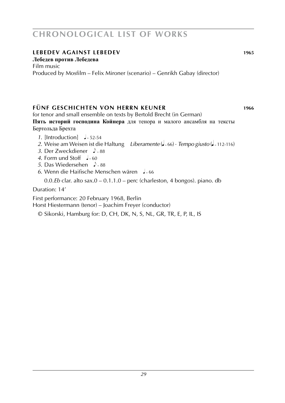### **lebedev against lebedev 1965**

**Лебедев против Лебедева** Film music Produced by Mosfilm – Felix Mironer (scenario) – Genrikh Gabay (director)

#### **fünf geschichten von herrn keuner 1966**

for tenor and small ensemble on texts by Bertold Brecht (in German)

**Пять историй господина Койнера** для тенора и малого ансамбля на тексты Бертольда Брехта

- 1. [Introduction]  $3 52 54$
- 2. Weise am Weisen ist die Haltung *Liberamente* (J<sub>~66</sub>) · *Tempo giusto* (J<sub>~</sub> 112-116)
- *3*. Der Zweckdiener • 88
- 4. Form und Stoff  $\rightarrow 60$
- *5*. Das Wiedersehen 1.88
- 6. Wenn die Haifische Menschen wären → 66

0.0.*Eb* clar. alto sax.0 – 0.1.1.0 – perc (charleston, 4 bongos). piano. db

Duration: 14'

First performance: 20 February 1968, Berlin

Horst Hiestermann (tenor) – Joachim Freyer (conductor)

© Sikorski, Hamburg for: D, CH, DK, N, S, NL, GR, TR, E, P, IL, IS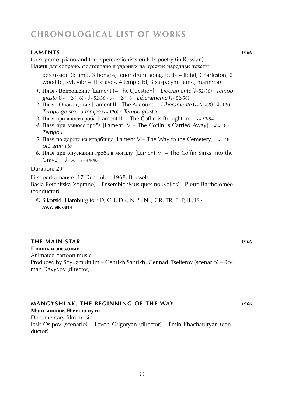#### **laments 1966**

for soprano, piano and three percussionists on folk poetry (in Russian) **Плачи** для сопрано, фортепиано и ударных на русские народные тексты

- percussion (I: timp, 3 bongos, tenor drum, gong, bells II: tgl, Charleston, 2 wood bl, xyl, vibr – III: claves, 4 temple bl, 3 susp.cym. tam-t, marimba)
- 1. Плач Вопрошение [Lament I The Question] *Liberamente* (1 52 56) *· Tempo giusto* (2 × 112-116) · 2 × 52-56 · 2 × 112-116 · *Liberamente* (2 × 52-56)
- 2. Плач Оповещение [Lament II The Account] *Liberamente* (1 63 69) · 1 120 · *Tempo giusto* · *a tempo* ( $\sqrt{ }$  - 120) · *Tempo giusto* ·
	- *3*. Плач при вносе гроба [Lament III The Coffin is Brought in] <sup>q</sup> ˜ 52-54
	- 4. Плач при выносе гроба [Lament IV The Coffin is Carried Away] 184 · *Tempo I*
	- *5*. Плач по дороге на кладбище [Lament V The Way to the Cemetery]  $\rightarrow$  48 · *più animato*
- *6*. Плач при опускании гроба в могилу [Lament VI The Coffin Sinks into the Grave  $\left[\begin{array}{cc} -56 & -444 & -48 \end{array}\right]$

Duration: 29'

First performance: 17 December 1968, Brussels

Basia Retchitska (soprano) – Ensemble 'Musiques nouvelles' – Pierre Bartholomée (conductor)

© Sikorski, Hamburg for: D, CH, DK, N, S, NL, GR, TR, E, P, IL, IS · *score:* **sik 6814**

### **the main star 1966**

**Главный звёздный** Animated cartoon music Produced by Soyuzmultfilm – Genrikh Saprikh, Gennadi Tseiferov (scenario) – Roman Davydov (director)

### **mangyshlak. the beginning of the way 1966**

**Мангышлак. Начало пути**

Documentary film music Iosif Osipov (scenario) – Levon Grigoryan (director) – Emin Khachaturyan (conductor)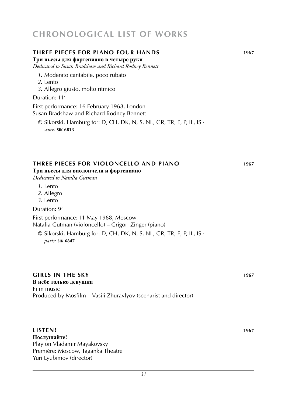#### **three pieces for piano four hands 1967**

#### **Три пьесы для фортепиано в четыре руки**

*Dedicated to Susan Bradshaw and Richard Rodney Bennett*

- *1*. Moderato cantabile, poco rubato
- *2*. Lento
- *3*. Allegro giusto, molto ritmico

#### Duration: 11'

First performance: 16 February 1968, London Susan Bradshaw and Richard Rodney Bennett

© Sikorski, Hamburg for: D, CH, DK, N, S, NL, GR, TR, E, P, IL, IS · *score:* **sik 6813**

#### **three pieces for violoncello and piano 1967**

**Три пьесы для виолончели и фортепиано**

*Dedicated to Natalia Gutman*

- *1*. Lento
- *2*. Allegro
- *3*. Lento

Duration: 9'

First performance: 11 May 1968, Moscow Natalia Gutman (violoncello) – Grigori Zinger (piano)

© Sikorski, Hamburg for: D, CH, DK, N, S, NL, GR, TR, E, P, IL, IS · *parts:* **sik 6847**

#### **girls in the sky 1967**

**В небе только девушки** Film music Produced by Mosfilm – Vasili Zhuravlyov (scenarist and director)

### **listen! 1967**

**Послушайте!** Play on Vladamir Mayakovsky Première: Moscow, Taganka Theatre Yuri Lyubimov (director)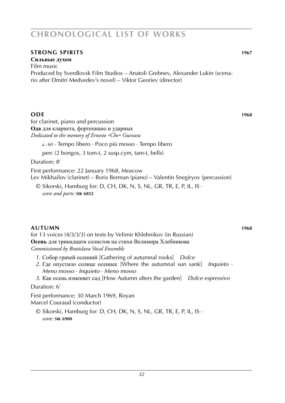### **STRONG SPIRITS** 1967

**Сильные духом**

Film music Produced by Sverdlovsk Film Studios – Anatoli Grebnev, Alexander Lukin (scenario after Dmitri Medvedev's novel) – Viktor Georiev (director)

### **ode 1968 1968 1968 1979 1979 1988 1988 1988 1988**

for clarinet, piano and percussion **Ода** для кларнета, фортепиано и ударных *Dedicated to the memory of Ernesto »Che« Guevara*

 $\Box$  60  $\cdot$  Tempo libero  $\cdot$  Poco più mosso  $\cdot$  Tempo libero

perc (2 bongos, 3 tom-t, 2 susp.cym, tam-t, bells)

Duration: 8'

First performance: 22 January 1968, Moscow

Lev Mikhailov (clarinet) – Boris Berman (piano) – Valentin Snegiryov (percussion)

© Sikorski, Hamburg for: D, CH, DK, N, S, NL, GR, TR, E, P, IL, IS · *score and parts:* **sik 6852**

#### **autumn 1968**

for 13 voices (4/3/3/3) on texts by Velimir Khlebnikov (in Russian) **Осень** для тринадцати солистов на стихи Велимира Хлебникова *Commissioned by Bratislava Vocal Ensemble*

- *1*. Собор грачей осенний [Gathering of autumnal rooks] *Dolce*
- *2*. Где опустило солнце осеннее [Where the autumnal sun sank] *Inquieto* · *Meno mosso* · *Inquieto* · *Meno mosso*
- *3*. Как осень изменяет сад [How Autumn alters the garden] *Dolce espressivo*

#### Duration: 6'

First performance: 30 March 1969, Royan Marcel Couraud (conductor)

© Sikorski, Hamburg for: D, CH, DK, N, S, NL, GR, TR, E, P, IL, IS · *score:* **sik 6900**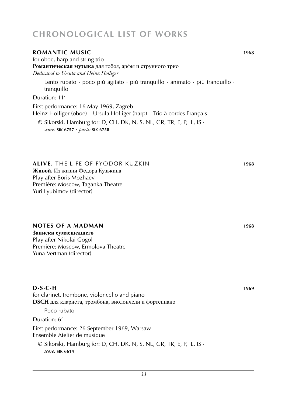#### **romantic music 1968**

for oboe, harp and string trio **Романтическая музыка** для гобоя, арфы и струнного трио *Dedicated to Ursula and Heinz Holliger*

Lento rubato  $\cdot$  poco più agitato  $\cdot$  più tranquillo  $\cdot$  animato  $\cdot$  più tranquillo  $\cdot$ tranquillo

Duration: 11'

First performance: 16 May 1969, Zagreb Heinz Holliger (oboe) – Ursula Holliger (harp) – Trio à cordes Français

© Sikorski, Hamburg for: D, CH, DK, N, S, NL, GR, TR, E, P, IL, IS · *score:* **sik 6757** · *parts:* **sik 6758**

**Alive.** the life of Fyodor kuzkin **1968 Живой.** Из жизни Фёдора Кузькина Play after Boris Mozhaev Première: Moscow, Taganka Theatre Yuri Lyubimov (director)

#### **notes of a madman 1968**

**Записки сумасшедшего** Play after Nikolai Gogol Première: Moscow, Ermolova Theatre Yuna Vertman (director)

| $D-S-C-H$<br>for clarinet, trombone, violoncello and piano<br><b>DSCH</b> для кларнета, тромбона, виолончели и фортепиано | 1969 |
|---------------------------------------------------------------------------------------------------------------------------|------|
| Poco rubato                                                                                                               |      |
| Duration: 6'                                                                                                              |      |
| First performance: 26 September 1969, Warsaw<br>Ensemble Atelier de musique                                               |      |
| © Sikorski, Hamburg for: D, CH, DK, N, S, NL, GR, TR, E, P, IL, IS ·<br>score: SIK 6614                                   |      |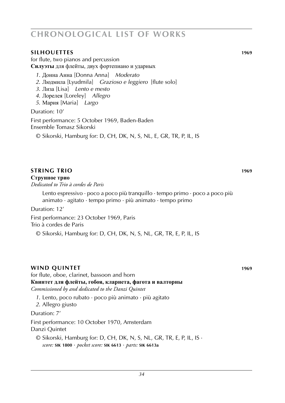#### **silhouettes 1969**

for flute, two pianos and percussion **Силуэты** для флейты, двух фортепиано и ударных

- *1*. Донна Анна [Donna Anna] *Moderato*
- *2*. Людмила [Lyudmila] *Grazioso e leggiero* [flute solo]
- *3*. Лиза [Lisa] *Lento e mesto*
- *4*. Лорелея [Loreley] *Allegro*
- *5*. Мария [Maria] *Largo*

#### Duration: 10'

First performance: 5 October 1969, Baden-Baden Ensemble Tomasz Sikorski

© Sikorski, Hamburg for: D, CH, DK, N, S, NL, E, GR, TR, P, IL, IS

#### **string trio 1969 1969 1969 1969 1969**

**Струнное трио** *Dedicated to Trio à cordes de Paris*

> Lento espressivo · poco a poco più tranquillo · tempo primo · poco a poco più animato · agitato · tempo primo · più animato · tempo primo

Duration: 12'

First performance: 23 October 1969, Paris Trio à cordes de Paris

© Sikorski, Hamburg for: D, CH, DK, N, S, NL, GR, TR, E, P, IL, IS

#### **wind quintet 1969**

for flute, oboe, clarinet, bassoon and horn **Квинтет для флейты, гобоя, кларнета, фагота и валторны** *Commissioned by and dedicated to the Danzi Quintet*

*1*. Lento, poco rubato · poco più animato · più agitato

*2*. Allegro giusto

Duration: 7'

First performance: 10 October 1970, Amsterdam Danzi Quintet

© Sikorski, Hamburg for: D, CH, DK, N, S, NL, GR, TR, E, P, IL, IS · *score:* **sik 1800** · *pocket score:* **sik 6613** · *parts:* **sik 6613a**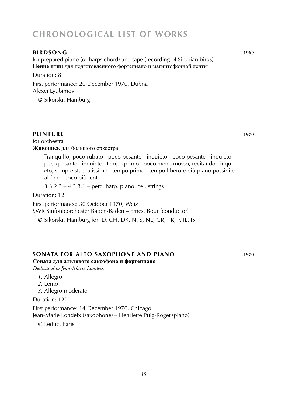#### **birdsong 1969 birds 1969 birds 1969 birds 1969 birds 1969**

for prepared piano (or harpsichord) and tape (recording of Siberian birds) **Пение птиц** для подготовленного фортепиано и магнитофонной ленты

Duration: 8'

First performance: 20 December 1970, Dubna Alexei Lyubimov

© Sikorski, Hamburg

#### **peinture 1970**

for orchestra **Живопись** для большого оркестра

> Tranquillo, poco rubato  $\cdot$  poco pesante  $\cdot$  inquieto  $\cdot$  poco pesante  $\cdot$  inquieto  $\cdot$ poco pesante · inquieto · tempo primo · poco meno mosso, recitando · inquieto, sempre staccatissimo · tempo primo · tempo libero e più piano possibile al fine · poco più lento

3.3.2.3 – 4.3.3.1 – perc. harp. piano. cel. strings

Duration: 12'

First performance: 30 October 1970, Weiz SWR Sinfonieorchester Baden-Baden – Ernest Bour (conductor)

© Sikorski, Hamburg for: D, CH, DK, N, S, NL, GR, TR, P, IL, IS

#### **sonata for alto saxophone and piano 1970**

**Соната для альтового саксофона и фортепиано**

*Dedicated to Jean-Marie Londeix*

- *1*. Allegro
- *2*. Lento
- *3*. Allegro moderato

Duration: 12'

First performance: 14 December 1970, Chicago Jean-Marie Londeix (saxophone) – Henriette Puig-Roget (piano)

© Leduc, Paris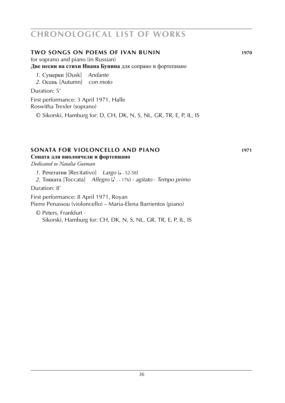#### **two songs on poems of ivan bunin 1970**

for soprano and piano (in Russian) **Две песни на стихи Ивана Бунина** для сопрано и фортепиано

*1*. Сумерки [Dusk] *Andante*

*2*. Осень [Autumn] *con moto*

Duration: 5'

First performance: 3 April 1971, Halle Roswitha Trexler (soprano)

© Sikorski, Hamburg for: D, CH, DK, N, S, NL, GR, TR, E, P, IL, IS

### **sonata for violoncello and piano 1971**

#### **Соната для виолончели и фортепиано**

*Dedicated to Natalia Gutman*

1. Речетатив [Recitativo] *Largo* (1-52-58)

 $2$ . Токката [Toccata] *Allegro* (♪.∼176) · *agitato* · *Tempo primo* 

Duration: 8'

First performance: 8 April 1971, Royan Pierre Penassou (violoncello) – Maria-Elena Barrientos (piano)

© Peters, Frankfurt · Sikorski, Hamburg for: CH, DK, N, S, NL, GR, TR, E, P, IL, IS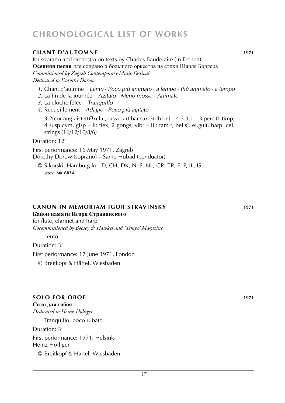#### **chant d'automne 1971**

for soprano and orchestra on texts by Charles Baudelaire (in French) **Осенняя песня** для сопрано и большого оркестра на стихи Шарля Бодлера *Commissioned by Zagreb Contemporary Music Festival Dedicated to Dorothy Dorow*

*1*. Chant d'autmne *Lento* · *Poco più animato* · *a tempo* · *Più animato* · *a tempo*

- *2*. La fin de la journée *Agitato* · *Meno mosso* · *Animato*
- *3*. La cloche fêlée *Tranquillo*
- *4*. Recueillement *Adagio* · *Poco più agitato*

3.2(cor anglais).4(*Eb* clar,bass clar).bar sax.3(db bn) – 4.3.3.1 – 3 perc (I: timp, 4 susp.cym, glsp – II: flex, 2 gongs, vibr – III: tam-t, bells). el.guit. harp. cel. strings (16/12/10/8/6)

Duration: 12'

First performance: 16 May 1971, Zagreb Dorothy Dorow (soprano) – Samo Hubad (conductor)

© Sikorski, Hamburg for: D, CH, DK, N, S, NL, GR, TR, E, P, IL, IS ·

*score:* **sik 6834**

#### **canon in memoriam igor stravinsky 1971 Канон памяти Игоря Стравинского**

for flute, clarinet and harp *Cocommissioned by Boosey & Hawkes and 'Tempo' Magazine*

Lento

Duration: 3'

First performance: 17 June 1971, London

© Breitkopf & Härtel, Wiesbaden

#### **solo for oboe 1971**

**Соло для гобоя** *Dedicated to Heinz Holliger*

Tranquillo, poco rubato

Duration: 3'

First performance: 1971, Helsinki Heinz Holliger

© Breitkopf & Härtel, Wiesbaden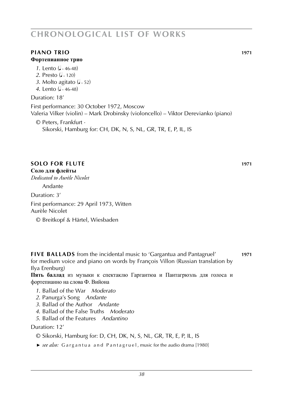## **piano trio 1971**

#### **Фортепианное трио**

- *1*. Lento ( $\sqrt{3}$  46-48)
- 2. Presto (**J**<sub>~</sub> 120)
- *3*. Molto agitato (J ~ 52)
- 4. Lento (**J** ~ 46-48)

### Duration: 18'

First performance: 30 October 1972, Moscow Valeria Vilker (violin) – Mark Drobinsky (violoncello) – Viktor Derevianko (piano)

© Peters, Frankfurt · Sikorski, Hamburg for: CH, DK, N, S, NL, GR, TR, E, P, IL, IS

### **solo for flute 1971**

**Соло для флейты**

*Dedicated to Aurèle Nicolet*

Andante

Duration: 3'

First performance: 29 April 1973, Witten Aurèle Nicolet

© Breitkopf & Härtel, Wiesbaden

**five ballads** from the incidental music to 'Gargantua and Pantagruel' **1971** for medium voice and piano on words by François Villon (Russian translation by Ilya Erenburg)

**Пять баллад** из музыки к спектаклю Гаргантюа и Пантагрюэль для голоса и фортепианно на слова Ф. Вийона

- *1*. Ballad of the War *Moderato*
- *2*. Panurga's Song *Andante*
- *3*. Ballad of the Author *Andante*
- *4*. Ballad of the False Truths *Moderato*
- *5*. Ballad of the Features *Andantino*

Duration: 12'

© Sikorski, Hamburg for: D, CH, DK, N, S, NL, GR, TR, E, P, IL, IS

► *see also:* Gargantua and Pantagrue I, music for the audio drama [1980]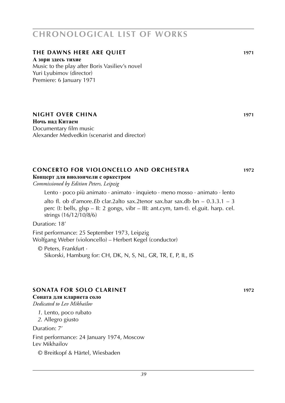## **the DAWNS HERE ARE QUIET** 1971

**А зори здесь тихие** Music to the play after Boris Vasiliev's novel Yuri Lyubimov (director) Premiere: 6 January 1971

## **Night over china 1971**

**Ночь над Китаем** Documentary film music Alexander Medvedkin (scenarist and director)

## **concerto for violoncello and orchestra 1972**

#### **Концерт для виолончели с оркестром**

*Commissioned by Edition Peters, Leipzig*

Lento · poco più animato · animato · inquieto · meno mosso · animato · lento

alto fl. ob d'amore.*Eb* clar.2alto sax.2tenor sax.bar sax.db bn  $-0.3.3.1 - 3$ perc (I: bells, glsp – II: 2 gongs, vibr – III: ant.cym, tam-t). el.guit. harp. cel. strings (16/12/10/8/6)

Duration: 18'

First performance: 25 September 1973, Leipzig Wolfgang Weber (violoncello) – Herbert Kegel (conductor)

© Peters, Frankfurt · Sikorski, Hamburg for: CH, DK, N, S, NL, GR, TR, E, P, IL, IS

### **sonata for solo clarinet 1972**

**Соната для кларнета соло** *Dedicated to Lev Mikhailov*

*1*. Lento, poco rubato

*2*. Allegro giusto

Duration: 7'

First performance: 24 January 1974, Moscow Lev Mikhailov

© Breitkopf & Härtel, Wiesbaden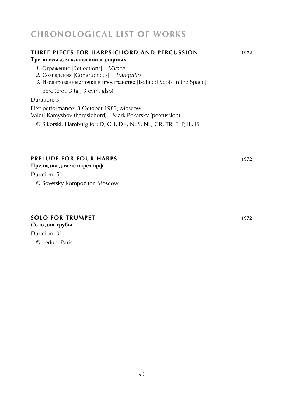#### **three pieces for harpsichord and percussion 1972**

#### **Три пьесы для клавесина и ударных**

- *1*. Отражения [Reflections] *Vivace*
- *2*. Совпадения [Congruences] *Tranquillo*

*3*. Изолированные точки в пространстве [Isolated Spots in the Space]

perc (crot, 3 tgl, 3 cym, glsp)

#### Duration: 5'

First performance: 8 October 1983, Moscow Valeri Kamyshov (harpsichord) – Mark Pekarsky (percussion)

© Sikorski, Hamburg for: D, CH, DK, N, S, NL, GR, TR, E, P, IL, IS

#### **prelude for four harps 1972 Прелюдия для четырёх арф**

Duration: 5'

© Sovetsky Kompozitor, Moscow

#### **solo for trumpet 1972 Соло для трубы**

Duration: 3' © Leduc, Paris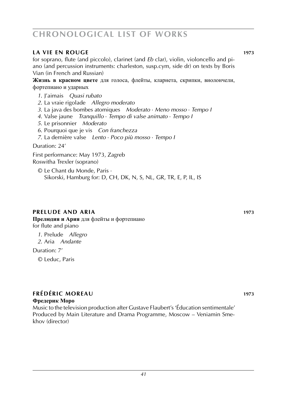#### **la vie en rouge 1973**

for soprano, flute (and piccolo), clarinet (and *Eb* clar), violin, violoncello and piano (and percussion instruments: charleston, susp.cym, side dr) on texts by Boris Vian (in French and Russian)

**Жизнь в красном цвете** для голоса, флейты, кларнета, скрипки, виолончели, фортепиано и ударных

- *1*. J'aimais *Quasi rubato*
- *2*. La vraie rigolade *Allegro moderato*
- *3*. La java des bombes atomiques *Moderato* · *Meno mosso* · *Tempo I*
- *4*. Valse jaune *Tranquillo* · *Tempo di valse animato* · *Tempo I*
- *5*. Le prisonnier *Moderato*
- *6*. Pourquoi que je vis *Con franchezza*
- *7*. La dernière valse *Lento* · *Poco più mosso* · *Tempo I*

Duration: 24'

First performance: May 1973, Zagreb Roswitha Trexler (soprano)

© Le Chant du Monde, Paris · Sikorski, Hamburg for: D, CH, DK, N, S, NL, GR, TR, E, P, IL, IS

#### **PRELUDE AND ARIA** 1973

**Прелюдия и Ария** для флейты и фортепиано for flute and piano

*1*. Prelude *Allegro*

*2*. Aria *Andante*

Duration: 7'

© Leduc, Paris

## **frÉdéric moreau 1973**

**Фредерик Моро**

Music to the television production after Gustave Flaubert's 'Éducation sentimentale' Produced by Main Literature and Drama Programme, Moscow – Veniamin Smekhov (director)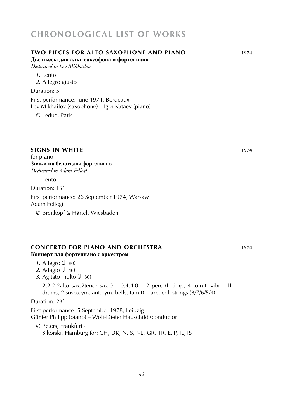## **two pieces for alto saxophone and piano 1974**

**Две пьесы для альт-саксофона и фортепиано** *Dedicated to Lev Mikhailov*

*1*. Lento *2*. Allegro giusto

Duration: 5'

First performance: June 1974, Bordeaux Lev Mikhailov (saxophone) – Igor Kataev (piano)

© Leduc, Paris

## **signs in white 1974**

for piano **Знаки на белом** для фортепиано *Dedicated to Adam Fellegi*

Lento

Duration: 15' First performance: 26 September 1974, Warsaw Adam Fellegi © Breitkopf & Härtel, Wiesbaden

## **concerto for piano and orchestra 1974 Концерт для фортепиано с оркестром**

- *1*. Allegro ( $\sqrt{ }$ -80)
- 2. Adagio (**J** ~ 46)
- 3. Agitato molto ( $\sqrt{3}$  80)

2.2.2.2alto sax.2tenor sax.0 – 0.4.4.0 – 2 perc (I: timp, 4 tom-t, vibr – II: drums, 2 susp.cym. ant.cym. bells, tam-t). harp. cel. strings (8/7/6/5/4)

Duration: 28'

First performance: 5 September 1978, Leipzig

Günter Philipp (piano) – Wolf-Dieter Hauschild (conductor)

© Peters, Frankfurt ·

Sikorski, Hamburg for: CH, DK, N, S, NL, GR, TR, E, P, IL, IS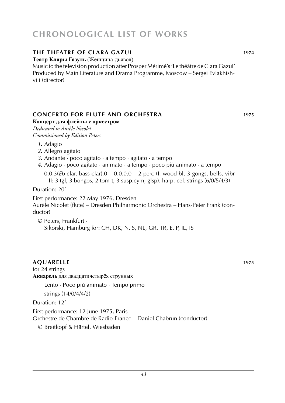### **the theatre of clara gazul 1974**

**Театр Клары Газуль** (Женщина-дьявол)

Music to the television production after Prosper Mérimé's 'Le théâtre de Clara Gazul' Produced by Main Literature and Drama Programme, Moscow – Sergei Evlakhishvili (director)

#### **concerto for flute and orchestra 1975 Концерт для флейты с оркестром**

*Dedicated to Aurèle Nicolet Commissioned by Edition Peters*

- *1*. Adagio
- *2*. Allegro agitato

*3*. Andante · poco agitato · a tempo · agitato · a tempo

*4*. Adagio · poco agitato · animato · a tempo · poco più animato · a tempo

0.0.3(*Eb* clar, bass clar).0 – 0.0.0.0 – 2 perc (I: wood bl, 3 gongs, bells, vibr

– II: 3 tgl, 3 bongos, 2 tom-t, 3 susp.cym, glsp). harp. cel. strings (6/0/5/4/3)

Duration: 20'

First performance: 22 May 1976, Dresden Aurèle Nicolet (flute) – Dresden Philharmonic Orchestra – Hans-Peter Frank (conductor)

© Peters, Frankfurt · Sikorski, Hamburg for: CH, DK, N, S, NL, GR, TR, E, P, IL, IS

### **aquarelle 1975**

for 24 strings

**Акварель** для двадцатичетырёх струнных

Lento · Poco più animato · Tempo primo

strings (14/0/4/4/2)

Duration: 12'

First performance: 12 June 1975, Paris

Orchestre de Chambre de Radio-France – Daniel Chabrun (conductor)

© Breitkopf & Härtel, Wiesbaden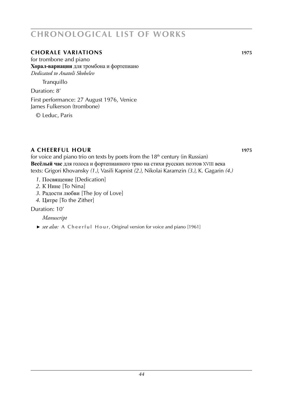#### **chorale variations 1975**

for trombone and piano **Хорал-вариации** для тромбона и фортепиано *Dedicated to Anatoli Skobelev*

**Tranquillo** 

Duration: 8'

First performance: 27 August 1976, Venice James Fulkerson (trombone)

© Leduc, Paris

## **a cheerful hour 1975**

for voice and piano trio on texts by poets from the  $18<sup>th</sup>$  century (in Russian) **Весёлый час** для голоса и фортепианного трио на стихи русских поэтов XVIII века texts: Grigori Khovansky *(1.)*, Vasili Kapnist *(2.)*, Nikolai Karamzin *(3.)*, K. Gagarin *(4.)*

- *1*. Посвящение [Dedication]
- *2*. К Нине [To Nina]
- *3*. Радости любви [The Joy of Love]
- *4*. Цитре [To the Zither]

Duration: 10'

 *Manuscript*

► *see also:* A Cheerful Hour, Original version for voice and piano [1961]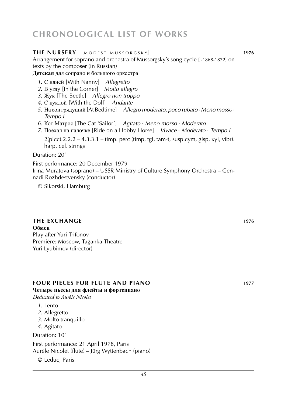#### **THE NURSERY** [MODEST MUSSORGSKY] **1976**

Arrangement for soprano and orchestra of Mussorgsky's song cycle [~1868-1872] on texts by the composer (in Russian)

**Детская** для сопрано и большого оркестра

- *1*. С няней [With Nanny] *Allegretto*
- *2*. В углу [In the Corner] *Molto allegro*
- *3*. Жук [The Beetle] *Allegro non troppo*
- *4*. С куклой [With the Doll] *Andante*
- *5*. На сон грядущий [At Bedtime] *Allegro moderato, poco rubato* · *Meno mosso* · *Tempo I*
- *6*. Кот Матрос [The Cat 'Sailor'] *Agitato* · *Meno mosso* · *Moderato*
- *7*. Поехал на палочке [Ride on a Hobby Horse] *Vivace* · *Moderato* · *Tempo I*  $2(pice)$ .2.2.2 – 4.3.3.1 – timp. perc (timp, tgl, tam-t, susp.cym, glsp, xyl, vibr). harp. cel. strings

Duration: 20'

First performance: 20 December 1979 Irina Muratova (soprano) – USSR Ministry of Culture Symphony Orchestra – Gennadi Rozhdestvensky (conductor)

© Sikorski, Hamburg

## **the exchange 1976**

**Обмен**

Play after Yuri Trifonov Première: Moscow, Taganka Theatre Yuri Lyubimov (director)

### **four pieces for flute and piano 1977**

#### **Четыре пьесы для флейты и фортепиано**

*Dedicated to Aurèle Nicolet*

- *1*. Lento
- *2*. Allegretto
- *3*. Molto tranquillo
- *4*. Agitato

Duration: 10'

First performance: 21 April 1978, Paris Aurèle Nicolet (flute) – Jürg Wyttenbach (piano)

© Leduc, Paris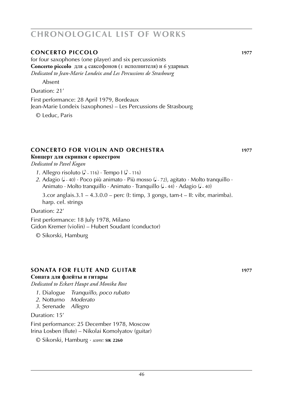### **concerto piccolo 1977**

for four saxophones (one player) and six percussionists **Concerto piccolo** для 4 саксофонов (1 исполнителя) и 6 ударных *Dedicated to Jean-Marie Londeix and Les Percussions de Strasbourg*

Absent

Duration: 21'

First performance: 28 April 1979, Bordeaux Jean-Marie Londeix (saxophones) – Les Percussions de Strasbourg

© Leduc, Paris

### **concerto for violin and orchestra 1977**

#### **Концерт для скрипки с оркестром**

*Dedicated to Pavel Kogan*

- 1. Allegro risoluto ( $\sqrt{ }$  116)  $\cdot$  Tempo I ( $\sqrt{ }$  116)
- 2. Adagio (J. 40) · Poco più animato · Più mosso (J. 72), agitato · Molto tranquillo · Animato • Molto tranquillo • Animato • Tranquillo (J <sub>~</sub> 44) • Adagio (J <sub>~</sub> 40)

3.cor anglais.3.1 – 4.3.0.0 – perc ( $\ell$ : timp, 3 gongs, tam-t –  $\ell$ l: vibr, marimba). harp. cel. strings

Duration: 22'

First performance: 18 July 1978, Milano Gidon Kremer (violin) – Hubert Soudant (conductor)

© Sikorski, Hamburg

#### **sonata for flute and guitar 1977**

**Соната для флейты и гитары**

*Dedicated to Eckart Haupt and Monika Rost*

- *1*. Dialogue *Tranquillo, poco rubato*
- *2*. Notturno *Moderato*
- *3*. Serenade *Allegro*

Duration: 15'

First performance: 25 December 1978, Moscow Irina Losben (flute) – Nikolai Komolyatov (guitar)

© Sikorski, Hamburg · *score:* **sik 2260**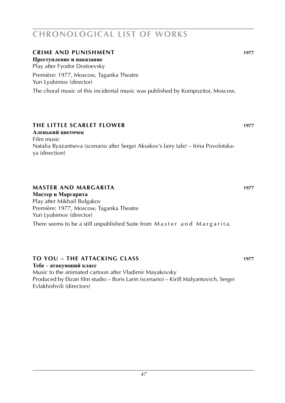### **crime and punishment 1977**

**Преступление и наказание**

Play after Fyodor Dostoevsky Première: 1977, Moscow, Taganka Theatre

Yuri Lyubimov (director)

The choral music of this incidental music was published by Kompozitor, Moscow.

### **the little scarlet flower 1977**

**Аленький цветочек** Film music Natalia Ryazantseva (scenario after Sergei Aksakov's fairy tale) – Irina Povolotskaya (direction)

### **master and margarita 1977**

**Мастер и Маргарита** Play after Mikhail Bulgakov Première: 1977, Moscow, Taganka Theatre Yuri Lyubimov (director) There seems to be a still unpublished Suite from Master and Margarita.

## **to you – the attacking class 1977**

**Тебе** – **атакующий класс** Music to the animated cartoon after Vladimir Mayakovsky Produced by Ekran film studio – Boris Larin (scenario) – Kirill Malyantovich, Sergei Evlakhishvili (directors)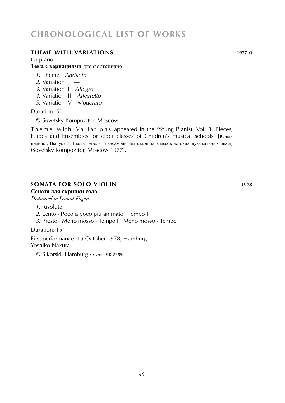#### **theme with variations 1977**(**?**)

for piano **Тема с вариациями** для фортепиано

- *1*. Theme *Andante*
- *2*. Variation I *—*
- *3*. Variation II *Allegro*
- *4*. Variation III *Allegretto*
- *5*. Variation IV *Moderato*

Duration: 5'

© Sovetsky Kompozitor, Moscow

The me with Variations appeared in the 'Young Pianist, Vol. 3. Pieces, Etudes and Ensembles for elder classes of Children's musical schools' [Юный пианист, Выпуск 3. Пьесы, этюды и ансамбли для старших классов детских музыкальных школ] (Sovetsky Kompozitor, Moscow 1977).

### **sonata for solo violin 1978**

**Соната для скрипки соло**

*Dedicated to Leonid Kogan*

- *1*. Risoluto
- *2*. Lento · Poco a poco più animato · Tempo I
- *3*. Presto · Meno mosso · Tempo I · Meno mosso · Tempo I

Duration: 15'

First performance: 19 October 1978, Hamburg Yoshiko Nakura

© Sikorski, Hamburg · *score:* **sik 2259**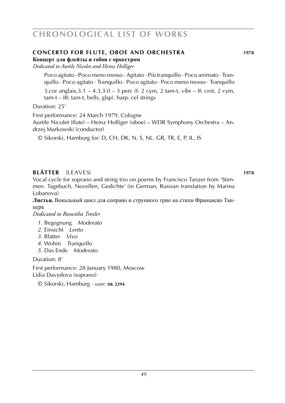#### **concerto for flute, oboe and orchestra 1978**

**Концерт для флейты и гобоя с оркестром**

*Dedicated to Aurèle Nicolet and Heinz Holliger*

Poco agitato · Poco meno mosso · Agitato · Più tranquillo · Poco animato · Tranquillo · Poco agitato · Tranquillo · Poco agitato · Poco meno mosso · Tranquillo

3.cor anglais.3.1 – 4.3.3.0 – 3 perc (I: 2 cym, 2 tam-t, vibr – II: crot, 2 cym, tam-t – III: tam-t, bells, glsp). harp. cel strings

Duration: 25'

First performance: 24 March 1979, Cologne Aurèle Nicolet (flute) – Heinz Holliger (oboe) – WDR Symphony Orchestra – Andrzej Markowski (conductor)

© Sikorski, Hamburg for: D, CH, DK, N, S, NL, GR, TR, E, P, IL, IS

### **blätter** (leaves) **1978**

Vocal cycle for soprano and string trio on poems by Francisco Tanzer from 'Stimmen. Tagebuch, Novellen, Gedichte' (in German, Russian translation by Marina Lobanova)

**Листья.** Вокальный цикл для сопрано и струнного трио на стихи Франциско Танцера

*Dedicated to Roswitha Trexler*

- *1*. Begegnung *Moderato*
- *2*. Einsicht *Lento*
- *3*. Blätter *Vivo*
- *4*. Wohin *Tranquillo*
- *5*. Das Ende *Moderato*

Duration: 8'

First performance: 28 January 1980, Moscow Lidia Davydova (soprano)

© Sikorski, Hamburg · *score:* **sik 2294**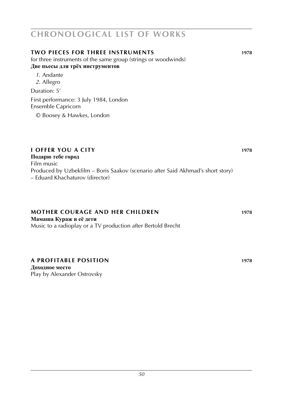## **two pieces for three instruments 1978**

#### for three instruments of the same group (strings or woodwinds) **Две пьесы для трёх инструментов**

- *1*. Andante
- *2*. Allegro

Duration: 5'

## First performance: 3 July 1984, London Ensemble Capricorn

© Boosey & Hawkes, London

### **i offer you a city 1978**

**Подарю тебе город** Film music Produced by Uzbekfilm – Boris Saakov (scenario after Said Akhmad's short story) – Eduard Khachaturov (director)

#### **mother courage and her children 1978 Мамаша Кураж и её дети**

Music to a radioplay or a TV production after Bertold Brecht

## **a profitable position 1978**

**Доходное место** Play by Alexander Ostrovsky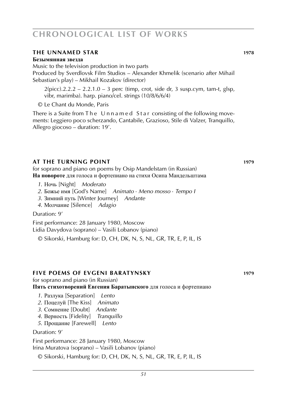### **the unnamed star 1978**

#### **Безымянная звезда**

Music to the television production in two parts

Produced by Sverdlovsk Film Studios – Alexander Khmelik (scenario after Mihail Sebastian's play) – Mikhail Kozakov (director)

 $2(pice)$ ,  $2.2.2 - 2.2.1.0 - 3$  perc (timp, crot, side dr, 3 susp.cym, tam-t, glsp, vibr, marimba). harp. piano/cel. strings (10/8/6/6/4)

© Le Chant du Monde, Paris

There is a Suite from T h e U n n a m e d S t a r consisting of the following movements: Leggiero poco scherzando, Cantabile, Grazioso, Stile di Valzer, Tranquillo, Allegro giocoso – duration: 19'.

#### **at the turning point 1979**

for soprano and piano on poems by Osip Mandelstam (in Russian) **На повороте** для голоса и фортепиано на стихи Осипа Мандельштама

- *1*. Ночь [Night] *Moderato*
- *2*. Божье имя [God's Name] *Animato* · *Meno mosso* · *Tempo I*
- *3*. Зимний путь [Winter Journey] *Andante*
- *4*. Молчание [Silence] *Adagio*

Duration: 9'

First performance: 28 January 1980, Moscow Lidia Davydova (soprano) – Vasili Lobanov (piano)

© Sikorski, Hamburg for: D, CH, DK, N, S, NL, GR, TR, E, P, IL, IS

#### **five poems of evgeni baratynsky 1979**

for soprano and piano (in Russian)

**Пять стихотворений Евгения Баратынского** для голоса и фортепиано

- *1*. Разлука [Separation] *Lento*
- *2*. Поцелуй [The Kiss] *Animato*
- *3*. Сомнение [Doubt] *Andante*
- *4*. Верность [Fidelity] *Tranquillo*
- *5*. Прощание [Farewell] *Lento*

#### Duration: 9'

First performance: 28 January 1980, Moscow Irina Muratova (soprano) – Vasili Lobanov (piano)

© Sikorski, Hamburg for: D, CH, DK, N, S, NL, GR, TR, E, P, IL, IS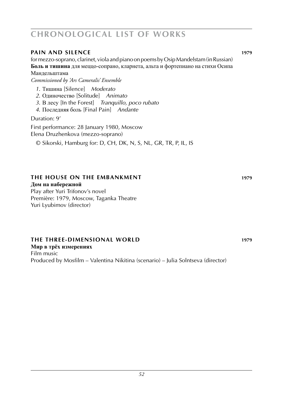#### **pain and silence 1979**

for mezzo-soprano, clarinet, viola and piano on poems by Osip Mandelstam (in Russian) **Боль и тишина** для меццо-сопрано, кларнета, альта и фортепиано на стихи Осипа Мандельштама

*Commissioned by 'Ars Cameralis' Ensemble*

- *1*. Тишина [Silence] *Moderato*
- *2*. Одиночество [Solitude] *Animato*
- *3*. В лесу [In the Forest] *Tranquillo, poco rubato*
- *4*. Последняя боль [Final Pain] *Andante*

Duration: 9'

First performance: 28 January 1980, Moscow Elena Druzhenkova (mezzo-soprano)

© Sikorski, Hamburg for: D, CH, DK, N, S, NL, GR, TR, P, IL, IS

#### **the house on the embankment 1979 Дом на набережной**

Play after Yuri Trifonov's novel Première: 1979, Moscow, Taganka Theatre Yuri Lyubimov (director)

### **the three-dimensional world 1979**

**Мир в трёх измерениях** Film music Produced by Mosfilm – Valentina Nikitina (scenario) – Julia Solntseva (director)

*52*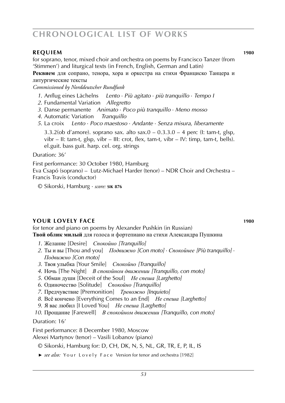#### **requiem 1980**

for soprano, tenor, mixed choir and orchestra on poems by Francisco Tanzer (from 'Stimmen') and liturgical texts (in French, English, German and Latin)

**Реквием** для сопрано, тенора, хора и оркестра на стихи Франциско Танцера и литургические тексты

*Commissioned by Norddeutscher Rundfunk*

- *1*. Anflug eines Lächelns *Lento* · *Più agitato* · *più tranquillo* · *Tempo I*
- *2*. Fundamental Variation *Allegretto*
- *3*. Danse permanente *Animato* · *Poco più tranquillo* · *Meno mosso*
- *4*. Automatic Variation *Tranquillo*
- *5*. La croix *Lento* · *Poco maestoso* · *Andante* · *Senza misura, liberamente*

 $3.3.2$ (ob d'amore). soprano sax. alto sax. $0 - 0.3.3.0 - 4$  perc (I: tam-t, glsp, vibr – II: tam-t, glsp, vibr – III: crot, flex, tam-t, vibr – IV: timp, tam-t, bells). el.guit. bass guit. harp. cel. org. strings

Duration: 36'

First performance: 30 October 1980, Hamburg Eva Csapó (soprano) – Lutz-Michael Harder (tenor) – NDR Choir and Orchestra – Francis Travis (conductor)

© Sikorski, Hamburg · *score:* **sik 876**

### **your lovely face 1980**

for tenor and piano on poems by Alexander Pushkin (in Russian) **Твой облик милый** для голоса и фортепиано на стихи Александра Пушкина

- *1*. Желание [Desire] *Спокойно [Tranquillo]*
- *2*. Ты и вы [Thou and you] *Подвижно [Con moto]* · *Спокойнее [Più tranquillo]* · *Подвижно [Con moto]*
- *3*. Твоя улыбка [Your Smile] *Спокойно [Tranquillo]*
- *4*. Ночь [The Night] *В спокойном движении [Tranquillo, con moto]*
- *5*. Обман души [Deceit of the Soul] *Не спеша [Larghetto]*
- *6*. Одиночество [Solitude] *Спокойно [Tranquillo]*
- *7*. Предчувствие [Premonition] *Тревожно [Inquieto]*
- *8*. Всё кончено [Everything Comes to an End] *Не спеша [Larghetto]*
- *9*. Я вас любил [I Loved You] *Не спеша [Larghetto]*

*10*. Прощание [Farewell] *В спокойном движении [Tranquillo, con moto]*

Duration: 16'

First performance: 8 December 1980, Moscow

Alexei Martynov (tenor) – Vasili Lobanov (piano)

- © Sikorski, Hamburg for: D, CH, DK, N, S, NL, GR, TR, E, P, IL, IS
- ► *see also:* Your Lovely Face Version for tenor and orchestra [1982]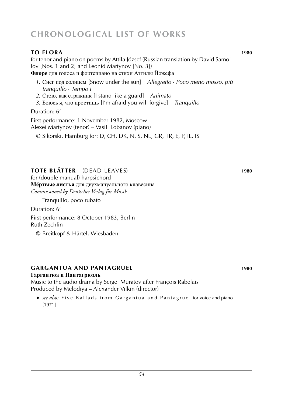#### **to flora 1980**

for tenor and piano on poems by Attila József (Russian translation by David Samoilov [Nos. 1 and 2] and Leonid Martynov [No. 3])

**Флоре** для голоса и фортепиано на стихи Аттилы Йожефа

- *1*. Снег под солнцем [Snow under the sun] *Allegretto* · *Poco meno mosso, più tranquillo* · *Tempo I*
- *2*. Стою, как стражник [I stand like a guard] *Animato*
- *3*. Боюсь я, что простишь [I'm afraid you will forgive] *Tranquillo*

Duration: 6'

First performance: 1 November 1982, Moscow Alexei Martynov (tenor) – Vasili Lobanov (piano)

© Sikorski, Hamburg for: D, CH, DK, N, S, NL, GR, TR, E, P, IL, IS

## **tote blätter** (dead leaves) **1980**

for (double manual) harpsichord

**Мёртвые листья** для двухмануального клавесина *Commissioned by Deutscher Verlag für Musik*

Tranquillo, poco rubato

Duration: 6'

First performance: 8 October 1983, Berlin Ruth Zechlin

© Breitkopf & Härtel, Wiesbaden

### **Gargantua and pantagruel 1980**

**Гаргантюа и Пантагрюэль**

Music to the audio drama by Sergei Muratov after François Rabelais Produced by Melodiya – Alexander Vilkin (director)

► *see also*: Five Ballads from Gargantua and Pantagruel for voice and piano [1971]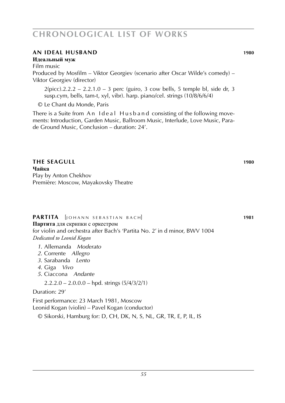### **an ideal husband 1980**

**Идеальный муж**

Film music Produced by Mosfilm – Viktor Georgiev (scenario after Oscar Wilde's comedy) – Viktor Georgiev (director)

 $2$ (picc).2.2.2 – 2.2.1.0 – 3 perc (guiro, 3 cow bells, 5 temple bl, side dr, 3 susp.cym, bells, tam-t, xyl, vibr). harp. piano/cel. strings (10/8/6/6/4)

© Le Chant du Monde, Paris

There is a Suite from An I deal Husband consisting of the following movements: Introduction, Garden Music, Ballroom Music, Interlude, Love Music, Parade Ground Music, Conclusion – duration: 24'.

**the seagull 1980 Чайка** Play by Anton Chekhov Première: Moscow, Mayakovsky Theatre

## **PARTITA** [JOHANN SEBASTIAN BACH] **1981**

**Партита** для скрипки с оркестром for violin and orchestra after Bach's 'Partita No. 2' in d minor, BWV 1004 *Dedicated to Leonid Kogan*

- *1*. Allemanda *Moderato*
- *2*. Corrente *Allegro*
- *3*. Sarabanda *Lento*
- *4*. Giga *Vivo*
- *5*. Ciaccona *Andante*

 $2.2.2.0 - 2.0.0.0 - \text{hpd.}$  strings  $\left(\frac{5}{4}\right)\left(\frac{3}{2}\right)$ 

Duration: 29'

First performance: 23 March 1981, Moscow Leonid Kogan (violin) – Pavel Kogan (conductor)

© Sikorski, Hamburg for: D, CH, DK, N, S, NL, GR, TR, E, P, IL, IS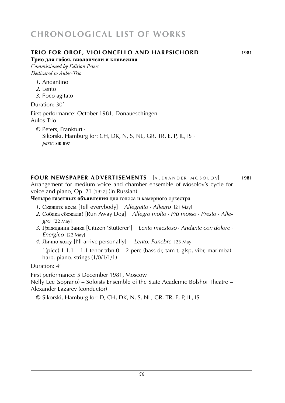#### **trio for oboe, violoncello and harpsichord 1981**

**Трио для гобоя, виолончели и клавесина**

*Commissioned by Edition Peters Dedicated to Aulos-Trio*

- *1*. Andantino
- *2*. Lento
- *3*. Poco agitato

Duration: 30'

First performance: October 1981, Donaueschingen Aulos-Trio

© Peters, Frankfurt · Sikorski, Hamburg for: CH, DK, N, S, NL, GR, TR, E, P, IL, IS · *parts:* **sik 897**

**FOUR NEWSPAPER ADVERTISEMENTS** [ALEXANDER MOSOLOV] 1981 Arrangement for medium voice and chamber ensemble of Mosolov's cycle for voice and piano, Op. 21 [1927] (in Russian) **Четыре газетных объявления** для голоса и камерного оркестра

- *1*. Скажите всем [Tell everybody] *Allegretto* · *Allegro* [21 May]
- *2*. Собака сбежала! [Run Away Dog] *Allegro molto* · *Più mosso* · *Presto* · *Alle gro* [22 May]
- *3*. Гражданин Заика [Citizen 'Stutterer'] *Lento maestoso* · *Andante con dolore* · *Energico* [22 May]

*4*. Лично хожу [I'll arrive personally] *Lento. Funebre* [23 May]

 $1(pice).1.1.1 - 1.1.1$  tenor trbn. $0 - 2$  perc (bass dr, tam-t, glsp, vibr, marimba). harp. piano. strings (1/0/1/1/1)

Duration: 4'

First performance: 5 December 1981, Moscow Nelly Lee (soprano) – Soloists Ensemble of the State Academic Bolshoi Theatre – Alexander Lazarev (conductor)

© Sikorski, Hamburg for: D, CH, DK, N, S, NL, GR, TR, E, P, IL, IS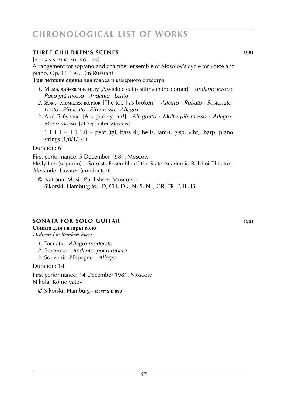## **three children's scenes 1981**

 $[ALFXANDER MOSOLOV]$ 

Arrangement for soprano and chamber ensemble of Mosolov's cycle for voice and piano, Op. 18 [1927] (in Russian)

**Три детские сцены** для голоса и камерного оркестра

- *1*. Мама, дай-ка мне иглу [A wicked cat is sitting in the corner] *Andante feroce* · *Poco più mosso* · *Andante* · *Lento*
- *2*. Жж,.. сломался волчок [The top has broken] *Allegro* · *Rubato* · *Sostenuto* · *Lento* · *Più lento* · *Più mosso* · *Allegro*
- *3*. А-а! Бабушка! [Ah, granny, ah!] *Allegretto* · *Molto più mosso* · *Allegro* · *Meno mosso* [21 September, Moscow]

 $1.1.1.1 - 1.1.1.0 -$  perc (tgl, bass dr, bells, tam-t, glsp, vibr). harp. piano. strings (1/0/1/1/1)

Duration: 6'

First performance: 5 December 1981, Moscow Nelly Lee (soprano) – Soloists Ensemble of the State Academic Bolshoi Theatre – Alexander Lazarev (conductor)

© National Music Publishers, Moscow · Sikorski, Hamburg for: D, CH, DK, N, S, NL, GR, TR, P, IL, IS

### **sonata for solo guitar 1981**

### **Соната для гитары соло**

*Dedicated to Reinbert Evers*

- *1*. Toccata *Allegro moderato*
- *2*. Berceuse *Andante, poco rubato*
- *3*. Souvenir d'Espagne *Allegro*

Duration: 14'

First performance: 14 December 1981, Moscow Nikolai Komolyatov

© Sikorski, Hamburg · *score:* **sik 890**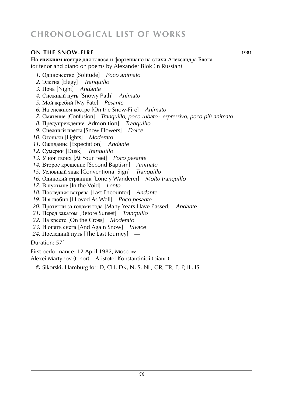### **on the snow-fire 1981**

**На снежном костре** для голоса и фортепиано на стихи Александра Блока for tenor and piano on poems by Alexander Blok (in Russian)

- . Одиночество [Solitude] *Poco animato*
- . Элегия [Elegy] *Tranquillo*
- . Ночь [Night] *Andante*
- . Снежный путь [Snowy Path] *Animato*
- . Мой жребий [My Fate] *Pesante*
- . На снежном костре [On the Snow-Fire] *Animato*
- . Смятение [Confusion] *Tranquillo, poco rubato* · *espressivo, poco più animato*
- . Предупреждение [Admonition] *Tranquillo*
- . Снежный цветы [Snow Flowers] *Dolce*
- . Огоньки [Lights] *Moderato*
- . Ожидание [Expectation] *Andante*
- . Сумерки [Dusk] *Tranquillo*
- . У ног твоих [At Your Feet] *Poco pesante*
- . Второе крещение [Second Baptism] *Animato*
- . Условный знак [Conventional Sign] *Tranquillo*
- . Одинокий странник [Lonely Wanderer] *Molto tranquillo*
- . В пустыне [In the Void] *Lento*
- . Последняя встреча [Last Encounter] *Andante*
- . И я любил [I Loved As Well] *Poco pesante*
- . Протекли за годами года [Many Years Have Passed] *Andante*
- . Перед закатом [Before Sunset] *Tranquillo*
- . На кресте [On the Cross] *Moderato*
- . И опять снега [And Again Snow] *Vivace*
- . Последннй путь [The Last Journey] —

#### Duration: 57'

First performance: 12 April 1982, Moscow

Alexei Martynov (tenor) – Aristotel Konstantinidi (piano)

© Sikorski, Hamburg for: D, CH, DK, N, S, NL, GR, TR, E, P, IL, IS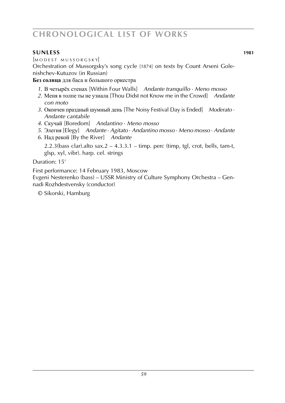### **sunless 1981**

 $[MODEST$   $MUSSORGSKY]$ 

Orchestration of Mussorgsky's song cycle [1874] on texts by Count Arseni Golenishchev-Kutuzov (in Russian)

**Без солнца** для баса и большого оркестра

- *1*. В четырёх стенах [Within Four Walls] *Andante tranquillo* · *Meno mosso*
- *2*. Меня в толпе ты не узнала [Thou Didst not Know me in the Crowd] *Andante con moto*
- *3*. Окончен праздный шумный день [The Noisy Festival Day is Ended] *Moderato* · *Andante cantabile*
- *4*. Скучай [Boredom] *Andantino* · *Meno mosso*
- *5*. Элегия [Elegy] *Andante* · *Agitato* · *Andantino mosso* · *Meno mosso* · *Andante*
- *6*. Над рекой [By the River] *Andante*

 $2.2.3$ (bass clar).alto sax. $2 - 4.3.3.1 -$  timp. perc (timp, tgl, crot, bells, tam-t, glsp, xyl, vibr). harp. cel. strings

Duration: 15'

First performance: 14 February 1983, Moscow

Evgeni Nesterenko (bass) – USSR Ministry of Culture Symphony Orchestra – Gennadi Rozhdestvensky (conductor)

© Sikorski, Hamburg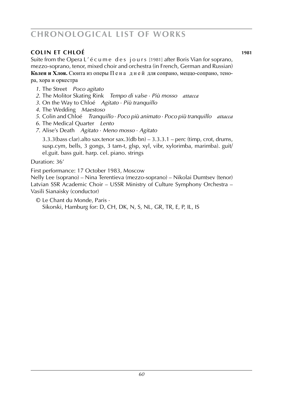## **colin et chloé 1981**

Suite from the Opera L'écume des jours [1981] after Boris Vian for soprano, mezzo-soprano, tenor, mixed choir and orchestra (in French, German and Russian) **Колен и Хлоя.** Сюита из оперы Пена дней для сопрано, меццо-сопрано, тено-

ра, хора и оркестра

- *1*. The Street *Poco agitato*
- *2*. The Molitor Skating Rink *Tempo di valse* · *Più mosso attacca*
- *3*. On the Way to Chloé *Agitato* · *Più tranquillo*
- *4*. The Wedding *Maestoso*
- *5*. Colin and Chloé *Tranquillo* · *Poco più animato* · *Poco più tranquillo attacca*
- *6*. The Medical Quarter *Lento*
- *7*. Alise's Death *Agitato* · *Meno mosso* · *Agitato*

 $3.3.3$ (bass clar).alto sax.tenor sax. $3$ (db bn) –  $3.3.3.1$  – perc (timp, crot, drums, susp.cym, bells, 3 gongs, 3 tam-t, glsp, xyl, vibr, xylorimba, marimba). guit/ el.guit. bass guit. harp. cel. piano. strings

Duration: 36'

First performance: 17 October 1983, Moscow

Nelly Lee (soprano) – Nina Terentieva (mezzo-soprano) – Nikolai Dumtsev (tenor) Latvian SSR Academic Choir – USSR Ministry of Culture Symphony Orchestra – Vasili Sianaisky (conductor)

© Le Chant du Monde, Paris ·

Sikorski, Hamburg for: D, CH, DK, N, S, NL, GR, TR, E, P, IL, IS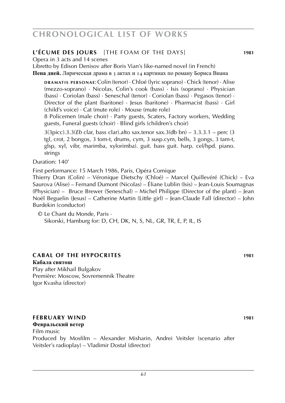#### **l'écume des jours** [the foam of the days] **1981**

Opera in 3 acts and 14 scenes

Libretto by Edison Denisov after Boris Vian's like-named novel (in French)

**Пена дней.** Лирическая драма в 3 актах и 14 картинах по роману Бориса Виана

**d r a m at i s p e r s o n a e**: Colin (tenor) · Chloé (lyric soprano) · Chick (tenor) · Alise (mezzo-soprano) · Nicolas, Colin's cook (bass) · Isis (soprano) · Physician (bass) · Coriolan (bass) · Seneschal (tenor) · Coriolan (bass) · Pegasos (tenor) · Director of the plant (baritone)  $\cdot$  Jesus (baritone)  $\cdot$  Pharmacist (bass)  $\cdot$  Girl (child's voice) · Cat (mute role) · Mouse (mute role)

8 Policemen (male choir) · Party guests, Scaters, Factory workers, Wedding guests, Funeral guests (choir) · Blind girls (children's choir)

3(3picc).3.3(*Eb* clar, bass clar).alto sax.tenor sax.3(db bn) – 3.3.3.1 – perc (3 tgl, crot, 2 bongos, 3 tom-t, drums, cym, 3 susp.cym, bells, 3 gongs, 3 tam-t, glsp, xyl, vibr, marimba, xylorimba). guit. bass guit. harp. cel/hpd. piano. strings

Duration: 140'

First performance: 15 March 1986, Paris, Opéra Comique

Thierry Dran (Colin) – Véronique Dietschy (Chloé) – Marcel Quillevéré (Chick) – Eva Saurova (Alise) – Fernand Dumont (Nicolas) – Éliane Lublin (Isis) – Jean-Louis Soumagnas (Physician) – Bruce Brewer (Seneschal) – Michel Philippe (Director of the plant) – Jean Noël Beguelin (Jesus) – Catherine Martin (Little girl) – Jean-Claude Fall (director) – John Burdekin (conductor)

© Le Chant du Monde, Paris · Sikorski, Hamburg for: D, CH, DK, N, S, NL, GR, TR, E, P, IL, IS

### **cabal of the hypocrites 1981**

**Кабала святош** Play after Mikhail Bulgakov Première: Moscow, Sovremennik Theatre Igor Kvasha (director)

#### **february wind 1981**

#### **Февральский ветер**

Film music Produced by Mosfilm – Alexander Misharin, Andrei Veitsler (scenario after Veitsler's radioplay) – Vladimir Dostal (director)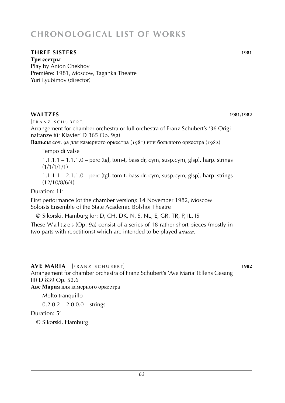### **three sisters 1981**

**Три сестры** Play by Anton Chekhov Première: 1981, Moscow, Taganka Theatre Yuri Lyubimov (director)

#### **waltzes 1981**/**1982**

[f r a n z s c h u b e r t]

Arrangement for chamber orchestra or full orchestra of Franz Schubert's '36 Originaltänze für Klavier' D 365 Op. 9(a)

**Вальсы** соч. 9а для камерного оркестра (1981) или большого оркестра (1982)

Tempo di valse

 $1.1.1.1 - 1.1.1.0 -$  perc (tgl, tom-t, bass dr, cym, susp.cym, glsp). harp. strings (1/1/1/1/1)

 $1.1.1.1 - 2.1.1.0 -$  perc (tgl, tom-t, bass dr, cym, susp.cym, glsp). harp. strings (12/10/8/6/4)

#### Duration: 11'

First performance (of the chamber version): 14 November 1982, Moscow Soloists Ensemble of the State Academic Bolshoi Theatre

© Sikorski, Hamburg for: D, CH, DK, N, S, NL, E, GR, TR, P, IL, IS

These Waltzes (Op. 9a) consist of a series of 18 rather short pieces (mostly in two parts with repetitions) which are intended to be played *attacca*.

#### **AVE MARIA** [FRANZ SCHUBERT] **1982**

Arrangement for chamber orchestra of Franz Schubert's 'Ave Maria' (Ellens Gesang III) D 839 Op. 52,6

**Аве Мария** для камерного оркестра

Molto tranquillo

 $0.2.0.2 - 2.0.0.0 -$  strings

## Duration: 5'

© Sikorski, Hamburg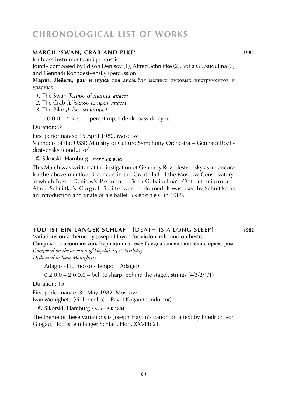### **march 'swan, crab and pike' 1982**

for brass instruments and percussion

Jointly composed by Edison Denisov (1), Alfred Schnittke (2), Sofia Gubaidulina (3) and Gennadi Rozhdestvensky (percussion)

**Марш: Лебедь, рак и щука** для ансамбля медных духовых инструментов и ударных

- *1*. The Swan *Tempo di marcia attacca*
- *2*. The Crab *[L*'*istesso tempo] attacca*
- *3*. The Pike *[L*'*istesso tempo]*
	- $0.0.0.0 4.3.3.1$  perc (timp, side dr, bass dr, cym)

Duration: 5'

First performance: 15 April 1982, Moscow Members of the USSR Ministry of Culture Symphony Orchestra – Gennadi Rozhdestvensky (conductor)

© Sikorski, Hamburg · *score:* **sik 8869**

This March was written at the instigation of Gennady Rozhdestvensky as an encore for the above mentioned concert in the Great Hall of the Moscow Conservatory, at which Edison Denisov's Peinture, Sofia Gubaidulina's Offertorium and Alfred Schnittke's Gogol Suite were performed. It was used by Schnittke as an introduction and finale of his ballet S k e t c h e s in 1985.

## **tod ist ein langer schlaf** [death is a long sleep] **1982**

Variations on a theme by Joseph Haydn for violoncello and orchestra

**Смерть** – **это долгий сон.** Вариации на тему Гайдна для виолончели с оркестром *Composed on the occasion of Haydn's* 250*th birthday*

*Dedicated to Ivan Monighetti*

Adagio · Più mosso · Tempo I (Adagio)

 $0.2.0.0 - 2.0.0.0 -$  bell (c sharp, behind the stage). strings  $\left(\frac{4}{3}\right)\left(\frac{2}{1}\right)$ 

Duration: 15'

First performance: 30 May 1982, Moscow Ivan Monighetti (violoncello) – Pavel Kogan (conductor)

© Sikorski, Hamburg · *score:* **sik 1804**

The theme of these variations is Joseph Haydn's canon on a text by Friedrich von Glogau, 'Tod ist ein langer Schlaf', Hob. XXVIIb:21.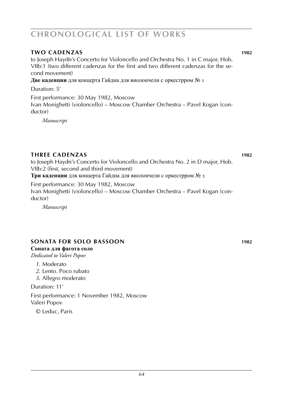#### **two cadenzas 1982**

to Joseph Haydn's Concerto for Violoncello and Orchestra No. 1 in C major, Hob. VIIb:1 (two different cadenzas for the first and two different cadenzas for the second movement)

**Две каденции** для концерта Гайдна для виолончели с оркестрром № 1

Duration: 5'

First performance: 30 May 1982, Moscow Ivan Monighetti (violoncello) – Moscow Chamber Orchestra – Pavel Kogan (conductor)

 *Manuscript*

### **three cadenzas 1982**

to Joseph Haydn's Concerto for Violoncello and Orchestra No. 2 in D major, Hob. VIIb:2 (first, second and third movement)

**Три каденции** для концерта Гайдна для виолончели с оркестрром № 2

First performance: 30 May 1982, Moscow Ivan Monighetti (violoncello) – Moscow Chamber Orchestra – Pavel Kogan (conductor)

 *Manuscript*

## **sonata for solo bassoon 1982**

**Соната для фагота соло**

*Dedicated to Valeri Popov*

- *1*. Moderato
- *2*. Lento. Poco rubato
- *3*. Allegro moderato

Duration: 11'

First performance: 1 November 1982, Moscow Valeri Popov

© Leduc, Paris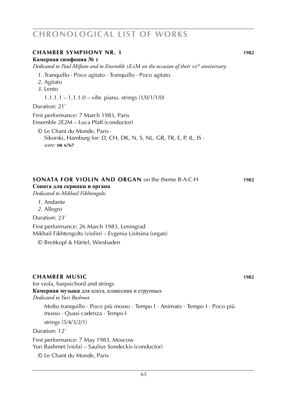#### *65*

## **chronological list of works**

### **chamber symphony nr. 1 1982**

### **Камерная симфония № 1**

*Dedicated to Paul Méfano and to Ensemble* 2E2M *on the occasion of their* 10*th anniversary*

- *1*. Tranquillo · Poco agitato · Tranquillo · Poco agitato
- *2*. Agitato
- *3*. Lento
	- $1.1.1.1 1.1.1.0 -$  vibr. piano. strings  $(1/0/1/1/0)$

## Duration: 21'

First performance: 7 March 1983, Paris Ensemble 2E2M – Luca Pfaff (conductor)

© Le Chant du Monde, Paris ·

 Sikorski, Hamburg for: D, CH, DK, N, S, NL, GR, TR, E, P, IL, IS · *score:* **sik 6767**

## **sonata for violin and organ** on the theme B·A·C·H **1982**

#### **Соната для скрипки и органа**

*Dedicated to Mikhail Fikhtengolts*

- *1*. Andante
- *2*. Allegro

Duration: 23'

First performance: 26 March 1983, Leningrad Mikhail Fikhtengolts (violin) – Evgenia Lisitsina (organ)

© Breitkopf & Härtel, Wiesbaden

## **chamber music 1982**

for viola, harpsichord and strings **Камерная музыка** для альта, клавесина и струнных

*Dedicated to Yuri Bashmet*

Molto tranquillo · Poco più mosso · Tempo I · Animato · Tempo I · Poco più mosso · Quasi cadenza · Tempo I

strings (5/4/3/2/1)

Duration: 12'

First performance: 7 May 1983, Moscow Yuri Bashmet (viola) – Saulius Sondeckis (conductor)

© Le Chant du Monde, Paris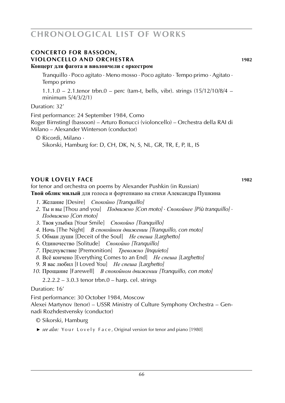#### **concerto for bassoon, violoncello and orchestra 1982 Концерт для фагота и виолончели с оркестром**

Tranquillo · Poco agitato · Meno mosso · Poco agitato · Tempo primo · Agitato · Tempo primo

1.1.1.0 – 2.1.tenor trbn.0 – perc (tam-t, bells, vibr). strings (15/12/10/8/4 – minimum 5/4/3/2/1)

Duration: 32'

First performance: 24 September 1984, Como Roger Birnstingl (bassoon) – Arturo Bonucci (violoncello) – Orchestra della RAI di Milano – Alexander Winterson (conductor)

© Ricordi, Milano · Sikorski, Hamburg for: D, CH, DK, N, S, NL, GR, TR, E, P, IL, IS

### **your lovely face 1982**

for tenor and orchestra on poems by Alexander Pushkin (in Russian) **Твой облик милый** для голоса и фортепиано на стихи Александра Пушкина

- *1*. Желание [Desire] *Спокойно [Tranquillo]*
- *2*. Ты и вы [Thou and you] *Подвижно [Con moto]* · *Спокойнее [Più tranquillo]* · *Подвижно [Con moto]*
- *3*. Твоя улыбка [Your Smile] *Спокойно [Tranquillo]*
- *4*. Ночь [The Night] *В спокойном движении [Tranquillo, con moto]*
- *5*. Обман души [Deceit of the Soul] *Не спеша [Larghetto]*
- *6*. Одиночество [Solitude] *Спокойно [Tranquillo]*
- *7*. Предчувствие [Premonition] *Тревожно [Inquieto]*
- *8*. Всё кончено [Everything Comes to an End] *Не спеша [Larghetto]*
- *9*. Я вас любил [I Loved You] *Не спеша [Larghetto]*
- *10*. Прощание [Farewell] *В спокойном движении [Tranquillo, con moto]*

 $2.2.2.2 - 3.0.3$  tenor trbn. $0 - \text{harp.}$  cel. strings

### Duration: 16'

First performance: 30 October 1984, Moscow

Alexei Martynov (tenor) – USSR Ministry of Culture Symphony Orchestra – Gennadi Rozhdestvensky (conductor)

© Sikorski, Hamburg

► *see also:* Your Lovely Face, Original version for tenor and piano [1980]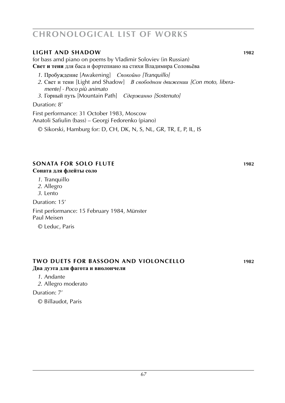#### **light and shadow 1982**

for bass amd piano on poems by Vladimir Soloviev (in Russian) **Свет и тени** для баса и фортепиано на стихи Владимира Соловьёва

- *1*. Пробуждение [Awakening] *Спокойно [Tranquillo]*
- *2*. Свет и тени [Light and Shadow] *В свободном движении [Con moto, libera mente]* · *Poco più animato*
- *3*. Горный путь [Mountain Path] *Сдержанно [Sostenuto]*

#### Duration: 8'

First performance: 31 October 1983, Moscow Anatoli Safiulin (bass) – Georgi Fedorenko (piano)

© Sikorski, Hamburg for: D, CH, DK, N, S, NL, GR, TR, E, P, IL, IS

#### **sonata for solo flute 1982**

#### **Соната для флейты соло**

- *1*. Tranquillo
- *2*. Allegro
- *3*. Lento

Duration: 15'

First performance: 15 February 1984, Münster Paul Meisen

© Leduc, Paris

#### **Two duets for bassoon and violoncello 1982 Два дуэта для фагота и виолончели**

*1*. Andante

*2*. Allegro moderato

#### Duration: 7'

© Billaudot, Paris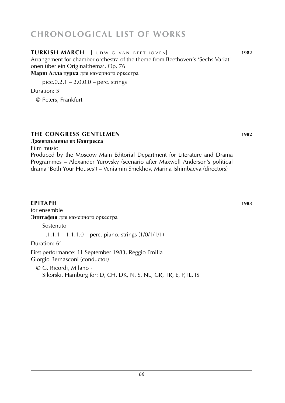#### **TURKISH MARCH** [LUDWIG VAN BEETHOVEN] **1982**

Arrangement for chamber orchestra of the theme from Beethoven's 'Sechs Variationen über ein Originalthema', Op. 76

**Марш Алла турка** для камерного оркестра

picc. $0.2.1 - 2.0.0.0 -$  perc. strings

Duration: 5'

© Peters, Frankfurt

### **the congress gentlemen 1982**

### **Джентльмены из Конгресса**

Film music

Produced by the Moscow Main Editorial Department for Literature and Drama Programmes – Alexander Yurovsky (scenario after Maxwell Anderson's political drama 'Both Your Houses') – Veniamin Smekhov, Marina Ishimbaeva (directors)

## **epitaph 1983**

for ensemble **Эпитафия** для камерного оркестра

Sostenuto

 $1.1.1.1 - 1.1.1.0$  – perc. piano. strings  $(1/0/1/1/1)$ 

Duration: 6'

First performance: 11 September 1983, Reggio Emilia Giorgio Bernasconi (conductor)

### © G. Ricordi, Milano ·

Sikorski, Hamburg for: D, CH, DK, N, S, NL, GR, TR, E, P, IL, IS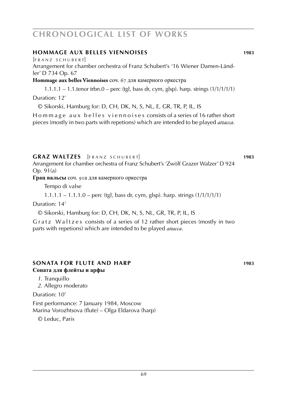#### **hommage aux belles viennoises 1983**

[f r a n z s c h u b e r t] Arrangement for chamber orchestra of Franz Schubert's '16 Wiener Damen-Ländler' D 734 Op. 67

**Hommage aux belles Viennoises** соч. 67 для камерного оркестра

1.1.1.1 – 1.1.tenor trbn.0 – perc (tgl, bass dr, cym, glsp). harp. strings  $(1/1/1/1/1)$ Duration: 12'

© Sikorski, Hamburg for: D, CH, DK, N, S, NL, E, GR, TR, P, IL, IS

H om m a g e a u x b e l l e svien n o i s e s consists of a series of 16 rather short pieces (mostly in two parts with repetions) which are intended to be played *attacca*.

### **GRAZ WALTZES** [FRANZ SCHUBERT] **1983**

Arrangement for chamber orchestra of Franz Schubert's 'Zwölf Grazer Walzer' D 924 Op. 91(a)

**Грац вальсы** соч. 91а для камерного оркестра

Tempo di valse

 $1.1.1.1 - 1.1.1.0 -$  perc (tgl, bass dr, cym, glsp). harp. strings  $(1/1/1/1/1)$ 

Duration: 14'

© Sikorski, Hamburg for: D, CH, DK, N, S, NL, GR, TR, P, IL, IS

Gratz Waltzes consists of a series of 12 rather short pieces (mostly in two parts with repetions) which are intended to be played *attacca*.

## **sonata for flute and harp 1983 Соната для флейты и арфы**

*1*. Tranquillo

*2*. Allegro moderato

Duration: 10'

First performance: 7 January 1984, Moscow Marina Vorozhtsova (flute) – Olga Eldarova (harp)

© Leduc, Paris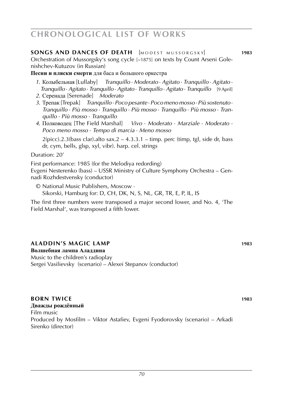#### **SONGS AND DANCES OF DEATH** [MODEST MUSSORGSKY] **1983**

Orchestration of Mussorgsky's song cycle [~1875] on texts by Count Arseni Golenishchev-Kutuzov (in Russian)

**Песни и пляски смерти** для баса и большого оркестра

- *1*. Колыбельная [Lullaby] *Tranquillo* · *Moderato* · *Agitato* · *Tranquillo* · *Agitato* · *Tranquillo* · *Agitato* · *Tranquillo* · *Agitato* · *Tranquillo* · *Agitato* · *Tranquillo* [9 April]
- *2*. Серенада [Serenade] *Moderato*
- *3*. Трепак [Trepak] *Tranquillo* · *Poco pesante* · *Poco meno mosso* · *Più sostenuto* · *Tranquillo* · *Più mosso* · *Tranquillo* · *Più mosso* · *Tranquillo* · *Più mosso* · *Tranquillo* · *Più mosso* · *Tranquillo*
- *4*. Полководец [The Field Marshal] *Vivo* · *Moderato* · *Marziale* · *Moderato* ·  *Poco meno mosso* · *Tempo di marcia* · *Meno mosso*

 $2$ (picc).2.3(bass clar).alto sax.2 – 4.3.3.1 – timp. perc (timp, tgl, side dr, bass dr, cym, bells, glsp, xyl, vibr). harp. cel. strings

Duration: 20'

First performance: 1985 (for the Melodiya redording)

Evgeni Nesterenko (bass) – USSR Ministry of Culture Symphony Orchestra – Gennadi Rozhdestvensky (conductor)

© National Music Publishers, Moscow · Sikorski, Hamburg for: D, CH, DK, N, S, NL, GR, TR, E, P, IL, IS

The first three numbers were transposed a major second lower, and No. 4, 'The Field Marshal', was transposed a fifth lower.

### **aladdin's magic lamp 1983**

**Волшебная лампа Аладдина** Music to the children's radioplay Sergei Vasilievsky (scenario) – Alexei Stepanov (conductor)

## **born twice 1983**

**Дважды рождённый** Film music Produced by Mosfilm – Viktor Astafiev, Evgeni Fyodorovsky (scenario) – Arkadi Sirenko (director)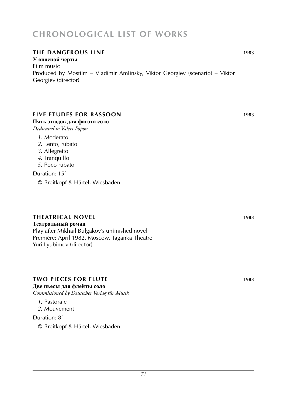### **the dangerous line 1983**

**У опасной черты** Film music Produced by Mosfilm – Vladimir Amlinsky, Viktor Georgiev (scenario) – Viktor Georgiev (director)

### **five etudes for bassoon 1983**

#### **Пять этюдов для фагота соло**

*Dedicated to Valeri Popov*

- *1*. Moderato
- *2*. Lento, rubato
- *3*. Allegretto
- *4*. Tranquillo
- *5*. Poco rubato

Duration: 15'

© Breitkopf & Härtel, Wiesbaden

### **theatrical novel 1983**

#### **Театральный роман** Play after Mikhail Bulgakov's unfinished novel Première: April 1982, Moscow, Taganka Theatre Yuri Lyubimov (director)

#### **two pieces for flute 1983**

**Две пьесы для флейты соло** *Commissioned by Deutscher Verlag für Musik*

#### *1*. Pastorale

*2*. Mouvement

Duration: 8'

© Breitkopf & Härtel, Wiesbaden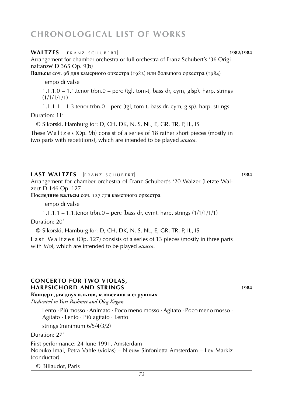#### **WALTZES**  $[FRANZ SCHUBERT]$  **1982/1984**

Arrangement for chamber orchestra or full orchestra of Franz Schubert's '36 Originaltänze' D 365 Op. 9(b)

**Вальсы** соч. 9б для камерного оркестра (1982) или большого оркестра (1984)

Tempo di valse

 $1.1.1.0 - 1.1$  tenor trbn. $0 -$  perc (tgl, tom-t, bass dr, cym, glsp). harp. strings  $(1/1/1/1/1)$ 

 $1.1.1.1 - 1.3$ . tenor trbn. $0 -$  perc (tgl, tom-t, bass dr, cym, glsp). harp. strings Duration: 11'

© Sikorski, Hamburg for: D, CH, DK, N, S, NL, E, GR, TR, P, IL, IS

These Waltzes (Op. 9b) consist of a series of 18 rather short pieces (mostly in two parts with repetitions), which are intended to be played *attacca*.

#### **LAST WALTZES** [FRANZ SCHUBERT] **1984**

Arrangement for chamber orchestra of Franz Schubert's '20 Walzer (Letzte Walzer)' D 146 Op. 127

**Последние вальсы** соч. 127 для камерного оркестра

Tempo di valse

1.1.1.1 – 1.1.tenor trbn.0 – perc (bass dr, cym). harp. strings  $(1/1/1/1/1)$ 

Duration: 20'

© Sikorski, Hamburg for: D, CH, DK, N, S, NL, E, GR, TR, P, IL, IS

L a s t W a l t z e s (Op. 127) consists of a series of 13 pieces (mostly in three parts with *trio*), which are intended to be played *attacca*.

## **concerto for two violas,**

#### **harpsichord and strings 1984**

### **Концерт для двух альтов, клавесина и струнных**

*Dedicated to Yuri Bashmet and Oleg Kagan*

Lento · Più mosso · Animato · Poco meno mosso · Agitato · Poco meno mosso · Agitato · Lento · Più agitato · Lento

strings (minimum 6/5/4/3/2)

Duration: 27'

First performance: 24 June 1991, Amsterdam Nobuko Imai, Petra Vahle (violas) – Nieuw Sinfonietta Amsterdam – Lev Markiz (conductor)

© Billaudot, Paris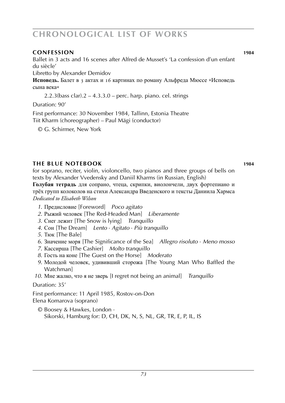#### **confession 1984**

Ballet in 3 acts and 16 scenes after Alfred de Musset's 'La confession d'un enfant du siècle'

Libretto by Alexander Demidov

**Исповедь.** Балет в 3 актах и 16 картинах по роману Альфреда Мюссе **»**Исповедь сына века**«**

2.2.3(bass clar).2 – 4.3.3.0 – perc. harp. piano. cel. strings

Duration: 90'

First performance: 30 November 1984, Tallinn, Estonia Theatre Tiit Kharm (choreographer) – Paul Mägi (conductor)

© G. Schirmer, New York

### **the blue notebook 1984**

for soprano, reciter, violin, violoncello, two pianos and three groups of bells on texts by Alexander Vvedensky and Daniil Kharms (in Russian, English)

**Голубая тетрадь** для сопрано, чтеца, скрипки, виолончели, двух фортепиано и трёх групп колоколов на стихи Александра Введенского и тексты Даниила Хармса *Dedicated to Elisabeth Wilson*

- *1*. Предисловие [Foreword] *Poco agitato*
- *2*. Рыжий человек [The Red-Headed Man] *Liberamente*
- *3*. Снег лежит [The Snow is lying] *Tranquillo*
- *4*. Сон [The Dream] *Lento* · *Agitato* · *Più tranquillo*
- *5*. Тюк [The Bale]
- *6*. Значение моря [The Significance of the Sea] *Allegro risoluto* · *Meno mosso*
- *7*. Кассирша [The Cashier] *Molto tranquillo*
- *8*. Гость на коне [The Guest on the Horse] *Moderato*
- *9*. Молодой человек, удививший сторожа [The Young Man Who Baffled the Watchman]
- *10*. Мне жалко, что я не зверь [I regret not being an animal] *Tranquillo*

Duration: 35'

First performance: 11 April 1985, Rostov-on-Don Elena Komarova (soprano)

© Boosey & Hawkes, London · Sikorski, Hamburg for: D, CH, DK, N, S, NL, GR, TR, E, P, IL, IS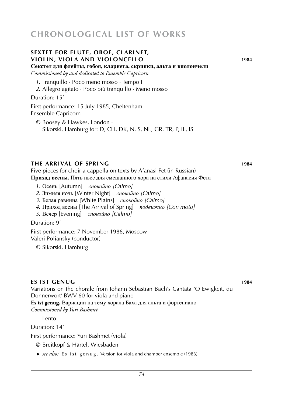# **sextet for flute, oboe, clarinet, violin, viola and violoncello 1984**

**Секстет для флейты, гобоя, кларнета, скрипки, альта и виолончели** *Commissioned by and dedicated to Ensemble Capricorn*

- *1*. Tranquillo · Poco meno mosso · Tempo I
- *2*. Allegro agitato · Poco più tranquillo · Meno mosso

#### Duration: 15'

First performance: 15 July 1985, Cheltenham Ensemble Capricorn

© Boosey & Hawkes, London · Sikorski, Hamburg for: D, CH, DK, N, S, NL, GR, TR, P, IL, IS

### **the arrival of spring 1984**

Five pieces for choir a cappella on texts by Afanasi Fet (in Russian) **Приход весны.** Пять пьес для смешанного хора на стихи Афанасия Фета

- *1*. Осень [Autumn] *спокойно [Calmo]*
- *2*. Зимняя ночь [Winter Night] *спокойно [Calmo]*
- *3*. Белая равиниа [White Plains] *спокойно [Calmo]*
- *4*. Приход весны [The Arrival of Spring] *подвижно [Con moto]*
- *5*. Вечер [Evening] *спокойно [Calmo]*

#### Duration: 9'

First performance: 7 November 1986, Moscow Valeri Poliansky (conductor)

© Sikorski, Hamburg

### **es ist genug 1984**

Variations on the chorale from Johann Sebastian Bach's Cantata 'O Ewigkeit, du Donnerwort' BWV 60 for viola and piano

**Es ist genug.** Вариации на тему хорала Баха для альта и фортепиано

*Commissioned by Yuri Bashmet*

Lento

Duration: 14'

First performance: Yuri Bashmet (viola)

- © Breitkopf & Härtel, Wiesbaden
- ► *see also*: Es ist genug. Version for viola and chamber ensemble (1986)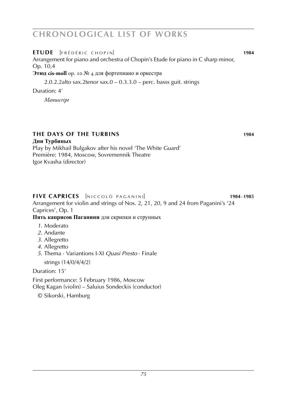#### **ETUDE** [FRÉDÉRIC CHOPIN] **1984**

Arrangement for piano and orchestra of Chopin's Etude for piano in C sharp minor, Op. 10,4

**Этюд cis-moll** op. 10 № 4 для фортепиано и оркестра

 $2.0.2.2$ alto sax.2tenor sax. $0 - 0.3.3.0$  – perc. basss guit. strings

Duration: 4'

*Manuscript*

# **the days of the Turbins 1984**

**Дни Турбиных** Play by Mikhail Bulgakov after his novel 'The White Guard' Première: 1984, Moscow, Sovremennik Theatre Igor Kvasha (director)

# **five caprices**  $\begin{bmatrix} \text{NICCOL} \\ \text{PAGANINI} \end{bmatrix}$  1984–1985

Arrangement for violin and strings of Nos. 2, 21, 20, 9 and 24 from Paganini's '24 Caprices', Op. 1

**Пять каприсов Паганини** для скрипки и струнных

- *1*. Moderato
- *2*. Andante
- *3*. Allegretto
- *4*. Allegretto
- *5*. Thema · Variantions I-XI *Quasi Presto* · Finale strings (14/0/4/4/2)

Duration: 15'

First performance: 5 February 1986, Moscow Oleg Kagan (violin) – Saluius Sondeckis (conductor)

© Sikorski, Hamburg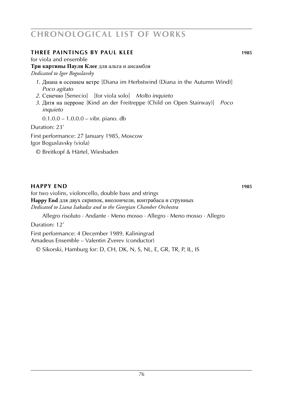### **three paintings by paul klee 1985**

for viola and ensemble

**Три картины Пауля Клее** для альта и ансамбля

*Dedicated to Igor Boguslavsky*

- *1*. Диана в осеннем ветре [Diana im Herbstwind (Diana in the Autumn Wind)] *Poco agitato*
- *2*. Сенечио [Senecio] [for viola solo] *Molto inquieto*
- *3*. Дитя на перроне [Kind an der Freitreppe (Child on Open Stairway)] *Poco inquieto*

0.1.0.0 – 1.0.0.0 – vibr. piano. db

Duration: 23'

First performance: 27 January 1985, Moscow Igor Boguslavsky (viola)

© Breitkopf & Härtel, Wiesbaden

### **happy end 1985**

for two violins, violoncello, double bass and strings **Happy End** для двух скрипок, виолончели, контрабаса и струнных

*Dedicated to Liana Isakadze and to the Georgian Chamber Orchestra*

Allegro risoluto · Andante · Meno mosso · Allegro · Meno mosso · Allegro

Duration: 12'

First performance: 4 December 1989, Kaliningrad Amadeus Ensemble – Valentin Zverev (conductor)

© Sikorski, Hamburg for: D, CH, DK, N, S, NL, E, GR, TR, P, IL, IS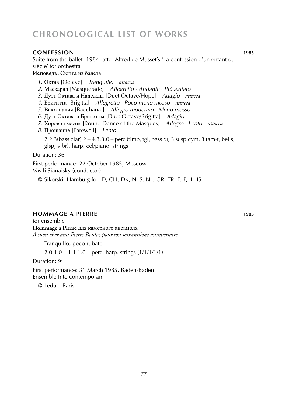### **confession 1985**

Suite from the ballet [1984] after Alfred de Musset's 'La confession d'un enfant du siècle' for orchestra

**Исповедь.** Сюита из балета

- *1*. Октав [Octave] *Tranquillo attacca*
- *2*. Маскарад [Masquerade] *Allegretto* · *Andante* · *Più agitato*
- *3*. Дуэт Октава и Надежды [Duet Octave/Hope] *Adagio attacca*
- *4*. Бригитта [Brigitta] *Allegretto* · *Poco meno mosso attacca*
- *5*. Вакханалия [Bacchanal] *Allegro moderato* · *Meno mosso*
- *6*. Дуэт Октава и Бригитты [Duet Octave/Brigitta] *Adagio*
- *7*. Хоровод масок [Round Dance of the Masques] *Allegro* · *Lento attacca*
- *8*. Прощание [Farewell] *Lento*

2.2.3(bass clar).2 – 4.3.3.0 – perc (timp, tgl, bass dr, 3 susp.cym, 3 tam-t, bells, glsp, vibr). harp. cel/piano. strings

Duration: 36'

First performance: 22 October 1985, Moscow

Vasili Sianaisky (conductor)

© Sikorski, Hamburg for: D, CH, DK, N, S, NL, GR, TR, E, P, IL, IS

# **hommage a pierre 1985**

for ensemble **Hommage à Pierre** для камерного ансамбля *A mon cher ami Pierre Boulez pour son soixantième anniversaire*

Tranquillo, poco rubato

 $2.0.1.0 - 1.1.1.0 -$  perc. harp. strings  $(1/1/1/1/1)$ 

Duration: 9'

First performance: 31 March 1985, Baden-Baden Ensemble Intercontemporain

© Leduc, Paris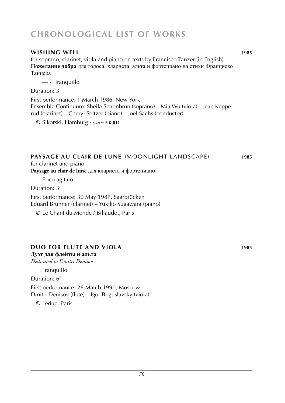### **wishing well 1985**

for soprano, clarinet, viola and piano on texts by Francisco Tanzer (in English) **Пожелание добра** для голоса, кларнета, альта и фортепиано на стихи Франциско Танцера

 $-\cdot$  Tranquillo

Duration: 3'

First performance: 1 March 1986, New York Ensemble Continuum: Sheila Schonbrun (soprano) – Mia Wu (viola) – Jean Kepperud (clarinet) – Cheryl Seltzer (piano) – Joel Sachs (conductor)

© Sikorski, Hamburg · *score:* **sik 811**

#### **paysage au clair de lune** (moonlight landscape) **1985**

for clarinet and piano

**Paysage au clair de lune** для кларнета и фортепиано

Poco agitato

Duration: 3'

First performance: 30 May 1987, Saarbrücken Eduard Brunner (clarinet) – Yukiko Sugawara (piano)

© Le Chant du Monde / Billaudot, Paris

## **duo for flute and viola 1985**

**Дуэт для флейты и альта**

*Dedicated to Dmitri Denisov*

**Tranquillo** 

Duration: 6'

First performance: 28 March 1990, Moscow Dmitri Denisov (flute) – Igor Boguslavsky (viola)

© Leduc, Paris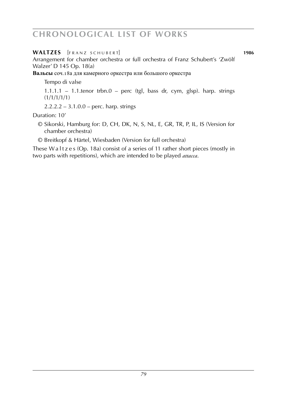**WALTZES** [FRANZ SCHUBERT] **1986** 

Arrangement for chamber orchestra or full orchestra of Franz Schubert's 'Zwölf Walzer' D 145 Op. 18(a)

**Вальсы** соч.18а для камерного оркестра или большого оркестра

Tempo di valse

 $1.1.1.1 - 1.1$ .tenor trbn. $0 -$  perc (tgl, bass dr, cym, glsp). harp. strings  $(1/1/1/1/1)$ 

2.2.2.2 – 3.1.0.0 – perc. harp. strings

Duration: 10'

- © Sikorski, Hamburg for: D, CH, DK, N, S, NL, E, GR, TR, P, IL, IS (Version for chamber orchestra)
- © Breitkopf & Härtel, Wiesbaden (Version for full orchestra)

These W a I t z e s (Op. 18a) consist of a series of 11 rather short pieces (mostly in two parts with repetitions), which are intended to be played *attacca*.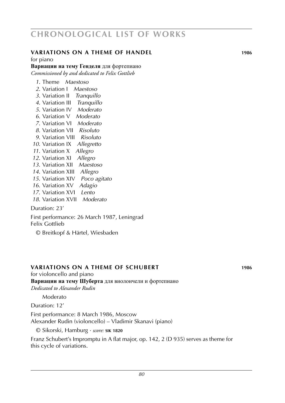#### **variations on a theme of handel 1986**

for piano

**Вариации на тему Генделя** для фортепиано *Commissioned by and dedicated to Felix Gottlieb*

- *1*. Theme *Maestoso 2*. Variation I *Maestoso*
- *3*. Variation II *Tranquillo*
- *4*. Variation III *Tranquillo*
- *5*. Variation IV *Moderato*
- *6*. Variation V *Moderato*
- *7*. Variation VI *Moderato*
- *8*. Variation VII *Risoluto*
- *9*. Variation VIII *Risoluto*
- 
- *10*. Variation IX *Allegretto*
- *11*. Variation X *Allegro*
- *12*. Variation XI *Allegro*
- *13*. Variation XII *Maestoso*
- *14*. Variation XIII *Allegro*
- *15*. Variation XIV *Poco agitato*
- *16*. Variation XV *Adagio*
- *17*. Variation XVI *Lento*
- *18*. Variation XVII *Moderato*

Duration: 23'

First performance: 26 March 1987, Leningrad Felix Gottlieb

© Breitkopf & Härtel, Wiesbaden

## **variations on a theme of schubert 1986**

for violoncello and piano **Вариации на тему Шуберта** для виолончели и фортепиано *Dedicated to Alexander Rudin*

Moderato

Duration: 12'

First performance: 8 March 1986, Moscow Alexander Rudin (violoncello) – Vladimir Skanavi (piano)

© Sikorski, Hamburg · *score:* **sik 1820**

Franz Schubert's Impromptu in A flat major, op. 142, 2 (D 935) serves as theme for this cycle of variations.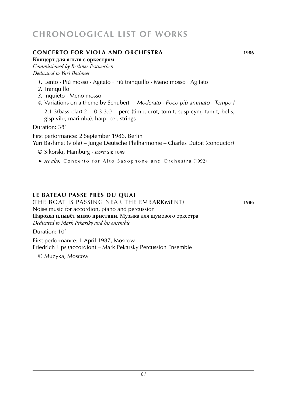## **concerto for viola and orchestra 1986**

#### **Концерт для альта с оркестром**

*Commissioned by Berliner Festwochen Dedicated to Yuri Bashmet*

*1*. Lento · Più mosso · Agitato · Più tranquillo · Meno mosso · Agitato

- *2*. Tranquillo
- *3*. Inquieto · Meno mosso
- *4*. Variations on a theme by Schubert *Moderato* · *Poco più animato* · *Tempo I*

 $2.1.3$ (bass clar). $2 - 0.3.3.0$  – perc (timp, crot, tom-t, susp.cym, tam-t, bells, glsp vibr, marimba). harp. cel. strings

Duration: 38'

First performance: 2 September 1986, Berlin

Yuri Bashmet (viola) – Junge Deutsche Philharmonie – Charles Dutoit (conductor)

© Sikorski, Hamburg · *score:* **sik 1849**

► *see also:* Concerto for Alto Saxophone and Orchestra (1992)

## **le bateau passe près du quai**

(the boat is passing near the embarkment) **1986** Noise music for accordion, piano and percussion **Пароход плывёт мимо пристани.** Музыка для шумового оркестра *Dedicated to Mark Pekarsky and his ensemble*

Duration: 10'

First performance: 1 April 1987, Moscow Friedrich Lips (accordion) – Mark Pekarsky Percussion Ensemble

© Muzyka, Moscow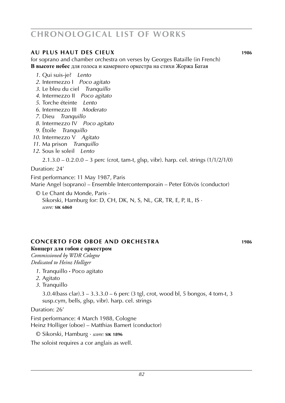### **au plus haut des cieux 1986**

for soprano and chamber orchestra on verses by Georges Bataille (in French) **В высоте небес** для голоса и камерного оркестра на стихи Жоржа Батая

- *1*. Qui suis-je? *Lento*
- *2*. Intermezzo I *Poco agitato*
- *3*. Le bleu du ciel *Tranquillo*
- *4*. Intermezzo II *Poco agitato*
- *5*. Torche éteinte *Lento*
- *6*. Intermezzo III *Moderato*
- *7*. Dieu *Tranquillo*
- *8*. Intermezzo IV *Poco agitato*
- *9*. Étoile *Tranquillo*
- *10*. Intermezzo V *Agitato*
- *11*. Ma prison *Tranquillo*
- *12*. Sous le soleil *Lento*

2.1.3.0 – 0.2.0.0 – 3 perc (crot, tam-t, glsp, vibr). harp. cel. strings (1/1/2/1/0)

Duration: 24'

First performance: 11 May 1987, Paris Marie Angel (soprano) – Ensemble Intercontemporain – Peter Eötvös (conductor)

© Le Chant du Monde, Paris · Sikorski, Hamburg for: D, CH, DK, N, S, NL, GR, TR, E, P, IL, IS · *score:* **sik 6860**

#### **concerto for oboe and orchestra 1986 Концерт для гобоя с оркестром**

*Commissioned by WDR Cologne Dedicated to Heinz Holliger*

- *1*. Tranquillo **·** Poco agitato
- *2*. Agitato
- *3*. Tranquillo

3.0.4(bass clar).3 – 3.3.3.0 – 6 perc (3 tgl, crot, wood bl, 5 bongos, 4 tom-t, 3 susp.cym, bells, glsp, vibr). harp. cel. strings

Duration: 26'

First performance: 4 March 1988, Cologne Heinz Holliger (oboe) – Matthias Bamert (conductor)

© Sikorski, Hamburg · *score:* **sik 1896**

The soloist requires a cor anglais as well.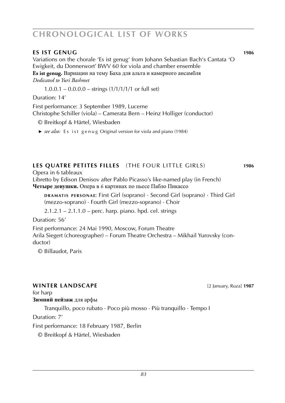#### **es ist genug 1986**

Variations on the chorale 'Es ist genug' from Johann Sebastian Bach's Cantata 'O Ewigkeit, du Donnerwort' BWV 60 for viola and chamber ensemble

**Es ist genug.** Вариации на тему Баха для альта и камерного ансамбля *Dedicated to Yuri Bashmet*

 $1.0.0.1 - 0.0.0.0 - \text{strings} (1/1/1/1/1 \text{ or full set})$ 

Duration: 14'

First performance: 3 September 1989, Lucerne Christophe Schiller (viola) – Camerata Bern – Heinz Holliger (conductor)

- © Breitkopf & Härtel, Wiesbaden
- ► *see also*: E s i s t g e n u g Original version for viola and piano (1984)

## **les quatre petites filles** (the four little girls) **1986**

Opera in 6 tableaux Libretto by Edison Denisov after Pablo Picasso's like-named play (in French) **Четыре девушки.** Опера в 6 картинах по пьесе Пабло Пикассо

**DRAMATIS PERSONAE: First Girl (soprano) · Second Girl (soprano) · Third Girl** (mezzo-soprano) · Fourth Girl (mezzo-soprano) · Choir

 $2.1.2.1 - 2.1.1.0 -$  perc. harp. piano. hpd. cel. strings

Duration: 56'

First performance: 24 Mai 1990, Moscow, Forum Theatre Arila Siegert (choreographer) – Forum Theatre Orchestra – Mikhail Yurovsky (conductor)

© Billaudot, Paris

### **WINTER LANDSCAPE** [2 January, Ruza] 1987

for harp **Зимний пейзаж** для арфы

Tranquillo, poco rubato · Poco più mosso · Più tranquillo · Tempo I

Duration: 7'

First performance: 18 February 1987, Berlin

© Breitkopf & Härtel, Wiesbaden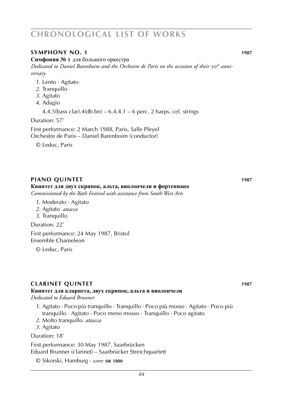### **symphony no. 1 1987**

**Симфония № 1** для большого оркестра

Dedicated to Daniel Barenboim and the Orchestre de Paris on the occasion of their 20<sup>th</sup> anni*versary*

- *1*. Lento · Agitato
- *2*. Tranquillo
- *3*. Agitato
- *4*. Adagio

4.4.5(bass clar).4(db bn)  $-6.4.4.1 - 6$  perc. 2 harps. cel. strings

Duration: 57'

First performance: 2 March 1988, Paris, Salle Pleyel

Orchestre de Paris – Daniel Barenboim (conductor)

© Leduc, Paris

### **piano quintet 1987**

#### **Квинтет для двух скрипок, альта, виолончели и фортепиано**

*Commissioned by the Bath Festival with assistance from South West Arts*

- *1*. Moderato · Agitato
- *2*. Agitato *attacca*
- *3*. Tranquillo

Duration: 22'

First performance: 24 May 1987, Bristol Ensemble Chameleon

© Leduc, Paris

## **clarinet quintet 1987**

**Квинтет для кларнета, двух скрипок, альта и виолончели** *Dedicated to Eduard Brunner*

- *1*. Agitato · Poco più tranquillo · Tranquillo · Poco più mosso · Agitato · Poco più tranquillo · Agitato · Poco meno mosso · Tranquillo · Poco agitato
- *2*. Molto tranquillo *attacca*
- *3*. Agitato

Duration: 18'

First performance: 30 May 1987, Saarbrücken Eduard Brunner (clarinet) – Saarbrücker Streichquartett

© Sikorski, Hamburg · *score:* **sik 1800**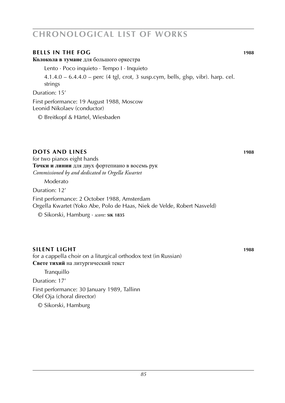### **bells in the fog 1988**

**Колокола в тумане** для большого оркестра

Lento · Poco inquieto · Tempo I · Inquieto

4.1.4.0 – 6.4.4.0 – perc (4 tgl, crot, 3 susp.cym, bells, glsp, vibr). harp. cel. strings

Duration: 15'

First performance: 19 August 1988, Moscow Leonid Nikolaev (conductor)

© Breitkopf & Härtel, Wiesbaden

## **dots and lines 1988**

for two pianos eight hands **Точки и линии** для двух фортепиано в восемь рук *Commissioned by and dedicated to Orgella Kwartet*

Moderato

Duration: 12'

First performance: 2 October 1988, Amsterdam Orgella Kwartet (Yoko Abe, Polo de Haas, Niek de Velde, Robert Nasveld)

© Sikorski, Hamburg · *score:* **sik 1835**

## **silent light 1988**

for a cappella choir on a liturgical orthodox text (in Russian) **Свете тихий** на литургический текст

**Tranquillo** 

Duration: 17'

First performance: 30 January 1989, Tallinn Olef Oja (choral director)

© Sikorski, Hamburg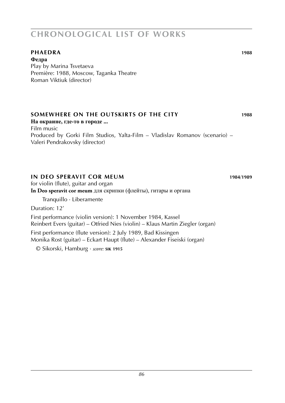#### **PHAEDRA** 1988

**Федра** Play by Marina Tsvetaeva Première: 1988, Moscow, Taganka Theatre Roman Viktiuk (director)

## **somewhere on the outskirts of the city 1988**

**На окраине, где-то в городе ...** Film music Produced by Gorki Film Studios, Yalta-Film – Vladislav Romanov (scenario) – Valeri Pendrakovsky (director)

### **in deo speravit cor meum 1984**/**1989**

for violin (flute), guitar and organ **In Deo speravit cor meum** для скрипки (флейты), гитары и органа

Tranquillo · Liberamente

Duration: 12'

First performance (violin version): 1 November 1984, Kassel Reinbert Evers (guitar) – Otfried Nies (violin) – Klaus Martin Ziegler (organ)

First performance (flute version): 2 July 1989, Bad Kissingen Monika Rost (guitar) – Eckart Haupt (flute) – Alexander Fiseiski (organ)

© Sikorski, Hamburg · *score:* **sik 1915**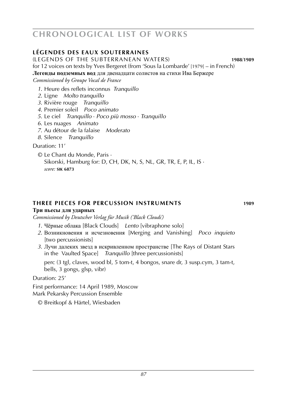# **légendes des eaux souterraines**

(legends of the subterranean waters) **1988**/**1989**

for 12 voices on texts by Yves Bergeret (from 'Sous la Lombarde' [1979] – in French)

**Легенды подземных вод** для двенадцати солистов на стихи Ива Бержере

*Commissioned by Groupe Vocal de France*

- *1*. Heure des reflets inconnus *Tranquillo*
- *2*. Ligne *Molto tranquillo*
- *3*. Rivière rouge *Tranquillo*
- *4*. Premier soleil *Poco animato*
- *5*. Le ciel *Tranquillo* · *Poco più mosso* · *Tranquillo*
- *6*. Les nuages *Animato*
- *7*. Au détour de la falaise *Moderato*
- *8*. Silence *Tranquillo*

Duration: 11'

© Le Chant du Monde, Paris · Sikorski, Hamburg for: D, CH, DK, N, S, NL, GR, TR, E, P, IL, IS · *score:* **sik 6873**

## **three pieces for percussion instruments 1989**

## **Три пьесы для ударных**

*Commissioned by Deutscher Verlag für Musik ('Black Clouds')*

- *1*. Чёрные облака [Black Clouds] *Lento* [vibraphone solo]
- *2*. Возникновения и исчезновения [Merging and Vanishing] *Poco inquieto* [two percussionists]
- *3*. Лучи далеких звезд в искривленном пространстве [The Rays of Distant Stars in the Vaulted Space] *Tranquillo* [three percussionists]

perc (3 tgl, claves, wood bl, 5 tom-t, 4 bongos, snare dr, 3 susp.cym, 3 tam-t, bells, 3 gongs, glsp, vibr)

Duration: 25'

First performance: 14 April 1989, Moscow Mark Pekarsky Percussion Ensemble

© Breitkopf & Härtel, Wiesbaden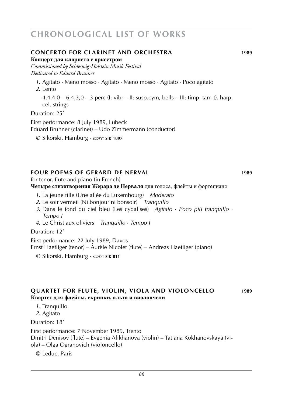## **concerto for clarinet and orchestra 1989**

#### **Концерт для кларнета с оркестром**

*Commissioned by Schleswig-Holstein Musik Festival Dedicated to Eduard Brunner*

*1*. Agitato · Meno mosso · Agitato · Meno mosso · Agitato · Poco agitato

*2*. Lento

 $4.4.4.0 - 6.4.3.0 - 3$  perc (I: vibr – II: susp.cym, bells – III: timp. tam-t). harp. cel. strings

#### Duration: 25'

First performance: 8 July 1989, Lübeck Eduard Brunner (clarinet) – Udo Zimmermann (conductor)

© Sikorski, Hamburg · *score:* **sik 1897**

## **four poems of gerard de nerval 1989**

for tenor, flute and piano (in French)

**Четыре стихотворения Жерара де Нерваля** для голоса, флейты и фортепиано

- *1*. La jeune fille (Une allée du Luxembourg) *Moderato*
- *2*. Le soir vermeil (Ni bonjour ni bonsoir) *Tranquillo*
- *3*. Dans le fond du ciel bleu (Les cydalises) *Agitato* · *Poco più tranquillo* · *Tempo I*
- *4*. Le Christ aux oliviers *Tranquillo* · *Tempo I*

## Duration: 12'

First performance: 22 July 1989, Davos Ernst Haefliger (tenor) – Aurèle Nicolet (flute) – Andreas Haefliger (piano)

© Sikorski, Hamburg · *score:* **sik 811**

#### **quartet for flute, violin, viola and violoncello 1989 Квартет для флейты, скрипки, альта и виолончели**

- *1*. Tranquillo
- *2*. Agitato

Duration: 18'

First performance: 7 November 1989, Trento Dmitri Denisov (flute) – Evgenia Alikhanova (violin) – Tatiana Kokhanovskaya (viola) – Olga Ogranovich (violoncello)

© Leduc, Paris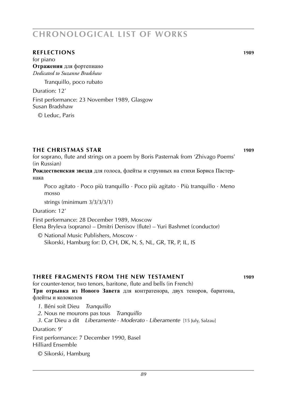#### **reflections 1989**

for piano **Отражения** для фортепиано *Dedicated to Suzanne Bradshaw* Tranquillo, poco rubato

Duration: 12'

First performance: 23 November 1989, Glasgow Susan Bradshaw

© Leduc, Paris

#### **the christmas star 1989**

for soprano, flute and strings on a poem by Boris Pasternak from 'Zhivago Poems' (in Russian)

**Рождественская звезда** для голоса, флейты и струнных на стихи Бориса Пастернака

Poco agitato · Poco più tranquillo · Poco più agitato · Più tranquillo · Meno mosso

strings (minimum 3/3/3/3/1)

Duration: 12'

First performance: 28 December 1989, Moscow Elena Bryleva (soprano) – Dmitri Denisov (flute) – Yuri Bashmet (conductor)

© National Music Publishers, Moscow · Sikorski, Hamburg for: D, CH, DK, N, S, NL, GR, TR, P, IL, IS

### **three fragments from the new testament 1989**

for counter-tenor, two tenors, baritone, flute and bells (in French) **Три отрывка из Нового Завета** для контратенора, двух теноров, баритона, флейты и колоколов

*1*. Béni soit Dieu *Tranquillo*

- *2*. Nous ne mourons pas tous *Tranquillo*
- *3*. Car Dieu a dit *Liberamente* · *Moderato* · *Liberamente* [15 July, Salzau]

Duration: 9'

First performance: 7 December 1990, Basel Hilliard Ensemble

© Sikorski, Hamburg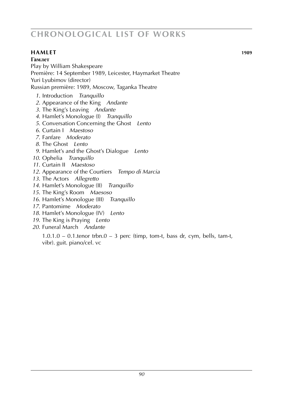### **hamlet 1989**

**Гамлет** Play by William Shakespeare Première: 14 September 1989, Leicester, Haymarket Theatre Yuri Lyubimov (director) Russian première: 1989, Moscow, Taganka Theatre

- . Introduction *Tranquillo*
- . Appearance of the King *Andante*
- . The King's Leaving *Andante*
- . Hamlet's Monologue (I) *Tranquillo*
- . Conversation Concerning the Ghost *Lento*
- . Curtain I *Maestoso*
- . Fanfare *Moderato*
- . The Ghost *Lento*
- . Hamlet's and the Ghost's Dialogue *Lento*
- . Ophelia *Tranquillo*
- . Curtain II *Maestoso*
- . Appearance of the Courtiers *Tempo di Marcia*
- . The Actors *Allegretto*
- . Hamlet's Monologue (II) *Tranquillo*
- . The King's Room *Maesoso*
- . Hamlet's Monologue (III) *Tranquillo*
- . Pantomime *Moderato*
- . Hamlet's Monologue (IV) *Lento*
- . The King is Praying *Lento*
- . Funeral March *Andante*

 $1.0.1.0 - 0.1$  tenor trbn. $0 - 3$  perc (timp, tom-t, bass dr, cym, bells, tam-t, vibr). guit. piano/cel. vc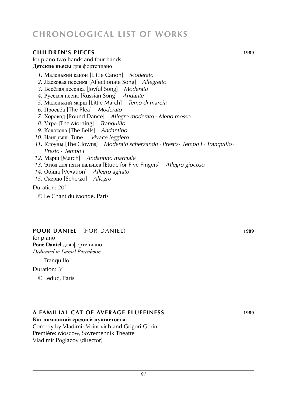## **children's pieces 1989**

for piano two hands and four hands **Детские пьесы** для фортепиано

- *1*. Маленький канон [Little Canon] *Moderato*
- *2*. Ласковая песенка [Affectionate Song] *Allegretto*
- *3*. Весёлая песенка [Joyful Song] *Moderato*
- *4*. Русская песна [Russian Song] *Andante*
- *5*. Маленький марш [Little March] *Temo di marcia*
- *6*. Просьба [The Plea] *Moderato*
- *7*. Хоровод [Round Dance] *Allegro moderato* · *Meno mosso*
- *8*. Утро [The Morning] *Tranquillo*
- *9*. Колокола [The Bells] *Andantino*
- *10*. Наигрыш [Tune] *Vivace leggiero*
- *11*. Клоуны [The Clowns] *Moderato scherzando* · *Presto* · *Tempo I* · *Tranquillo* · *Presto* · *Tempo I*
- *12*. Марш [March] *Andantino marciale*
- *13*. Этюд для пяти пальцев [Etude for Five Fingers] *Allegro giocoso*
- *14*. Обида [Vexation] *Allegro agitato*
- *15*. Скерцо [Scherzo] *Allegro*

Duration: 20'

© Le Chant du Monde, Paris

#### **pour daniel** (for daniel) **1989**

for piano **Pour Daniel** для фортепиано *Dedicated to Daniel Barenboim*

**Tranquillo** 

Duration: 3'

© Leduc, Paris

# **a familial cat of average fluffiness 1989**

**Кот домашний средней пушистости**

Comedy by Vladimir Voinovich and Grigori Gorin Première: Moscow, Sovremennik Theatre Vladimir Poglazov (director)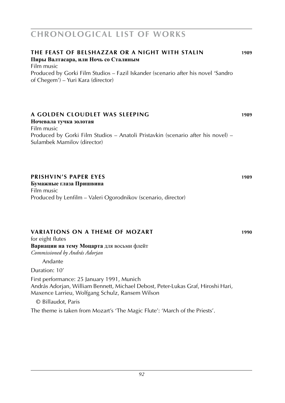## **the feast of belshazzar or a night with stalin 1989**

**Пиры Валтасара, или Ночь со Сталиным** Film music

Produced by Gorki Film Studios – Fazil Iskander (scenario after his novel 'Sandro of Chegem') – Yuri Kara (director)

## **a golden cloudlet was sleeping 1989**

**Ночевала тучка золотая** Film music Produced by Gorki Film Studios – Anatoli Pristavkin (scenario after his novel) – Sulambek Mamilov (director)

## **prishvin's paper eyes 1989**

**Бумажные глаза Пришвина** Film music Produced by Lenfilm – Valeri Ogorodnikov (scenario, director)

# **variations on a theme of mozart 1990**

for eight flutes **Вариации на тему Моцарта** для восьми флейт *Commissioned by András Adorjan*

Andante

Duration: 10'

First performance: 25 January 1991, Munich András Adorjan, William Bennett, Michael Debost, Peter-Lukas Graf, Hiroshi Hari, Maxence Larrieu, Wolfgang Schulz, Ransem Wilson

© Billaudot, Paris

The theme is taken from Mozart's 'The Magic Flute': 'March of the Priests'.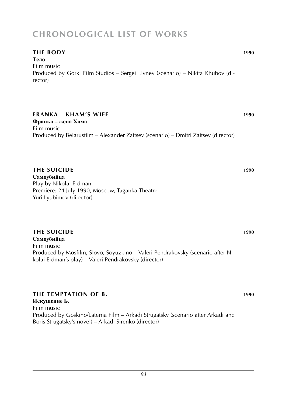#### **the body 1990 Тело** Film music Produced by Gorki Film Studios – Sergei Livnev (scenario) – Nikita Khubov (director)

## **Franka – kham's wife 1990**

**Франка – жена Хама** Film music Produced by Belarusfilm – Alexander Zaitsev (scenario) – Dmitri Zaitsev (director)

#### **the suicide 1990 Самоубийца** Play by Nikolai Erdman Première: 24 July 1990, Moscow, Taganka Theatre Yuri Lyubimov (director)

# **the suicide 1990**

**Самоубийца** Film music Produced by Mosfilm, Slovo, Soyuzkino – Valeri Pendrakovsky (scenario after Nikolai Erdman's play) – Valeri Pendrakovsky (director)

# **the temptation of b. 1990**

**Искушение Б.** Film music Produced by Goskino/Laterna Film – Arkadi Strugatsky (scenario after Arkadi and Boris Strugatsky's novel) – Arkadi Sirenko (director)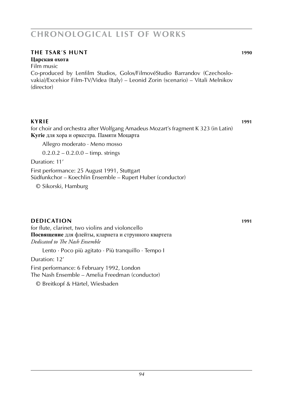## **the tsar**'**s hunt 1990**

#### **Царская охота**

Film music Co-produced by Lenfilm Studios, Golos/FilmovéStudio Barrandov (Czechoslovakia)/Excelsior Film-TV/Videa (Italy) – Leonid Zorin (scenario) – Vitali Melnikov (director)

## **kyrie 1991 1991 1991**

for choir and orchestra after Wolfgang Amadeus Mozart's fragment K 323 (in Latin) **Kyrie** для хора и оркестра. Памяти Моцарта

Allegro moderato · Meno mosso

 $0.2.0.2 - 0.2.0.0 -$  timp. strings

Duration: 11'

First performance: 25 August 1991, Stuttgart Südfunkchor – Koechlin Ensemble – Rupert Huber (conductor)

© Sikorski, Hamburg

# **dedication 1991**

for flute, clarinet, two violins and violoncello **Посвящение** для флейты, кларнета и струнного квартета *Dedicated to The Nash Ensemble*

Lento · Poco più agitato · Più tranquillo · Tempo I

Duration: 12'

First performance: 6 February 1992, London The Nash Ensemble – Amelia Freedman (conductor)

© Breitkopf & Härtel, Wiesbaden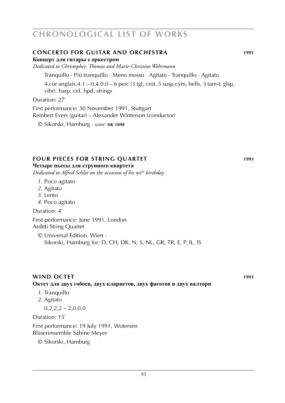# **concerto for guitar and orchestra 1991**

## **Концерт для гитары с оркестром**

*Dedicated to Christopher, Thomas and Marie-Christine Wehrmann*

Tranquillo · Più tranquillo · Meno mosso · Agitato · Tranquillo · Agitato

4.cor anglais.4.1 – 0.4.0.0 – 6 perc (3 tgl, crot, 5 susp.cym, bells, 3 tam-t, glsp, vibr). harp. cel. hpd. strings

# Duration: 27'

First performance: 30 November 1991, Stuttgart Reinbert Evers (guitar) – Alexander Winterson (conductor)

© Sikorski, Hamburg · *score:* **sik 1898**

# **four pieces for string quartet 1991**

**Четыре пьесы для струнного квартета**

*Dedicated to Alfred Schlee on the occasion of his* 90<sup>th</sup> birthday

- *1*. Poco agitato
- *2*. Agitato
- *3*. Lento
- *4*. Poco agitato

Duration: 4'

First performance: June 1991, London Arditti String Quartet

© Universal Edition, Wien · Sikorski, Hamburg for: D, CH, DK, N, S, NL, GR, TR, E, P, IL, IS

# **wind octet 1991**

**Октет для двух гобоев, двух кларнетов, двух фаготов и двух валторн**

- *1*. Tranquillo
- *2*. Agitato

 $0.2.2.2 - 2.0.0.0$ 

Duration: 15'

First performance: 19 July 1991, Wotersen Bläserensemble Sabine Meyer

© Sikorski, Hamburg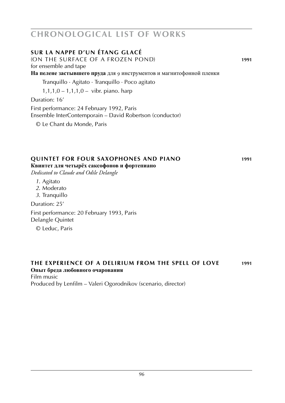# **sur la nappe d'un étang glacé**

(on the surface of a frozen pond) **1991** for ensemble and tape

**На пелене застывшего пруда** для 9 инструментов и магнитофонной пленки

Tranquillo · Agitato · Tranquillo · Poco agitato

 $1,1,1,0 - 1,1,1,0 -$  vibr. piano. harp

Duration: 16'

First performance: 24 February 1992, Paris Ensemble InterContemporain – David Robertson (conductor)

© Le Chant du Monde, Paris

#### **quintet for four saxophones and piano 1991 Квинтет для четырёх саксофонов и фортепиано**

*Dedicated to Claude and Odile Delangle*

*1*. Agitato

*2*. Moderato

*3*. Tranquillo

Duration: 25' First performance: 20 February 1993, Paris Delangle Quintet

© Leduc, Paris

### **THE EXPERIENCE of a delirium from the spell of love 1991 Опыт бреда любовного очарования**

Film music

Produced by Lenfilm – Valeri Ogorodnikov (scenario, director)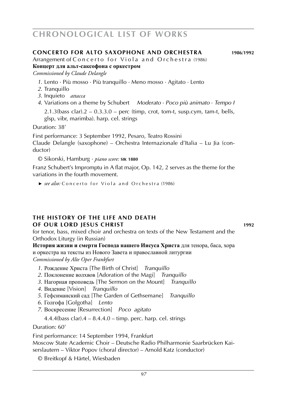#### **concerto for alto saxophone and orchestra 1986**/**1992**

Arrangement of Concerto for Viola and Orchestra (1986) **Концерт для альт-саксофона с оркестром**

*Commissioned by Claude Delangle*

- *1*. Lento · Più mosso · Più tranquillo · Meno mosso · Agitato · Lento
- *2*. Tranquillo
- *3*. Inquieto *attacca*
- *4*. Variations on a theme by Schubert *Moderato* · *Poco più animato* · *Tempo I*

 $2.1.3$ (bass clar). $2 - 0.3.3.0$  – perc (timp, crot, tom-t, susp.cym, tam-t, bells, glsp, vibr, marimba). harp. cel. strings

Duration: 38'

First performance: 3 September 1992, Pesaro, Teatro Rossini Claude Delangle (saxophone) – Orchestra Internazionale d'Italia – Lu Jia (conductor)

© Sikorski, Hamburg · *piano score:* **sik 1880**

Franz Schubert's Impromptu in A flat major, Op. 142, 2 serves as the theme for the variations in the fourth movement.

► *see also:* Concerto for Viola and Orchestra (1986)

# **the history of the life and death**

#### **of our lord jesus christ 1992**

for tenor, bass, mixed choir and orchestra on texts of the New Testament and the Orthodox Liturgy (in Russian)

**История жизни и смерти Господа нашего Иисуса Христа** для тенора, баса, хора и оркестра на тексты из Нового Завета и православной литургии

*Commissioned by Alte Oper Frankfurt*

- *1*. Рождение Христа [The Birth of Christ] *Tranquillo*
- *2*. Поклонение волхвов [Adoration of the Magi] *Tranquillo*
- *3*. Нагорная проповедь [The Sermon on the Mount] *Tranquillo*
- *4*. Видение [Vision] *Tranquillo*
- *5*. Гефсиманский сад [The Garden of Gethsemane] *Tranquillo*
- *6*. Голгофа [Golgotha] *Lento*
- *7*. Воскресение [Resurrection] *Poco agitato*
	- $4.4.4$ (bass clar). $4 8.4.4.0 -$  timp. perc. harp. cel. strings

Duration: 60'

First performance: 14 September 1994, Frankfurt Moscow State Academic Choir – Deutsche Radio Philharmonie Saarbrücken Kaiserslautern – Viktor Popov (choral director) – Arnold Katz (conductor)

© Breitkopf & Härtel, Wiesbaden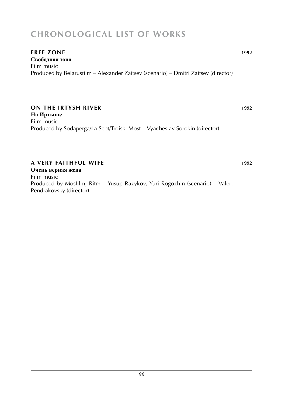## **free zone 1992**

**Свободная зона** Film music Produced by Belarusfilm – Alexander Zaitsev (scenario) – Dmitri Zaitsev (director)

# **on the irtysh river 1992**

**На Иртыше** Film music Produced by Sodaperga/La Sept/Troiski Most – Vyacheslav Sorokin (director)

### **a very faithful wife 1992**

**Очень верная жена** Film music Produced by Mosfilm, Ritm – Yusup Razykov, Yuri Rogozhin (scenario) – Valeri Pendrakovsky (director)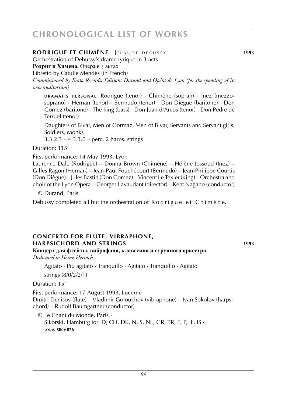## **RODRIGUE ET CHIMÈNE** [CLAUDE DEBUSSY] **1993**

Orchestration of Debussy's drame lyrique in 3 acts

**Родриг и Химена.** Опера в 3 актах

Libretto by Catulle Mendès (in French)

*Commissioned by Erato Records, Editions Durand and Opéra de Lyon (for the spending of its new auditorium)*

**d r a m at i s p e r s o n a e**: Rodrigue (tenor) · Chimène (sopran) · Iñez (mezzosoprano) · Hernan (tenor) · Bermudo (tenor) · Don Diègue (baritone) · Don Gomez (baritone) · The king (bass) · Don Juan d'Arcos (tenor) · Don Pèdre de Terruel (tenor)

Daughters of Bivar, Men of Gormaz, Men of Bivar, Servants and Servant girls, Soldiers, Monks

 $3.3.2.3 - 4.3.3.0 -$  perc. 2 harps. strings

Duration: 115'

First performance: 14 May 1993, Lyon

Laurence Dale (Rodrigue) – Donna Brown (Chimène) – Hélène Jossoud (Iñez) – Gilles Ragon (Hernan) – Jean-Paul Fouchécourt (Bermudo) – Jean-Philippe Courtis (Don Diègue) – Jules Bastin (Don Gomez) – Vincent Le Texier (King) – Orchestra and choir of the Lyon Opera – Georges Lavaudant (director) – Kent Nagano (conductor)

© Durand, Paris

Debussy completed all but the orchestration of Rodrigue et Chimène.

# **concerto for flute, vibraphone, harpsichord and strings 1993**

**Концерт для флейты, вибрафона, клавесина и струнного оркестра** *Dedicated to Heinz Hertach*

Agitato · Più agitato · Tranquillo · Agitato · Tranquillo · Agitato

strings (8/0/2/2/1)

Duration: 15'

First performance: 17 August 1993, Lucerne Dmitri Denisov (flute) – Vladimir Goloukhov (vibraphone) – Ivan Sokolov (harpsichord) – Rudolf Baumgartner (conductor)

© Le Chant du Monde, Paris ·

Sikorski, Hamburg for: D, CH, DK, N, S, NL, GR, TR, E, P, IL, IS · *score:* **sik 6876**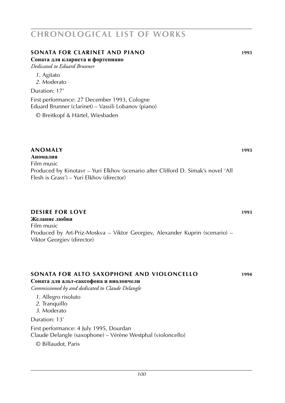#### *100*

# **chronological list of works**

### **sonata for clarinet and piano 1993**

**Соната для кларнета и фортепиано**

*Dedicated to Eduard Brunner*

*1*. Agitato

*2*. Moderato

Duration: 17'

First performance: 27 December 1993, Cologne Eduard Brunner (clarinet) – Vassili Lobanov (piano)

© Breitkopf & Härtel, Wiesbaden

## **anomaly 1993**

**Аномалия** Film music Produced by Kinotavr – Yuri Elkhov (scenario after Clifford D. Simak's novel 'All Flesh is Grass') – Yuri Elkhov (director)

# **desire for love 1993**

**Желание любви** Film music Produced by Art-Priz-Moskva – Viktor Georgiev, Alexander Kuprin (scenario) – Viktor Georgiev (director)

## **sonata for alto saxophone and violoncello 1994**

# **Соната для альт-саксофона и виолончели**

*Commissioned by and dedicated to Claude Delangle*

- *1*. Allegro risoluto
- *2*. Tranquillo
- *3*. Moderato

Duration: 13'

First performance: 4 July 1995, Dourdan Claude Delangle (saxophone) – Vérène Westphal (violoncello)

© Billaudot, Paris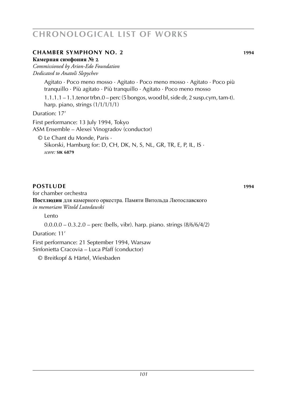### **chamber symphony no. 2 1994**

**Камерная симфония № 2**

*Commissioned by Arion-Edo Foundation Dedicated to Anatoli Slepychev*

> Agitato · Poco meno mosso · Agitato · Poco meno mosso · Agitato · Poco più tranquillo · Più agitato · Più tranquillo · Agitato · Poco meno mosso

> $1.1.1.1 - 1.1$ .tenor trbn. $0 -$  perc (5 bongos, wood bl, side dr, 2 susp.cym, tam-t). harp. piano, strings (1/1/1/1/1)

Duration: 17'

First performance: 13 July 1994, Tokyo ASM Ensemble – Alexei Vinogradov (conductor)

© Le Chant du Monde, Paris · Sikorski, Hamburg for: D, CH, DK, N, S, NL, GR, TR, E, P, IL, IS · *score:* **sik 6879**

### **postlude 1994**

for chamber orchestra **Постлюдия** для камерного оркестра. Памяти Витольда Лютославского *in memoriam Witold Lutosławski*

Lento

0.0.0.0 – 0.3.2.0 – perc (bells, vibr). harp. piano. strings (8/6/6/4/2)

Duration: 11'

First performance: 21 September 1994, Warsaw Sinfonietta Cracovia – Luca Pfaff (conductor)

© Breitkopf & Härtel, Wiesbaden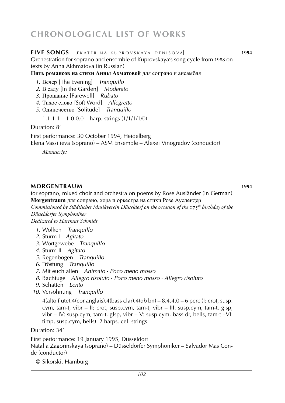#### **five songs** [ekaterina kuprovskaya-denisova] **1994**

Orchestration for soprano and ensemble of Kuprovskaya's song cycle from 1988 on texts by Anna Akhmatova (in Russian)

#### **Пять романсов на стихи Анны Ахматовой** для сопрано и ансамбля

- *1*. Вечер [The Evening] *Tranquillo*
- *2*. В саду [In the Garden] *Moderato*
- *3*. Прощание [Farewell] *Rubato*
- *4*. Тихое слово [Soft Word] *Allegretto*
- *5*. Одиночество [Solitude] *Tranquillo*
	- $1.1.1.1 1.0.0.0 \text{harp. strings}$  (1/1/1/1/0)

Duration: 8'

First performance: 30 October 1994, Heidelberg Elena Vassilieva (soprano) – ASM Ensemble – Alexei Vinogradov (conductor)

 *Manuscript*

#### **morgentraum 1994**

for soprano, mixed choir and orchestra on poems by Rose Ausländer (in German) **Morgentraum** для сопрано, хора и оркестра на стихи Розе Ауслендер *Commissioned by Städtischer Musikverein Düsseldorf on the occasion of the* 175*th birthday of the Düsseldorfer Symphoniker*

*Dedicated to Hartmut Schmidt*

- *1*. Wolken *Tranquillo*
- *2*. Sturm I *Agitato*
- *3*. Wortgewebe *Tranquillo*
- *4*. Sturm II *Agitato*
- *5*. Regenbogen *Tranquillo*
- *6*. Tröstung *Tranquillo*
- *7*. Mit euch allen *Animato* · *Poco meno mosso*
- *8*. Bachfuge *Allegro risoluto* · *Poco meno mosso* · *Allegro risoluto*
- *9*. Schatten *Lento*

*10*. Versöhnung *Tranquillo*

4(alto flute).4(cor anglais).4(bass clar).4(db bn) –  $8.4.4.0 - 6$  perc (I: crot, susp. cym, tam-t, vibr – II: crot, susp.cym, tam-t, vibr – III: susp.cym, tam-t, glsp, vibr – IV: susp.cym, tam-t, glsp, vibr – V: susp.cym, bass dr, bells, tam-t –VI: timp, susp.cym, bells). 2 harps. cel. strings

Duration: 34'

First performance: 19 January 1995, Düsseldorf Natalia Zagorinskaya (soprano) – Düsseldorfer Symphoniker – Salvador Mas Conde (conductor)

© Sikorski, Hamburg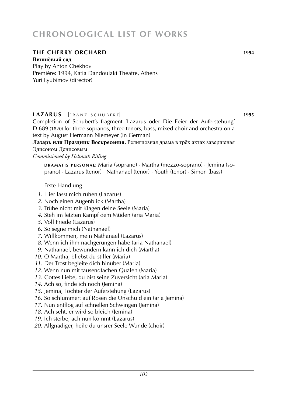# **the cherry orchard 1994**

**Вишнёвый сад**

Play by Anton Chekhov Première: 1994, Katia Dandoulaki Theatre, Athens Yuri Lyubimov (director)

**LAZARUS** [FRANZ SCHUBERT] **1995** 

Completion of Schubert's fragment 'Lazarus oder Die Feier der Auferstehung' D 689 (1820) for three sopranos, three tenors, bass, mixed choir and orchestra on a text by August Hermann Niemeyer (in German)

**Лазарь или Праздник Воскресения.** Религиозная драма в трёх актах завершеная Эдисоном Денисовым

*Commissioned by Helmuth Rilling*

**DRAMATIS PERSONAE:** Maria (soprano) · Martha (mezzo-soprano) · Jemina (soprano) · Lazarus (tenor) · Nathanael (tenor) · Youth (tenor) · Simon (bass)

Erste Handlung

- *1*. Hier lasst mich ruhen (Lazarus)
- *2*. Noch einen Augenblick (Martha)
- *3*. Trübe nicht mit Klagen deine Seele (Maria)
- *4*. Steh im letzten Kampf dem Müden (aria Maria)
- *5*. Voll Friede (Lazarus)
- *6*. So segne mich (Nathanael)
- *7*. Willkommen, mein Nathanael (Lazarus)
- *8*. Wenn ich ihm nachgerungen habe (aria Nathanael)
- *9*. Nathanael, bewundern kann ich dich (Martha)
- *10*. O Martha, bliebst du stiller (Maria)
- *11*. Der Trost begleite dich hinüber (Maria)
- *12*. Wenn nun mit tausendfachen Qualen (Maria)
- *13*. Gottes Liebe, du bist seine Zuversicht (aria Maria)
- *14*. Ach so, finde ich noch (Jemina)
- *15*. Jemina, Tochter der Auferstehung (Lazarus)
- *16*. So schlummert auf Rosen die Unschuld ein (aria Jemina)
- *17*. Nun entflog auf schnellen Schwingen (Jemina)
- *18*. Ach seht, er wird so bleich (Jemina)
- *19*. Ich sterbe, ach nun kommt (Lazarus)
- *20*. Allgnädiger, heile du unsrer Seele Wunde (choir)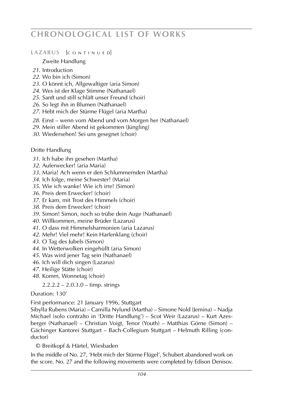## **lazarus** [c o n t i n u e d]

## Zweite Handlung

- . Introduction
- . Wo bin ich (Simon)
- . O könnt ich, Allgewaltiger (aria Simon)
- . Wes ist der Klage Stimme (Nathanael)
- . Sanft und still schläft unser Freund (choir)
- . So legt ihn in Blumen (Nathanael)
- . Hebt mich der Stürme Flügel (aria Martha)
- . Einst wenn vom Abend und vom Morgen her (Nathanael)
- . Mein stiller Abend ist gekommen (Jüngling)
- . Wiedersehen! Sei uns gesegnet (choir)

# Dritte Handlung

- . Ich habe ihn gesehen (Martha)
- . Auferwecker! (aria Maria)
- . Maria! Ach wenn er den Schlummernden (Martha)
- . Ich folge, meine Schwester! (Maria)
- . Wie ich wanke! Wie ich irre! (Simon)
- . Preis dem Erwecker! (choir)
- . Er kam, mit Trost des Himmels (choir)
- . Preis dem Erwecker! (choir)
- . Simon! Simon, noch so trübe dein Auge (Nathanael)
- . Willkommen, meine Brüder (Lazarus)
- . O dass mit Himmelsharmonien (aria Lazarus)
- . Mehr! Viel mehr! Kein Harfenklang (choir)
- . O Tag des Jubels (Simon)
- . In Wetterwolken eingehüllt (aria Simon)
- . Was wird jener Tag sein (Nathanael)
- . Ich will dich singen (Lazarus)
- . Heilige Stätte (choir)
- . Komm, Wonnetag (choir)

2.2.2.2 – 2.0.3.0 – timp. strings

Duration: 130'

First performance: 21 January 1996, Stuttgart

Sibylla Rubens (Maria) – Camilla Nylund (Martha) – Simone Nold (Jemina) – Nadja Michael (solo contralto in 'Dritte Handlung') – Scot Weir (Lazarus) – Kurt Azesberger (Nathanael) – Christian Voigt, Tenor (Youth) – Matthias Görne (Simon) – Gächinger Kantorei Stuttgart – Bach-Collegium Stuttgart – Helmuth Rilling (conductor)

© Breitkopf & Härtel, Wiesbaden

In the middle of No. 27, 'Hebt mich der Stürme Flügel', Schubert abandoned work on the score. No. 27 and the following movements were completed by Edison Denisov.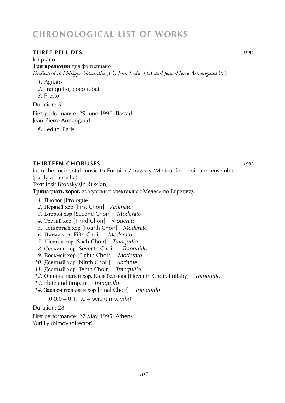### **three peludes 1994**

for piano **Три прелюдии** для фортепиано *Dedicated to Philippe Gavardin* (1.)*, Jean Leduc* (2.) *and Jean-Pierre Armengaud* (3.) *1*. Agitato *2*. Tranquillo, poco rubato *3*. Presto Duration: 5'

First performance: 29 June 1996, Båstad Jean-Pierre Armengaud

© Leduc, Paris

# **thirteen choruses 1995**

from the incidental music to Euripides' tragedy 'Medea' for choir and ensemble (partly a cappella) Text: Iosif Brodsky (in Russian)

**Тринадцать хоров** из музыки к спектаклю »Медея« по Еврипиду

- *1*. Пролог [Prologue]
- *2*. Первый хор [First Choir] *Animato*
- *3*. Второй хор [Second Choir] *Moderato*
- *4*. Третий хор [Third Choir] *Moderato*
- *5*. Четвёртый хор [Fourth Choir] *Moderato*
- *6*. Пятый хор [Fifth Choir] *Moderato*
- *7*. Шестой хор [Sixth Choir] *Tranquillo*
- *8*. Седьмой хор [Seventh Choir] *Tranquillo*
- *9*. Восьмой хор [Eighth Choir] *Moderato*
- *10*. Девятый хор [Ninth Choir] *Andante*
- *11*. Десятый хор [Tenth Choir] *Tranquillo*
- *12*. Одиннадцатый хор. Колыбельная [Eleventh Choir. Lullaby] *Tranquillo*
- *13*. Flute and timpani *Tranquillo*
- *14*. Заключительный хор [Final Choir] *Tranquillo*

 $1.0.0.0 - 0.1.1.0 -$  perc (timp, vibr)

Duration: 28'

First performance: 22 May 1995, Athens Yuri Lyubimov (director)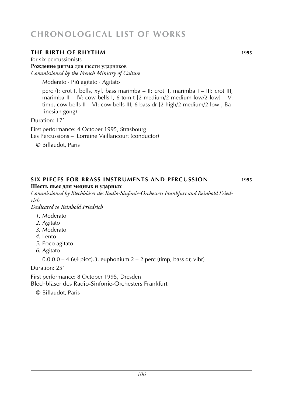## **the birth of rhythm 1995**

for six percussionists

**Рождение ритма** для шести ударников *Commissioned by the French Ministry of Culture*

Moderato · Più agitato · Agitato

perc (I: crot I, bells, xyl, bass marimba – II: crot II, marimba I – III: crot III, marimba II – IV: cow bells I, 6 tom-t [2 medium/2 medium low/2 low] – V: timp, cow bells II – VI: cow bells III, 6 bass dr [2 high/2 medium/2 low], Balinesian gong)

Duration: 17'

First performance: 4 October 1995, Strasbourg Les Percussions – Lorraine Vaillancourt (conductor)

© Billaudot, Paris

# **six pieces for brass instruments and percussion 1995**

# **Шесть пьес для медных и ударных**

*Commissioned by Blechbläser des Radio-Sinfonie-Orchesters Frankfurt and Reinhold Friedrich*

*Dedicated to Reinhold Friedrich*

- *1*. Moderato
- *2*. Agitato
- *3*. Moderato
- *4*. Lento
- *5*. Poco agitato
- *6*. Agitato

 $0.0.0.0 - 4.6(4 \text{ picc}).3$ . euphonium. $2 - 2$  perc (timp, bass dr, vibr)

Duration: 25'

First performance: 8 October 1995, Dresden Blechbläser des Radio-Sinfonie-Orchesters Frankfurt

© Billaudot, Paris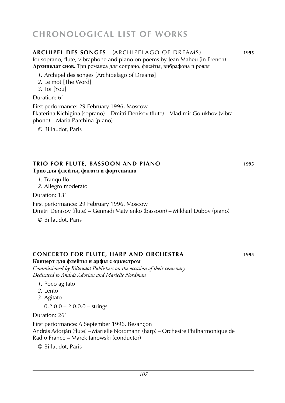**archipel des songes** (archipelago of dreams) **1995**

for soprano, flute, vibraphone and piano on poems by Jean Maheu (in French) **Архипелаг снов.** Три романса для сопрано, флейты, вибрафона и рояля

- *1*. Archipel des songes [Archipelago of Dreams]
- *2*. Le mot [The Word]
- *3*. Toi [You]

#### Duration: 6'

First performance: 29 February 1996, Moscow Ekaterina Kichigina (soprano) – Dmitri Denisov (flute) – Vladimir Golukhov (vibraphone) – Maria Parchina (piano)

© Billaudot, Paris

### **trio for flute, bassoon and piano 1995 Трио для флейты, фагота и фортепиано**

*1*. Tranquillo

*2*. Allegro moderato

Duration: 13'

First performance: 29 February 1996, Moscow Dmitri Denisov (flute) – Gennadi Matvienko (bassoon) – Mikhail Dubov (piano)

© Billaudot, Paris

#### **concerto for flute, harp and orchestra 1995 Концерт для флейты и арфы с оркестром**

*Commissioned by Billaudot Publishers on the occasion of their centenary Dedicated to András Adorjan and Marielle Nordman*

- *1*. Poco agitato
- *2*. Lento
- *3*. Agitato

 $0.2.0.0 - 2.0.0.0 -$  strings

Duration: 26'

First performance: 6 September 1996, Besançon András Adorján (flute) – Marielle Nordmann (harp) – Orchestre Philharmonique de Radio France – Marek Janowski (conductor)

© Billaudot, Paris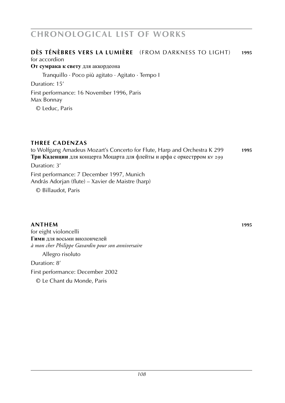#### **dÈs ténèbres vers la lumière** (from darkness to light) **1995** for accordion

#### **От сумрака к свету** для аккордеона

Tranquillo · Poco più agitato · Agitato · Tempo I

Duration: 15'

First performance: 16 November 1996, Paris Max Bonnay

© Leduc, Paris

#### **three cadenzas**

to Wolfgang Amadeus Mozart's Concerto for Flute, Harp and Orchestra K 299 **1995 Три Каденции** для концерта Моцарта для флейты и арфа с оркестрром kv 299 Duration: 3'

First performance: 7 December 1997, Munich András Adorjan (flute) – Xavier de Maistre (harp)

© Billaudot, Paris

## **anthem 1995**

for eight violoncelli **Гимн** для восьми виолончелей *à mon cher Philippe Gavardin pour son anniversaire*

Allegro risoluto

Duration: 8'

First performance: December 2002

© Le Chant du Monde, Paris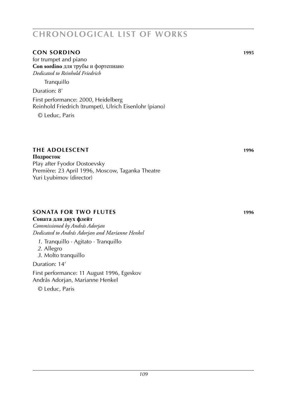### **con sordino 1995**

for trumpet and piano **Con sordino** для трубы и фортепиано *Dedicated to Reinhold Friedrich*

**Tranquillo** 

Duration: 8'

First performance: 2000, Heidelberg Reinhold Friedrich (trumpet), Ulrich Eisenlohr (piano)

© Leduc, Paris

## **the adolescent 1996**

**Подросток** Play after Fyodor Dostoevsky Première: 23 April 1996, Moscow, Taganka Theatre Yuri Lyubimov (director)

# **sonata for two flutes 1996**

#### **Соната для двух флейт**

*Commissioned by András Adorjan Dedicated to András Adorjan and Marianne Henkel*

*1*. Tranquillo · Agitato · Tranquillo

*2*. Allegro

*3*. Molto tranquillo

Duration: 14'

First performance: 11 August 1996, Egeskov András Adorjan, Marianne Henkel

© Leduc, Paris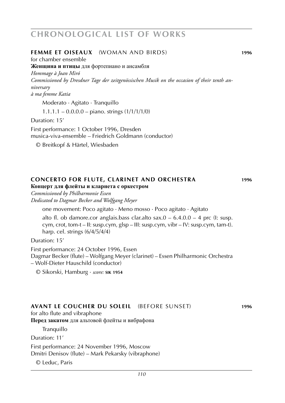### **chronological list of works**

#### **femme et oiseaux** (woman and birds) **1996**

for chamber ensemble

**Женщина и птицы** для фортепиано и ансамбля

*Hommage à Joan Miró*

*Commissioned by Dresdner Tage der zeitgenössischen Musik on the occasion of their tenth anniversary*

*à ma femme Katia*

Moderato · Agitato · Tranquillo

 $1.1.1.1 - 0.0.0.0 -$  piano. strings  $(1/1/1/1/0)$ 

Duration: 15'

First performance: 1 October 1996, Dresden musica-viva-ensemble – Friedrich Goldmann (conductor)

© Breitkopf & Härtel, Wiesbaden

### **concerto for flute, clarinet and orchestra 1996**

**Концерт для флейты и кларнета с оркестром** *Commissioned by Philharmonie Essen*

*Dedicated to Dagmar Becker and Wolfgang Meyer*

one movement: Poco agitato · Meno mosso · Poco agitato · Agitato

alto fl. ob damore.cor anglais.bass clar.alto sax. $0 - 6.4.0.0 - 4$  prc (I: susp. cym, crot, tom-t – II: susp.cym, glsp – III: susp.cym, vibr – IV: susp.cym, tam-t). harp. cel. strings (6/4/5/4/4)

Duration: 15'

First performance: 24 October 1996, Essen Dagmar Becker (flute) – Wolfgang Meyer (clarinet) – Essen Philharmonic Orchestra – Wolf-Dieter Hauschild (conductor)

© Sikorski, Hamburg · *score:* **sik 1954**

#### **avant le coucher du soleil** (before sunset) **1996**

for alto flute and vibraphone

**Перед закатом** для альтовой флейты и вибрафона

**Tranquillo** 

Duration: 11'

First performance: 24 November 1996, Moscow

Dmitri Denisov (flute) – Mark Pekarsky (vibraphone)

© Leduc, Paris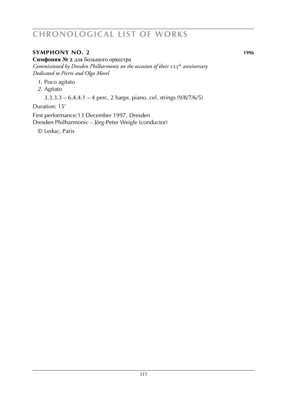## **chronological list of works**

### **symphony no. 2 1996**

**Симфония № 2** для большого оркестра *Commissioned by Dresden Philharmonic on the occasion of their* 125th *anniversary Dedicated to Pierre and Olga Morel*

- *1.* Poco agitato
- *2.* Agitato

 $3.3.3.3 - 6.4.4.1 - 4$  perc. 2 harps. piano. cel. strings  $(9/8/7/6/5)$ 

Duration: 15'

First performance:13 December 1997, Dresden Dresden Philharmonic – Jörg-Peter Weigle (conductor)

© Leduc, Paris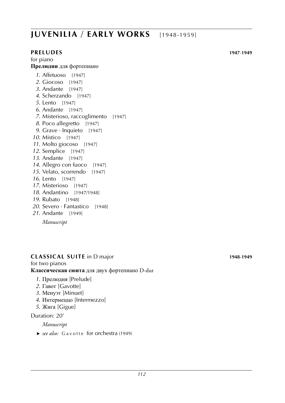#### **preludes 1947**-**1949**

for piano **Прелюдии** для фортепиано

. Affetuoso [1947] . Giocoso [1947] . Andante [1947] . Scherzando [1947] . Lento [1947] . Andante [1947] *7.* Misterioso, raccoglimento [1947] . Poco allegretto [1947] . Grave · Inquieto [1947] . Mistico [1947] . Molto giocoso [1947] . Semplice [1947] . Andante [1947] . Allegro con fuoco [1947] 15. Velato, scorrendo [1947] . Lento [1947] . Misterioso [1947] . Andantino [1947/1948] . Rubato [1948] 20. Severo · Fantastico [1948] . Andante [1949] *Manuscript*

#### **classical suite** in D major **1948**-**1949**

for two pianos **Классическая сюита** для двух фортепиано D-dur

- . Прелюдия [Prelude]
- . Гавот [Gavotte]
- . Менуэт [Minuet]
- . Интермеццо [Intermezzo]
- . Жига [Gigue]

#### Duration: 20'

*Manuscript*

► *see also:* Gavotte for orchestra (1949)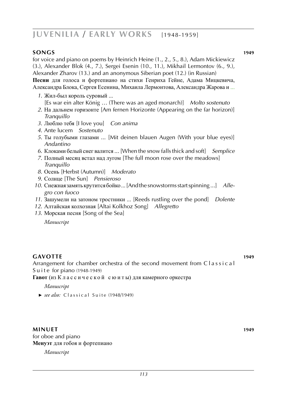**songs 1949** for voice and piano on poems by Heinrich Heine (1., 2., 5., 8.), Adam Mickiewicz (3.), Alexander Blok (4., 7.), Sergei Esenin (10., 11.), Mikhail Lermontov (6., 9.), Alexander Zharov (13.) and an anonymous Siberian poet (12.) (in Russian) **Песни** для голоса и фортепиано на стихи Генриха Гейне, Адама Мицкевича,

Александра Блока, Сергея Есенина, Михаила Лермонтова, Александра Жарова и ...

- *1*. Жил-был король суровый ... [Es war ein alter König … (There was an aged monarch)] *Molto sostenuto*
- *2*. На дальнем горизонте [Am fernen Horizonte (Appearing on the far horizon)] *Tranquillo*
- *3*. Люблю тебя [I love you] *Con anima*
- *4*. Ante lucem *Sostenuto*
- *5*. Ты голубыми глазами ... [Mit deinen blauen Augen (With your blue eyes)] *Andantino*
- *6*. Клоками белый снег валится ... [When the snow falls thick and soft] *Semplice*
- *7*. Полный месяц встал над лугом [The full moon rose over the meadows] *Tranquillo*
- *8*. Осень [Herbst (Autumn)] *Moderato*
- *9*. Солнце [The Sun] *Pensieroso*
- *10*. Снежная замять крутится бойко ... [And the snowstorms start spinning ...] *Alle gro con fuoco*
- *11*. Зашумели на затоном тростники ... [Reeds rustling over the pond] *Dolente*
- *12*. Алтайская колхозная [Altai Kolkhoz Song] *Allegretto*
- *13*. Морская песня [Song of the Sea]

*Manuscript*

### **g g 1949 g 1949 g g g 1949 g g g g 1949**

Arrangement for chamber orchestra of the second movement from C l a s s i c a l Suite for piano (1948-1949)

**Гавот** (из К л а с с и ч е с к о й с ю и т ы) для камерного оркестра

*Manuscript*

► *see also:* Classical Suite (1948/1949)

**minuet 1949** for oboe and piano **Менуэт** для гобоя и фортепиано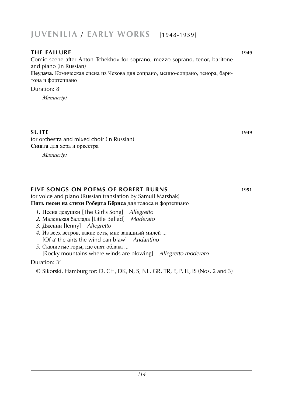#### **the failure 1949**

Comic scene after Anton Tchekhov for soprano, mezzo-soprano, tenor, baritone and piano (in Russian)

**Неудача.** Комическая сцена из Чехова для сопрано, меццо-сопрано, тенора, баритона и фортепиано

Duration: 8'

*Manuscript*

#### **SUITE** 1949

for orchestra and mixed choir (in Russian) **Сюита** для хора и оркестра

*Manuscript*

### **five songs on poems of robert burns 1951**

for voice and piano (Russian translation by Samuil Marshak) **Пять песен на стихи Роберта Бёрнса** для голоса и фортепиано

- *1*. Песня девушки [The Girl's Song] *Allegretto*
- *2*. Маленькая баллада [Little Ballad] *Moderato*
- *3*. Дженни [Jenny] *Allegretto*
- *4*. Из всех ветров, какие есть, мне западный милей ... [Of a' the airts the wind can blaw] *Andantino*

*5*. Скалистые горы, где спят облака ... [Rocky mountains where winds are blowing] *Allegretto moderato*

Duration: 3'

© Sikorski, Hamburg for: D, CH, DK, N, S, NL, GR, TR, E, P, IL, IS (Nos. 2 and 3)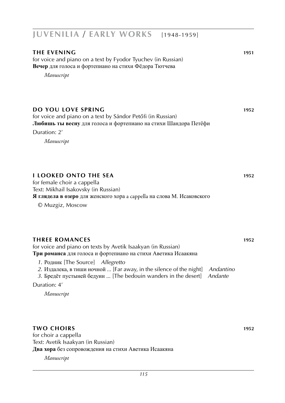# **the evening 1951** for voice and piano on a text by Fyodor Tyuchev (in Russian) **Вечер** для голоса и фортепиано на стихи Фёдора Тютчева *Manuscript* **do you love spring 1952** for voice and piano on a text by Sándor Petőfi (in Russian) **Любишь ты весну** для голоса и фортепиано на стихи Шандора Петёфи Duration: 2' *Manuscript* **i looked onto the sea 1952**

for female choir a cappella Text: Mikhail Isakovsky (in Russian) **Я глядела в озеро** для женского хора a cappella на слова М. Исаковского

© Muzgiz, Moscow

#### **Three romances 1952** for voice and piano on texts by Avetik Isaakyan (in Russian) **Три романса** для голоса и фортепиано на стихи Аветика Исаакяна *1*. Родник [The Source] *Allegretto 2*. Издалека, в тиши ночной ... [Far away, in the silence of the night] *Andantino 3*. Бредёт пустыней бедуин ... [The bedouin wanders in the desert] *Andante* Duration: 4'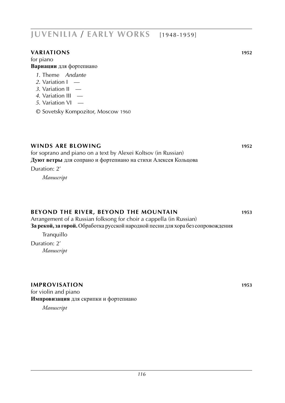#### **variations 1952**

for piano

### **Вариации** для фортепиано

- *1*. Theme *Andante*
- *2*. Variation I *––*
- *3*. Variation II *––*
- *4*. Variation III *––*
- *5*. Variation VI *––*
- © Sovetsky Kompozitor, Moscow 1960

#### **Winds are blowing 1952**

for soprano and piano on a text by Alexei Koltsov (in Russian) **Дуют ветры** для сопрано и фортепиано на стихи Алексея Кольцова

Duration: 2'

 *Manuscript*

#### **beyond the river, beyond the mountain 1953**

Arrangement of a Russian folksong for choir a cappella (in Russian) **За рекой, за горой.** Обработка русской народной песни для хора без сопровождения

**Tranquillo** 

Duration: 2' *Manuscript*

#### **improvisation 1953**

for violin and piano **Импровизация** для скрипки и фортепиано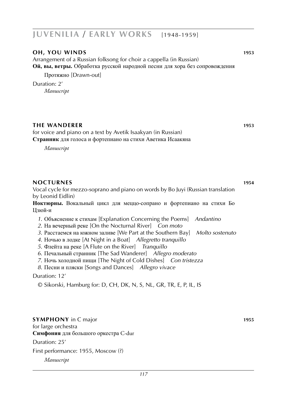#### **oh, you winds 1953**

Arrangement of a Russian folksong for choir a cappella (in Russian) **Ой, вы, ветры.** Обработка русской народной песни для хора без сопровождения

Протяжно [Drawn-out]

Duration: 2' *Manuscript*

#### **the wanderer 1953**

for voice and piano on a text by Avetik Isaakyan (in Russian)

**Странник** для голоса и фортепиано на стихи Аветика Исаакяна

 *Manuscript*

#### **nocturnes 1954**

Vocal cycle for mezzo-soprano and piano on words by Bo Juyi (Russian translation by Leonid Eidlin)

**Ноктюрны.** Вокальный цикл для меццо-сопрано и фортепиано на стихи Бо Цзюй-и

- *1*. Объяснение к стихам [Explanation Concerning the Poems] *Andantino*
- *2*. На вечерный реке [On the Nocturnal River] *Con moto*
- *3*. Расстаемся на южном заливе [We Part at the Southern Bay] *Molto sostenuto*
- *4*. Ночью в лодке [At Night in a Boat] *Allegretto tranquillo*
- *5*. Флейта на реке [A Flute on the River] *Tranquillo*
- *6*. Печальный странник [The Sad Wanderer] *Allegro moderato*
- *7*. Ночь холодной пищи [The Night of Cold Dishes] *Con tristezza*
- *8*. Песни и пляски [Songs and Dances] *Allegro vivace*

Duration: 12'

© Sikorski, Hamburg for: D, CH, DK, N, S, NL, GR, TR, E, P, IL, IS

### **SYMPHONY** in C major **1955**

for large orchestra

**Симфония** для большого оркестра C-dur

#### Duration: 25'

First performance: 1955, Moscow (?)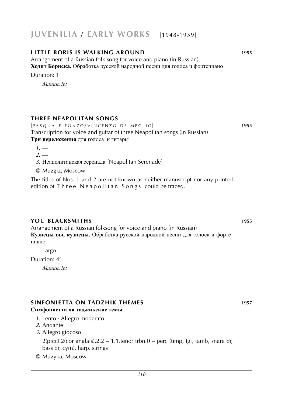#### **little boris is walking around 1955**

Arrangement of a Russian folk song for voice and piano (in Russian) **Ходит Бориска.** Обработка русской народной песни для голоса и фортепиано

Duration: 1'

 *Manuscript*

#### **three neapolitan songs**

[PASQUALE FONZO/VINCENZO DE MEGLIO] **1955** Transcription for voice and guitar of three Neapolitan songs (in Russian)

**Три переложения** для голоса и гитары

- *1*. ––
- *2*. ––
- *3*. Неаполитанская серенада [Neapolitan Serenade]
- © Muzgiz, Moscow

The titles of Nos. 1 and 2 are not known as neither manuscript nor any printed edition of Three Neapolitan Songs could be traced.

#### **you blacksmiths 1955**

Arrangement of a Russian folksong for voice and piano (in Russian) **Кузнецы вы, кузнецы.** Обработка русской народной песни для голоса и фортепиано

Largo

Duration: 4'

 *Manuscript*

### **sinfonietta on tadzhik themes 1957**

#### **Симфониетта на таджикские темы**

- *1*. Lento · Allegro moderato
- *2*. Andante
- *3*. Allegro giocoso

 $2(picc).2(cor anglais).2.2 – 1.1.tenor trbn.0 – perc (time, tgl, tamb, share dr,$ bass dr, cym). harp. strings

© Muzyka, Moscow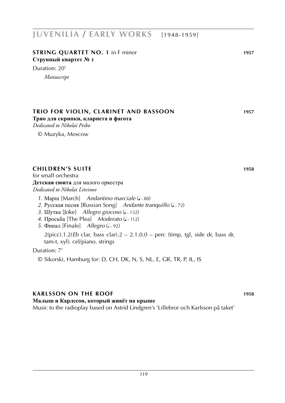**STRING QUARTET NO. 1** in F minor **1957 Струнный квартет № 1**

Duration: 20'

 *Manuscript*

#### **trio for violin, clarinet and bassoon 1957 Трио для скрипки, кларнета и фагота**

*Dedicated to Nikolai Peiko*

© Muzyka, Moscow

#### **children's suite 1958**

for small orchestra **Детская сюита** для малого оркестра *Dedicated to Nikolai Litvinov*

- *1*. Марш [March] *Andantino marciale* (1 88)
- 2. Русская песня [Russian Song] *Andante tranquillo* (1-72)
- *3*. Шутка [Joke] *Allegro giocoso* (1-132)
- 4. Просьба [The Plea] *Moderato* (1-112)
- *5*. Финал [Finale] *Allegro* (1.492)

 $2(pice).1.2(Eb$  clar, bass clar). $2 - 2.1.0.0$  – perc (timp, tgl, side dr, bass dr, tam-t, xyl). cel/piano. strings

Duration: 7'

© Sikorski, Hamburg for: D, CH, DK, N, S, NL, E, GR, TR, P, IL, IS

### **karlsson on the roof 1958**

**Малыш и Карлссон, который живёт на крыше** Music to the radioplay based on Astrid Lindgren's 'Lillebror och Karlsson på taket'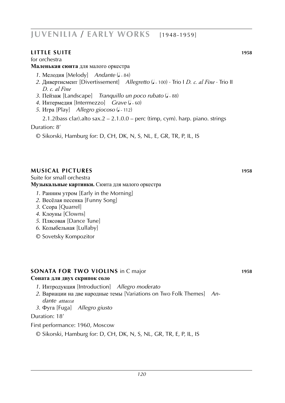### **little suite 1958**

### for orchestra

#### **Маленькая сюита** для малого оркестра

*1*. Мелодия [Melody] *Andante* (1-84)

- 2. Дивертисмент [Divertissement] *Allegretto* (J. 100) · Trio I *D. c. al Fine* · Trio II *D. c. al Fine*
- *3*. Пейзаж [Landscape] *Tranquillo un poco rubato* (J ~ 88)
- *4*. Интермедия [Intermezzo] *Grave* (1 ~ 60)
- *5*. Игра [Play] *Allegro giocoso* (J. 112)

2.1.2(bass clar).alto sax.2 – 2.1.0.0 – perc (timp, cym). harp. piano. strings

Duration: 8'

© Sikorski, Hamburg for: D, CH, DK, N, S, NL, E, GR, TR, P, IL, IS

#### **musical pictures 1958**

Suite for small orchestra **Музыкальные картинки.** Сюита для малого оркестра

- *1*. Ранним утром [Early in the Morning]
- *2*. Весёлая песенка [Funny Song]
- *3*. Ссора [Quarrel]
- *4*. Клоуны [Clowns]
- *5*. Плясовая [Dance Tune]
- *6*. Колыбельная [Lullaby]
- © Sovetsky Kompozitor

#### **SONATA FOR TWO VIOLINS** in C major **1958**

#### **Соната для двух скрипок соло**

- *1*. Интродукция [Introduction] *Allegro moderato*
- *2*. Вариации на две народные темы [Variations on Two Folk Themes] *An dante attacca*
- *3*. Фуга [Fuga] *Allegro giusto*

#### Duration: 18'

First performance: 1960, Moscow

© Sikorski, Hamburg for: D, CH, DK, N, S, NL, GR, TR, E, P, IL, IS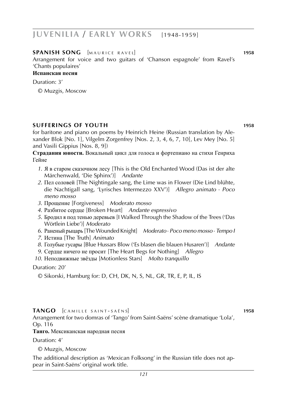#### **SPANISH SONG** [MAURICE RAVEL] **1958**

Arrangement for voice and two guitars of 'Chanson espagnole' from Ravel's 'Chants populaires'

#### **Испанская песня**

Duration: 3'

© Muzgis, Moscow

#### **sufferings of youth 1958**

for baritone and piano on poems by Heinrich Heine (Russian translation by Alexander Blok [No. 1], Vilgelm Zorgenfrey [Nos. 2, 3, 4, 6, 7, 10], Lev Mey [No. 5] and Vasili Gippius [Nos. 8, 9])

**Страдания юности.** Вокальный цикл для голоса и фортепиано на стихи Генриха Гейне

- *1*. Я в старом сказочном лесу [This is the Old Enchanted Wood (Das ist der alte Märchenwald, 'Die Sphinx')] *Andante*
- *2*. Пел соловей [The Nightingale sang, the Lime was in Flower (Die Lind blühte, die Nachtigall sang, 'Lyrisches Intermezzo XXV')] *Allegro animato* · *Poco meno mosso*
- *3*. Прощение [Forgiveness] *Moderato mosso*
- *4*. Разбитое сердце [Broken Heart] *Andante espressivo*
- *5*. Бродил я под тенью деревьев [I Walked Through the Shadow of the Trees ('Das Wörtlein Liebe')] *Moderato*
- *6*. Раненый рыцарь [The Wounded Knight] *Moderato* · *Poco meno mosso* · *Tempo I*
- *7*. Истина [The Truth] *Animato*
- *8*. Голубые гусары [Blue Hussars Blow ('Es blasen die blauen Husaren')] *Andante*
- *9*. Сердце ничего не просит [The Heart Begs for Nothing] *Allegro*
- *10*. Неподвижные звёзды [Motionless Stars] *Molto tranquillo*

Duration: 20'

© Sikorski, Hamburg for: D, CH, DK, N, S, NL, GR, TR, E, P, IL, IS

**TANGO** [CAMILLE SAINT-SAËNS] **1958 1958** 

Arrangement for two domras of 'Tango' from Saint-Saëns' scène dramatique 'Lola', Op. 116

**Танго.** Мексиканская народная песня

Duration: 4'

© Muzgis, Moscow

The additional description as 'Mexican Folksong' in the Russian title does not appear in Saint-Saëns' original work title.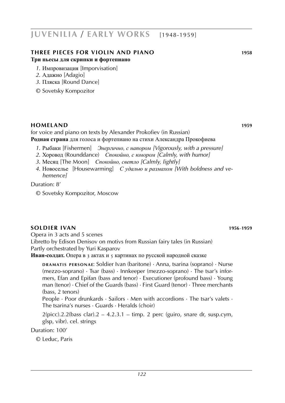#### **three pieces for violin and piano 1958**

#### **Три пьесы для скрипки и фортепиано**

- *1*. Импровизация [Imporvisation]
- *2*. Адажио [Adagio]
- *3*. Пляска [Round Dance]
- © Sovetsky Kompozitor

#### **homeland 1959**

for voice and piano on texts by Alexander Prokofiev (in Russian) **Родная страна** для голоса и фортепиано на стихи Александра Прокофиева

- *1*. Рыбаки [Fishermen] *Энергично, с напором [Vigorously, with a pressure]*
- *2*. Хоровод (Rounddance) *Спокойно, с юмором [Calmly, with humor]*
- *3*. Месяц [The Moon] *Спокойно, светло [Calmly, lightly]*
- *4*. Новоселье [Housewarming] *С удалью и размахом [With boldness and ve hemence]*

Duration: 8'

© Sovetsky Kompozitor, Moscow

#### **soldier ivan 1956**-**1959**

Opera in 3 acts and 5 scenes Libretto by Edison Denisov on motivs from Russian fairy tales (in Russian) Partly orchestrated by Yuri Kasparov

**Иван-солдат.** Опера в 3 актах и 5 картинах по русской народной сказке

**DRAMATIS PERSONAE: Soldier Ivan (baritone) · Anna, tsarina (soprano) · Nurse** (mezzo-soprano) · Tsar (bass) · Innkeeper (mezzo-soprano) · The tsar's informers, Efan and Epifan (bass and tenor) · Executioner (profound bass) · Young man (tenor) · Chief of the Guards (bass) · First Guard (tenor) · Three merchants (bass, 2 tenors)

People · Poor drunkards · Sailors · Men with accordions · The tsar's valets · The tsarina's nurses · Guards · Heralds (choir)

 $2$ (picc).2.2(bass clar).2 – 4.2.3.1 – timp. 2 perc (guiro, snare dr, susp.cym, glsp, vibr). cel. strings

Duration: 100'

© Leduc, Paris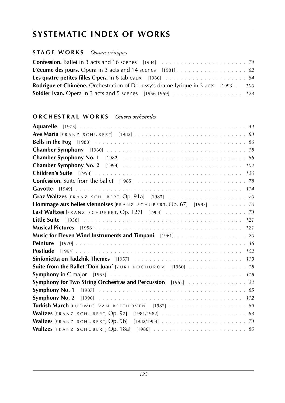### **s t a g e w o r k s** *Oeuvres scéniques*

| <b>Rodrigue et Chimène.</b> Orchestration of Debussy's drame lyrique in 3 acts [1993] . 100 |  |
|---------------------------------------------------------------------------------------------|--|
| <b>Soldier Ivan.</b> Opera in 3 acts and 5 scenes [1956-1959] 123                           |  |

### **o r c h e s t r a l w o r k s** *Oeuvres orchestrales*

| Ave Maria [FRANZ SCHUBERT] [1982]  63                             |
|-------------------------------------------------------------------|
|                                                                   |
|                                                                   |
|                                                                   |
|                                                                   |
|                                                                   |
|                                                                   |
|                                                                   |
|                                                                   |
| Hommage aux belles viennoises [FRANZ SCHUBERT, Op. 67] [1983]  70 |
|                                                                   |
|                                                                   |
|                                                                   |
|                                                                   |
| <b>Peinture</b>                                                   |
| Postlude                                                          |
|                                                                   |
| Suite from the Ballet 'Don Juan' [YURI KOCHUROV] [1960]  18       |
|                                                                   |
| Symphony for Two String Orchestras and Percussion [1962]  22      |
|                                                                   |
|                                                                   |
| Turkish March [LUDWIG VAN BEETHOVEN] [1982]  69                   |
|                                                                   |
|                                                                   |
|                                                                   |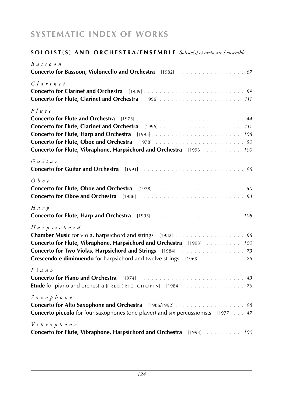### **s o l o i s t** ( **s** ) **a n d o r c h e s t r a** / **e n s e m b l e** *Soliste(s) et orchestre / ensemble*

| Bassoon                                                                                                                                                                             |
|-------------------------------------------------------------------------------------------------------------------------------------------------------------------------------------|
|                                                                                                                                                                                     |
| $C$ <i>larinet</i><br>Concerto for Flute, Clarinet and Orchestra [1996]  111                                                                                                        |
| F l u t e                                                                                                                                                                           |
| Concerto for Flute and Orchestra [1975]  44                                                                                                                                         |
| <b>Concerto for Flute, Harp and Orchestra</b> [1995]  108                                                                                                                           |
| Concerto for Flute, Vibraphone, Harpsichord and Orchestra [1993] 100                                                                                                                |
| Guitar                                                                                                                                                                              |
| $Ob$ $q e$                                                                                                                                                                          |
| $H$ a r p<br><b>Concerto for Flute, Harp and Orchestra</b> [1995]  108                                                                                                              |
| Harpsichord<br>Concerto for Flute, Vibraphone, Harpsichord and Orchestra [1993]  100<br>Crescendo e diminuendo for harpsichord and twelve strings [1965] 29                         |
| $P$ <i>i</i> $a$ <sup>n</sup> $o$<br>Etude for piano and orchestra [FRÉDÉRIC CHOPIN] [1984] 76                                                                                      |
| $S$ a x o p h o n e<br><b>Concerto for Alto Saxophone and Orchestra</b> [1986/1992] 98<br><b>Concerto piccolo</b> for four saxophones (one player) and six percussionists [1977] 47 |
| Vibraphone<br>Concerto for Flute, Vibraphone, Harpsichord and Orchestra [1993]  100                                                                                                 |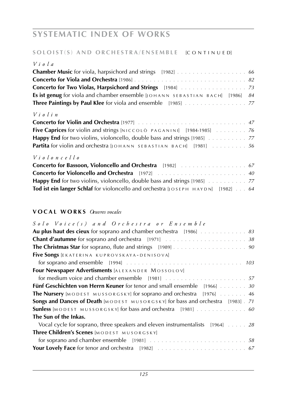### **s o l o i s t** ( **s** ) **a n d o r c h e s t r a** / **e n s e m b l e** [continued]

| $V$ <i>i</i> o l a                                                               |  |
|----------------------------------------------------------------------------------|--|
|                                                                                  |  |
|                                                                                  |  |
| Concerto for Two Violas, Harpsichord and Strings [1984] 73                       |  |
| Es ist genug for viola and chamber ensemble [JOHANN SEBASTIAN BACH] [1986] 84    |  |
| <b>Three Paintings by Paul Klee</b> for viola and ensemble [1985] 77             |  |
| $V$ <i>i</i> $o$ <i>l</i> $i$ $n$                                                |  |
|                                                                                  |  |
| <b>Five Caprices</b> for violin and strings [NICCOLO PAGANINI] [1984-1985] 76    |  |
| <b>Happy End</b> for two violins, violoncello, double bass and strings [1985] 77 |  |
| <b>Partita</b> for violin and orchestra [JOHANN SEBASTIAN BACH] [1981] 56        |  |
| $V$ ioloncello                                                                   |  |
| <b>Concerto for Bassoon, Violoncello and Orchestra</b> [1982] 67                 |  |
| Concerto for Violoncello and Orchestra [1972]  40                                |  |
| <b>Happy End</b> for two violins, violoncello, double bass and strings [1985] 77 |  |
| Tod ist ein langer Schlaf for violoncello and orchestra [JOSEPH HAYDN] [1982] 64 |  |

### **v o c a l w o r k s** *Oeuvres vocales*

| Solo Voice(s) and Orchestra or Ensemble                                                |
|----------------------------------------------------------------------------------------|
| Au plus haut des cieux for soprano and chamber orchestra [1986] 83                     |
|                                                                                        |
|                                                                                        |
| Five Songs [EKATERINA KUPROVSKAYA-DENISOVA]                                            |
|                                                                                        |
| Four Newspaper Advertisments [ALEXANDER MOSSOLOV]                                      |
|                                                                                        |
| <b>Fünf Geschichten von Herrn Keuner</b> for tenor and small ensemble [1966] 30        |
| <b>The Nursery</b> [MODEST MUSSORGSKY] for soprano and orchestra [1976] 46             |
| Songs and Dances of Death [MODEST MUSORGSKY] for bass and orchestra [1983]. 71         |
| <b>Sunless</b> [MODEST MUSSORGSKY] for bass and orchestra [1981] 60                    |
| The Sun of the Inkas.                                                                  |
| Vocal cycle for soprano, three speakers and eleven instrumentalists $[1964] \ldots 28$ |
| Three Children's Scenes [MODEST MUSORGSKY]                                             |
|                                                                                        |
|                                                                                        |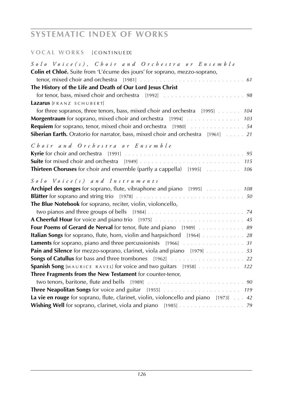### **VOCAL WORKS** [CONTINUED]

| Solo Voice(s), Choir and Orchestra or Ensemble                                               |
|----------------------------------------------------------------------------------------------|
| Colin et Chloé. Suite from 'L'écume des jours' for soprano, mezzo-soprano,                   |
|                                                                                              |
| The History of the Life and Death of Our Lord Jesus Christ                                   |
| for tenor, bass, mixed choir and orchestra [1992]<br>98                                      |
| Lazarus FRANZ SCHUBERT                                                                       |
| for three sopranos, three tenors, bass, mixed choir and orchestra [1995] 104                 |
| <b>Morgentraum</b> for soprano, mixed choir and orchestra [1994] 103                         |
| <b>Requiem</b> for soprano, tenor, mixed choir and orchestra [1980] 54                       |
| Siberian Earth. Oratorio for narrator, bass, mixed choir and orchestra [1961] 21             |
| Choir and Orchestra or Ensemble                                                              |
|                                                                                              |
|                                                                                              |
| <b>Thirteen Choruses</b> for choir and ensemble (partly a cappella) [1995] 106               |
| Solo Voice(s) and Instruments                                                                |
| Archipel des songes for soprano, flute, vibraphone and piano [1995] 108                      |
|                                                                                              |
| The Blue Notebook for soprano, reciter, violin, violoncello,                                 |
|                                                                                              |
|                                                                                              |
| Four Poems of Gerard de Nerval for tenor, flute and piano [1989] 89                          |
| <b>Italian Songs</b> for soprano, flute, horn, violin and harpsichord [1964] 28              |
| <b>Laments</b> for soprano, piano and three percussionists [1966] 31                         |
| Pain and Silence for mezzo-soprano, clarinet, viola and piano [1979] 53                      |
|                                                                                              |
| Spanish Song [MAURICE RAVEL] for voice and two guitars [1958] 122                            |
| Three Fragments from the New Testament for counter-tenor,                                    |
|                                                                                              |
|                                                                                              |
| <b>La vie en rouge</b> for soprano, flute, clarinet, violin, violoncello and piano [1973] 42 |
|                                                                                              |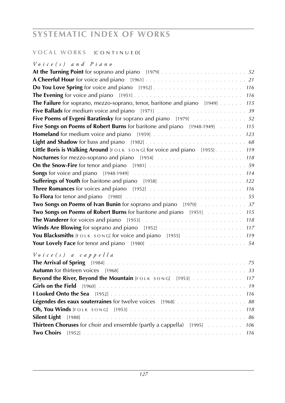### **v o c a l w o r k s** [continued]

| $V$ oice (s) and Piano                                                                                          |
|-----------------------------------------------------------------------------------------------------------------|
|                                                                                                                 |
|                                                                                                                 |
|                                                                                                                 |
| 116                                                                                                             |
| The Failure for soprano, mezzo-soprano, tenor, baritone and piano [1949] 115                                    |
|                                                                                                                 |
| Five Poems of Evgeni Baratinsky for soprano and piano [1979] 52                                                 |
| Five Songs on Poems of Robert Burns for baritone and piano [1948-1949]<br>115                                   |
|                                                                                                                 |
|                                                                                                                 |
| Little Boris is Walking Around [FOLK SONG] for voice and piano [1955] 119                                       |
|                                                                                                                 |
| <b>On the Snow-Fire</b> for tenor and piano [1981] <b>According to the Snow-Fire of the Snow-Fire for tenor</b> |
|                                                                                                                 |
| <b>Sufferings of Youth</b> for baritone and piano [1958]<br>122                                                 |
|                                                                                                                 |
|                                                                                                                 |
| Two Songs on Poems of Ivan Bunin for soprano and piano [1970] 37                                                |
| Two Songs on Poems of Robert Burns for baritone and piano [1951]  115                                           |
| 118                                                                                                             |
| 117                                                                                                             |
| You Blacksmiths [FOLK SONG] for voice and piano [1955]  119                                                     |
|                                                                                                                 |
| $V$ oice $(s)$ a cappella                                                                                       |
|                                                                                                                 |
|                                                                                                                 |
| Beyond the River, Beyond the Mountain [FOLK SONG] [1953]  117                                                   |
|                                                                                                                 |
|                                                                                                                 |
| Légendes des eaux souterraines for twelve voices [1968] 88                                                      |
|                                                                                                                 |
|                                                                                                                 |
| <b>Thirteen Choruses</b> for choir and ensemble (partly a cappella) [1995] 106                                  |
| 116                                                                                                             |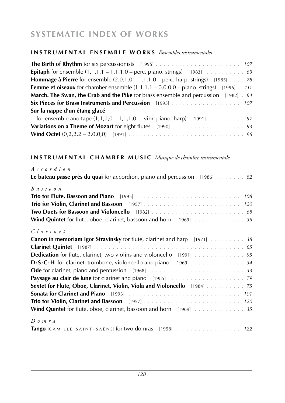### **i n s t r u m e n t a l e n s e m b l e w o r k s** *Ensembles instrumentales*

| <b>Epitaph</b> for ensemble $(1.1.1.1 - 1.1.1.0 - \text{perc.} \text{ piano. strings})$ [1983]  69                |
|-------------------------------------------------------------------------------------------------------------------|
| <b>Hommage à Pierre</b> for ensemble $(2.0.1.0 - 1.1.1.0 - \text{perc.} \text{ harp.} \text{ strings})$ [1985] 78 |
| <b>Femme et oiseaux</b> for chamber ensemble $(1.1.1.1 - 0.0.0.0 -$ piano. strings) [1996] $.111$                 |
| <b>March. The Swan, the Crab and the Pike</b> for brass ensemble and percussion [1982] 64                         |
| Six Pieces for Brass Instruments and Percussion [1995] 107                                                        |
| Sur la nappe d'un étang glacé                                                                                     |
| for ensemble and tape $(1,1,1,0 - 1,1,1,0 -$ vibr. piano. harp) [1991] 97                                         |
| Variations on a Theme of Mozart for eight flutes [1990] 93                                                        |
|                                                                                                                   |

### **i n s t r u m e n t a l c h a m b e r m u s i c** *Musique de chambre instrumentale*

| Accordion                                                                         |
|-----------------------------------------------------------------------------------|
| <b>Le bateau passe près du quai</b> for accordion, piano and percussion [1986] 82 |
| $B$ assoon                                                                        |
|                                                                                   |
| <b>Trio for Violin, Clarinet and Bassoon</b> [1957]  120                          |
|                                                                                   |
|                                                                                   |
| $C \mid a \mid r \mid n \mid e \mid t$                                            |
| <b>Canon in memoriam Igor Stravinsky</b> for flute, clarinet and harp [1971] 38   |
|                                                                                   |
| <b>Dedication</b> for flute, clarinet, two violins and violoncello [1991] 95      |
| <b>D.S.C.H</b> for clarinet, trombone, violoncello and piano [1969] 34            |
|                                                                                   |
|                                                                                   |
| Sextet for Flute, Oboe, Clarinet, Violin, Viola and Violoncello [1984] 75         |
|                                                                                   |
| Trio for Violin, Clarinet and Bassoon [1957]  120                                 |
| <b>Wind Quintet</b> for flute, oboe, clarinet, bassoon and horn [1969] 35         |
| $D \circ m \circ a$                                                               |
| Tango [CAMILLE SAINT-SAËNS] for two domras [1958] 122                             |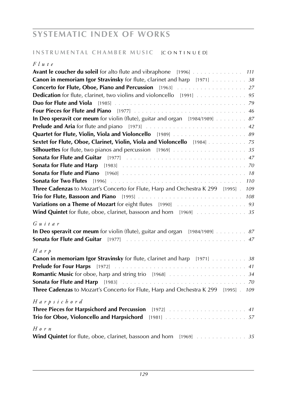### **INSTRUMENTAL CHAMBER MUSIC [CONTINUED]**

#### *F l u t e*

| <b>In Deo speravit cor meum</b> for violin (flute), guitar and organ [1984/1989] 87<br>$H$ a r p<br>Canon in memoriam Igor Stravinsky for flute, clarinet and harp [1971] 38<br><b>Romantic Music</b> for oboe, harp and string trio [1968] <b>Accord Accounting 1968</b><br><b>Three Cadenzas</b> to Mozart's Concerto for Flute, Harp and Orchestra K 299 [1995] . 109 | <b>Avant le coucher du soleil</b> for alto flute and vibraphone [1996]  111                 |
|--------------------------------------------------------------------------------------------------------------------------------------------------------------------------------------------------------------------------------------------------------------------------------------------------------------------------------------------------------------------------|---------------------------------------------------------------------------------------------|
|                                                                                                                                                                                                                                                                                                                                                                          | Canon in memoriam Igor Stravinsky for flute, clarinet and harp [1971] 38                    |
|                                                                                                                                                                                                                                                                                                                                                                          |                                                                                             |
|                                                                                                                                                                                                                                                                                                                                                                          | <b>Dedication</b> for flute, clarinet, two violins and violoncello [1991] 95                |
|                                                                                                                                                                                                                                                                                                                                                                          |                                                                                             |
|                                                                                                                                                                                                                                                                                                                                                                          |                                                                                             |
|                                                                                                                                                                                                                                                                                                                                                                          | In Deo speravit cor meum for violin (flute), guitar and organ [1984/1989] 87                |
|                                                                                                                                                                                                                                                                                                                                                                          |                                                                                             |
|                                                                                                                                                                                                                                                                                                                                                                          |                                                                                             |
|                                                                                                                                                                                                                                                                                                                                                                          | Sextet for Flute, Oboe, Clarinet, Violin, Viola and Violoncello [1984] 75                   |
|                                                                                                                                                                                                                                                                                                                                                                          |                                                                                             |
|                                                                                                                                                                                                                                                                                                                                                                          |                                                                                             |
|                                                                                                                                                                                                                                                                                                                                                                          |                                                                                             |
|                                                                                                                                                                                                                                                                                                                                                                          |                                                                                             |
|                                                                                                                                                                                                                                                                                                                                                                          |                                                                                             |
|                                                                                                                                                                                                                                                                                                                                                                          | <b>Three Cadenzas</b> to Mozart's Concerto for Flute, Harp and Orchestra K 299 [1995] . 109 |
|                                                                                                                                                                                                                                                                                                                                                                          |                                                                                             |
|                                                                                                                                                                                                                                                                                                                                                                          | Variations on a Theme of Mozart for eight flutes [1990] 93                                  |
|                                                                                                                                                                                                                                                                                                                                                                          | Wind Quintet for flute, oboe, clarinet, bassoon and horn [1969] 35                          |
|                                                                                                                                                                                                                                                                                                                                                                          | $G$ uitar                                                                                   |
|                                                                                                                                                                                                                                                                                                                                                                          |                                                                                             |
|                                                                                                                                                                                                                                                                                                                                                                          |                                                                                             |
|                                                                                                                                                                                                                                                                                                                                                                          |                                                                                             |
|                                                                                                                                                                                                                                                                                                                                                                          |                                                                                             |
|                                                                                                                                                                                                                                                                                                                                                                          |                                                                                             |
|                                                                                                                                                                                                                                                                                                                                                                          |                                                                                             |
|                                                                                                                                                                                                                                                                                                                                                                          |                                                                                             |
|                                                                                                                                                                                                                                                                                                                                                                          |                                                                                             |
|                                                                                                                                                                                                                                                                                                                                                                          |                                                                                             |
|                                                                                                                                                                                                                                                                                                                                                                          | Harpsichord                                                                                 |
|                                                                                                                                                                                                                                                                                                                                                                          | Three Pieces for Harpsichord and Percussion [1972]  41                                      |
|                                                                                                                                                                                                                                                                                                                                                                          |                                                                                             |
|                                                                                                                                                                                                                                                                                                                                                                          | $H \circ r \circ n$                                                                         |
| Wind Quintet for flute, oboe, clarinet, bassoon and horn [1969] 35                                                                                                                                                                                                                                                                                                       |                                                                                             |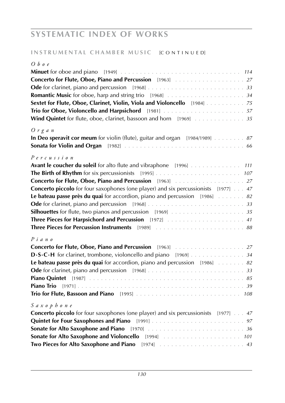### **INSTRUMENTAL CHAMBER MUSIC [CONTINUED]**

| ſ<br>J<br>n | 0 |  |
|-------------|---|--|
|-------------|---|--|

| Concerto for Flute, Oboe, Piano and Percussion [1963]  27                                 |
|-------------------------------------------------------------------------------------------|
|                                                                                           |
|                                                                                           |
|                                                                                           |
| Sextet for Flute, Oboe, Clarinet, Violin, Viola and Violoncello [1984] 75                 |
|                                                                                           |
| Wind Quintet for flute, oboe, clarinet, bassoon and horn [1969] 35                        |
| Organ                                                                                     |
| In Deo speravit cor meum for violin (flute), guitar and organ [1984/1989] 87              |
|                                                                                           |
|                                                                                           |
| Percussion                                                                                |
| <b>Avant le coucher du soleil</b> for alto flute and vibraphone [1996]<br>111             |
|                                                                                           |
| Concerto for Flute, Oboe, Piano and Percussion [1963]  27                                 |
| <b>Concerto piccolo</b> for four saxophones (one player) and six percussionists [1977] 47 |
| Le bateau passe près du quai for accordion, piano and percussion [1986] 82                |
|                                                                                           |
|                                                                                           |
| Three Pieces for Harpsichord and Percussion [1972]  41                                    |
|                                                                                           |
|                                                                                           |
| $P$ <i>i</i> and                                                                          |
|                                                                                           |
| D.S.C.H for clarinet, trombone, violoncello and piano [1969] 34                           |
| Le bateau passe près du quai for accordion, piano and percussion [1986]  82               |
|                                                                                           |
|                                                                                           |
|                                                                                           |
|                                                                                           |
|                                                                                           |
| $S$ a x o p h o n e                                                                       |
| <b>Concerto piccolo</b> for four saxophones (one player) and six percussionists [1977] 47 |
|                                                                                           |
| <b>Sonate for Alto Saxophone and Piano</b> [1970] <b></b> 36                              |
|                                                                                           |
|                                                                                           |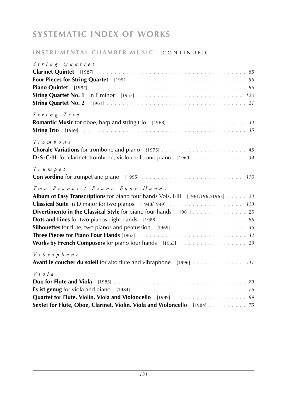### **INSTRUMENTAL CHAMBER MUSIC [CONTINUED]**

| String Quartet                                                                    |
|-----------------------------------------------------------------------------------|
|                                                                                   |
|                                                                                   |
|                                                                                   |
|                                                                                   |
|                                                                                   |
| $String$ $Trio$                                                                   |
|                                                                                   |
|                                                                                   |
| $T$ rombone                                                                       |
|                                                                                   |
| D.S.C.H for clarinet, trombone, violoncello and piano [1969] 34                   |
| Tr u m p e t                                                                      |
|                                                                                   |
| Two Pianos / Piano Four Hands                                                     |
| Album of Easy Transcriptions for piano four hands Vols. I-III [1961/1962/1963] 24 |
|                                                                                   |
|                                                                                   |
|                                                                                   |
|                                                                                   |
|                                                                                   |
| Works by French Composers for piano four hands [1965] 29                          |
| $V$ i $b$ r a $p$ $b$ $o$ $n$ $e$                                                 |
| <b>Avant le coucher du soleil</b> for alto flute and vibraphone [1996] 111        |
| $V$ <i>i</i> $ol$ $d$                                                             |
|                                                                                   |
|                                                                                   |
|                                                                                   |
| Sextet for Flute, Oboe, Clarinet, Violin, Viola and Violoncello [1984] 75         |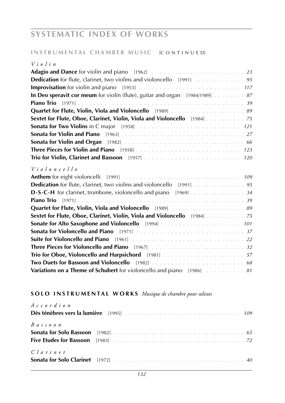### **INSTRUMENTAL CHAMBER MUSIC [CONTINUED]**

| $V$ <i>i</i> $o$ <i>l</i> $i$ $n$                                            |
|------------------------------------------------------------------------------|
|                                                                              |
| <b>Dedication</b> for flute, clarinet, two violins and violoncello [1991] 95 |
|                                                                              |
| In Deo speravit cor meum for violin (flute), guitar and organ [1984/1989] 87 |
|                                                                              |
|                                                                              |
| Sextet for Flute, Oboe, Clarinet, Violin, Viola and Violoncello [1984] 75    |
|                                                                              |
|                                                                              |
|                                                                              |
| Three Pieces for Violin and Piano [1958]  123                                |
|                                                                              |
| $V$ ioloncello                                                               |
|                                                                              |
| <b>Dedication</b> for flute, clarinet, two violins and violoncello [1991] 95 |
| <b>D.S.C.H</b> for clarinet, trombone, violoncello and piano [1969]  34      |
|                                                                              |
|                                                                              |
| Sextet for Flute, Oboe, Clarinet, Violin, Viola and Violoncello [1984]       |
|                                                                              |
|                                                                              |
|                                                                              |
|                                                                              |
|                                                                              |
|                                                                              |
| Variations on a Theme of Schubert for violoncello and piano [1986] 81        |

### **s o l o i n s t r u m e n t a l w o r k s** *Musique de chambre pour solistes*

| Accordion            |  |
|----------------------|--|
| $B$ assoon           |  |
| $C \,$ l a r i n e t |  |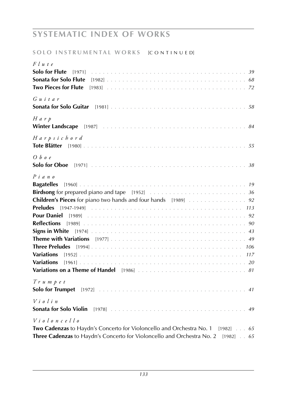### **SOLO INSTRUMENTAL WORKS [CONTINUED]**

| F l u t e                                                                               |
|-----------------------------------------------------------------------------------------|
|                                                                                         |
|                                                                                         |
|                                                                                         |
|                                                                                         |
| $G$ uitar                                                                               |
|                                                                                         |
| $H$ a r p                                                                               |
|                                                                                         |
|                                                                                         |
| $H$ a r p s i c h o r d                                                                 |
|                                                                                         |
| Oboe                                                                                    |
|                                                                                         |
|                                                                                         |
| $P$ <i>i</i> $a$ <sup>n</sup> $o$                                                       |
|                                                                                         |
|                                                                                         |
| <b>Children's Pieces</b> for piano two hands and four hands [1989] 92                   |
|                                                                                         |
|                                                                                         |
|                                                                                         |
|                                                                                         |
|                                                                                         |
|                                                                                         |
| <b>Variations</b>                                                                       |
| <b>Variations</b>                                                                       |
|                                                                                         |
|                                                                                         |
| Tr u m p e t                                                                            |
|                                                                                         |
|                                                                                         |
| $V$ <i>i</i> $o$ $l$ <i>i</i> $n$                                                       |
|                                                                                         |
| Violoncello                                                                             |
| <b>Two Cadenzas</b> to Haydn's Concerto for Violoncello and Orchestra No. 1 [1982] 65   |
|                                                                                         |
| <b>Three Cadenzas</b> to Haydn's Concerto for Violoncello and Orchestra No. 2 [1982] 65 |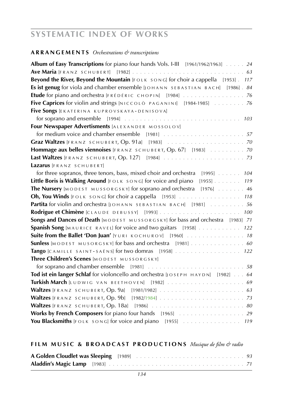### **a r r a n g e m e n t s** *Orchestrations & transcriptions*

| Album of Easy Transcriptions for piano four hands Vols. I-III [1961/1962/1963] 24  |
|------------------------------------------------------------------------------------|
|                                                                                    |
| Beyond the River, Beyond the Mountain [FOLK SONG] for choir a cappella [1953]. 117 |
| Es ist genug for viola and chamber ensemble [JOHANN SEBASTIAN BACH] [1986]. 84     |
| Etude for piano and orchestra [FRÉDÉRIC CHOPIN] [1984]  76                         |
| Five Caprices for violin and strings [NICCOLO PAGANINI] [1984-1985]  76            |
| Five Songs [EKATERINA KUPROVSKAYA-DENISOVA]                                        |
|                                                                                    |
| Four Newspaper Advertisments [ALEXANDER MOSSOLOV]                                  |
|                                                                                    |
|                                                                                    |
| Hommage aux belles viennoises [FRANZ SCHUBERT, Op. 67] [1983]  70                  |
|                                                                                    |
| Lazarus FRANZ SCHUBERT                                                             |
| for three sopranos, three tenors, bass, mixed choir and orchestra [1995] 104       |
| Little Boris is Walking Around [FOLK SONG] for voice and piano [1955] 119          |
| The Nursery [MODEST MUSSORGSKY] for soprano and orchestra [1976]  46               |
| Oh, You Winds [FOLK SONG] for choir a cappella [1953] 118                          |
| Partita for violin and orchestra [JOHANN SEBASTIAN BACH] [1981]  56                |
|                                                                                    |
| Songs and Dances of Death [MODEST MUSSORGSKY] for bass and orchestra [1983] 71     |
| Spanish Song [MAURICE RAVEL] for voice and two guitars [1958] 122                  |
| Suite from the Ballet 'Don Juan' [YURI KOCHUROV] [1960]  18                        |
| <b>Sunless</b> [MODEST MUSORGSKY] for bass and orchestra [1981] 60                 |
| Tango [CAMILLE SAINT-SAËNS] for two domras [1958] 122                              |
| Three Children's Scenes [MODEST MUSSORGSKY]                                        |
|                                                                                    |
| Tod ist ein langer Schlaf for violoncello and orchestra [JOSEPH HAYDN] [1982] 64   |
| Turkish March [LUDWIG VAN BEETHOVEN] [1982]  69                                    |
|                                                                                    |
|                                                                                    |
|                                                                                    |
| Works by French Composers for piano four hands [1965] 29                           |
| You Blacksmiths [FOLK SONG] for voice and piano [1955]  119                        |

### **f i l m m u s i c & b r o a d c a s t p r o d u c t i o n s** *Musique de film & radio*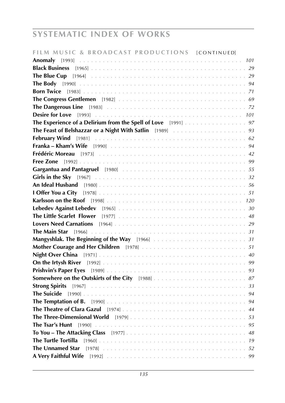| FILM MUSIC & BROADCAST PRODUCTIONS [CONTINUED] |
|------------------------------------------------|
|------------------------------------------------|

| The Experience of a Delirium from the Spell of Love [1991] 97 |  |
|---------------------------------------------------------------|--|
|                                                               |  |
|                                                               |  |
|                                                               |  |
|                                                               |  |
|                                                               |  |
|                                                               |  |
|                                                               |  |
|                                                               |  |
|                                                               |  |
|                                                               |  |
|                                                               |  |
|                                                               |  |
|                                                               |  |
|                                                               |  |
|                                                               |  |
|                                                               |  |
|                                                               |  |
|                                                               |  |
|                                                               |  |
|                                                               |  |
|                                                               |  |
|                                                               |  |
|                                                               |  |
|                                                               |  |
| <b>The Three-Dimensional World</b> [1979] 53                  |  |
|                                                               |  |
|                                                               |  |
|                                                               |  |
|                                                               |  |
|                                                               |  |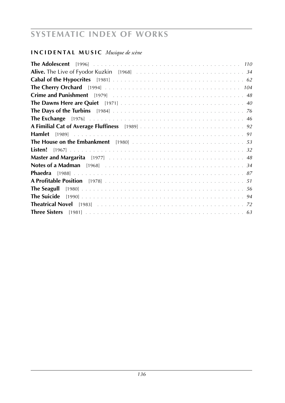### **i n c i d e n t a l m u s i c** *Musique de scène*

| Listen!              |
|----------------------|
|                      |
|                      |
|                      |
|                      |
| <b>The Seagull</b>   |
|                      |
|                      |
| <b>Three Sisters</b> |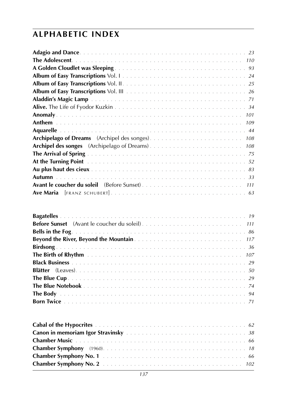| At the Turning Point <b>Election Contract Contract Contract Contract Contract Contract Contract Contract Contract</b> |  |
|-----------------------------------------------------------------------------------------------------------------------|--|
|                                                                                                                       |  |
|                                                                                                                       |  |
|                                                                                                                       |  |
|                                                                                                                       |  |
|                                                                                                                       |  |
|                                                                                                                       |  |
|                                                                                                                       |  |
|                                                                                                                       |  |
|                                                                                                                       |  |
|                                                                                                                       |  |
|                                                                                                                       |  |
|                                                                                                                       |  |
|                                                                                                                       |  |
|                                                                                                                       |  |
|                                                                                                                       |  |
|                                                                                                                       |  |
|                                                                                                                       |  |
|                                                                                                                       |  |
|                                                                                                                       |  |
|                                                                                                                       |  |
|                                                                                                                       |  |
|                                                                                                                       |  |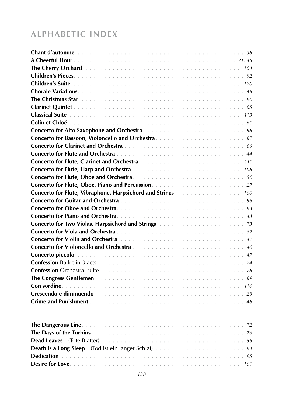| Concerto for Flute, Vibraphone, Harpsichord and Strings 100                                                    |
|----------------------------------------------------------------------------------------------------------------|
|                                                                                                                |
|                                                                                                                |
|                                                                                                                |
|                                                                                                                |
|                                                                                                                |
|                                                                                                                |
|                                                                                                                |
|                                                                                                                |
|                                                                                                                |
|                                                                                                                |
|                                                                                                                |
|                                                                                                                |
| Crescendo e diminuendo entrarrelato e a contrarrelato e a contrarrelato de la contrarrelato de la contrarrelat |
|                                                                                                                |
|                                                                                                                |
|                                                                                                                |
|                                                                                                                |
|                                                                                                                |
|                                                                                                                |
|                                                                                                                |
|                                                                                                                |
|                                                                                                                |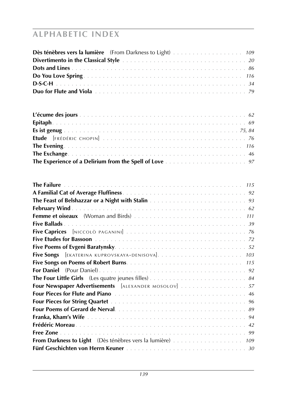| Four Newspaper Advertisements [ALEXANDER MOSOLOV]  57      |
|------------------------------------------------------------|
|                                                            |
|                                                            |
|                                                            |
|                                                            |
|                                                            |
|                                                            |
| From Darkness to Light (Dès ténèbres vers la lumière)  109 |
|                                                            |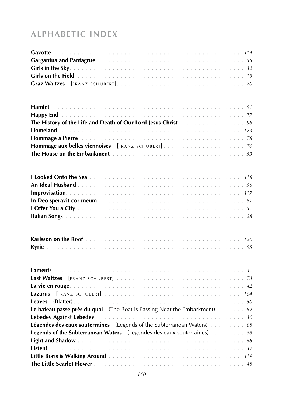| Girls on the Field <b>Election Contact Contact Contact Contact Contact Contact Contact Contact Contact Contact Contact Contact Contact Contact Contact Contact Contact Contact Contact Contact Contact Contact Contact Contact C</b> |  |  |  |  |  |
|--------------------------------------------------------------------------------------------------------------------------------------------------------------------------------------------------------------------------------------|--|--|--|--|--|
|                                                                                                                                                                                                                                      |  |  |  |  |  |
|                                                                                                                                                                                                                                      |  |  |  |  |  |
|                                                                                                                                                                                                                                      |  |  |  |  |  |
|                                                                                                                                                                                                                                      |  |  |  |  |  |
|                                                                                                                                                                                                                                      |  |  |  |  |  |
|                                                                                                                                                                                                                                      |  |  |  |  |  |
|                                                                                                                                                                                                                                      |  |  |  |  |  |
|                                                                                                                                                                                                                                      |  |  |  |  |  |
|                                                                                                                                                                                                                                      |  |  |  |  |  |
|                                                                                                                                                                                                                                      |  |  |  |  |  |
|                                                                                                                                                                                                                                      |  |  |  |  |  |
|                                                                                                                                                                                                                                      |  |  |  |  |  |
|                                                                                                                                                                                                                                      |  |  |  |  |  |
|                                                                                                                                                                                                                                      |  |  |  |  |  |
|                                                                                                                                                                                                                                      |  |  |  |  |  |
|                                                                                                                                                                                                                                      |  |  |  |  |  |
|                                                                                                                                                                                                                                      |  |  |  |  |  |
|                                                                                                                                                                                                                                      |  |  |  |  |  |
|                                                                                                                                                                                                                                      |  |  |  |  |  |
|                                                                                                                                                                                                                                      |  |  |  |  |  |
|                                                                                                                                                                                                                                      |  |  |  |  |  |
|                                                                                                                                                                                                                                      |  |  |  |  |  |
|                                                                                                                                                                                                                                      |  |  |  |  |  |
|                                                                                                                                                                                                                                      |  |  |  |  |  |
| Le bateau passe près du quai (The Boat is Passing Near the Embarkment) $\ldots \ldots 82$                                                                                                                                            |  |  |  |  |  |
|                                                                                                                                                                                                                                      |  |  |  |  |  |
| Légendes des eaux souterraines (Legends of the Subterranean Waters) 88                                                                                                                                                               |  |  |  |  |  |
| Legends of the Subterranean Waters (Légendes des eaux souterraines) 88                                                                                                                                                               |  |  |  |  |  |
|                                                                                                                                                                                                                                      |  |  |  |  |  |
|                                                                                                                                                                                                                                      |  |  |  |  |  |
|                                                                                                                                                                                                                                      |  |  |  |  |  |
| Little Boris is Walking Around <b>Fig. 1. Access 2. Access 2. Access 2. Access</b> 2.19                                                                                                                                              |  |  |  |  |  |
|                                                                                                                                                                                                                                      |  |  |  |  |  |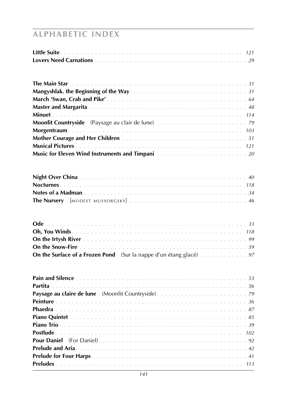| Music for Eleven Wind Instruments and Timpani <b>Fig. 1.1.1.1.1.1.1.1.1.1.1.1.1.1.1.1.1.20</b> |  |  |
|------------------------------------------------------------------------------------------------|--|--|
|                                                                                                |  |  |
|                                                                                                |  |  |
|                                                                                                |  |  |
|                                                                                                |  |  |
| The Nursery [MODEST MUSSORGSKY]  46                                                            |  |  |
|                                                                                                |  |  |
|                                                                                                |  |  |
|                                                                                                |  |  |
|                                                                                                |  |  |
|                                                                                                |  |  |
|                                                                                                |  |  |
|                                                                                                |  |  |
|                                                                                                |  |  |
|                                                                                                |  |  |
|                                                                                                |  |  |
|                                                                                                |  |  |
|                                                                                                |  |  |
|                                                                                                |  |  |
|                                                                                                |  |  |
|                                                                                                |  |  |
|                                                                                                |  |  |
|                                                                                                |  |  |
|                                                                                                |  |  |
|                                                                                                |  |  |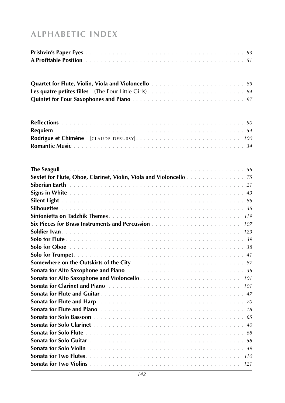| Sextet for Flute, Oboe, Clarinet, Violin, Viola and Violoncello 75                                                                                                                                                            |
|-------------------------------------------------------------------------------------------------------------------------------------------------------------------------------------------------------------------------------|
|                                                                                                                                                                                                                               |
|                                                                                                                                                                                                                               |
| 107                                                                                                                                                                                                                           |
| Solo for Oboe decompose to the service of the service of the service of the service of the service of the service of the service of the service of the service of the service of the service of the service of the service of |
| Sonata for Alto Saxophone and Piano etheroides and the series and series and series and series are seen as 36                                                                                                                 |
| 101                                                                                                                                                                                                                           |
| Sonata for Flute and Piano research and the service of the service of the service of the Sonata Control of the                                                                                                                |
|                                                                                                                                                                                                                               |
|                                                                                                                                                                                                                               |
|                                                                                                                                                                                                                               |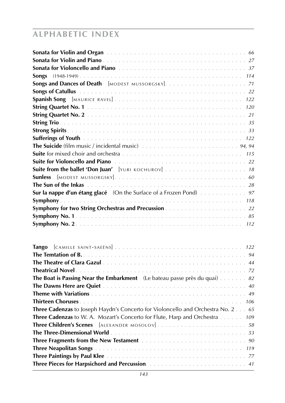| Songs of Catullus <b>Substitute 12</b> 22                                                 |
|-------------------------------------------------------------------------------------------|
|                                                                                           |
|                                                                                           |
|                                                                                           |
|                                                                                           |
|                                                                                           |
|                                                                                           |
|                                                                                           |
|                                                                                           |
|                                                                                           |
|                                                                                           |
|                                                                                           |
|                                                                                           |
| Sur la nappe d'un étang glacé (On the Surface of a Frozen Pond) 97                        |
|                                                                                           |
|                                                                                           |
|                                                                                           |
|                                                                                           |
| <b>Tango</b>                                                                              |
|                                                                                           |
|                                                                                           |
|                                                                                           |
| The Boat is Passing Near the Embarkment (Le bateau passe près du quai) $\ldots \ldots$ 82 |
|                                                                                           |
|                                                                                           |
|                                                                                           |
| Three Cadenzas to Joseph Haydn's Concerto for Violoncello and Orchestra No. 2 65          |
| Three Cadenzas to W. A. Mozart's Concerto for Flute, Harp and Orchestra 109               |
| <b>Three Children's Scenes</b> [ALEXANDER MOSOLOV]58                                      |
|                                                                                           |
|                                                                                           |
|                                                                                           |
|                                                                                           |
|                                                                                           |